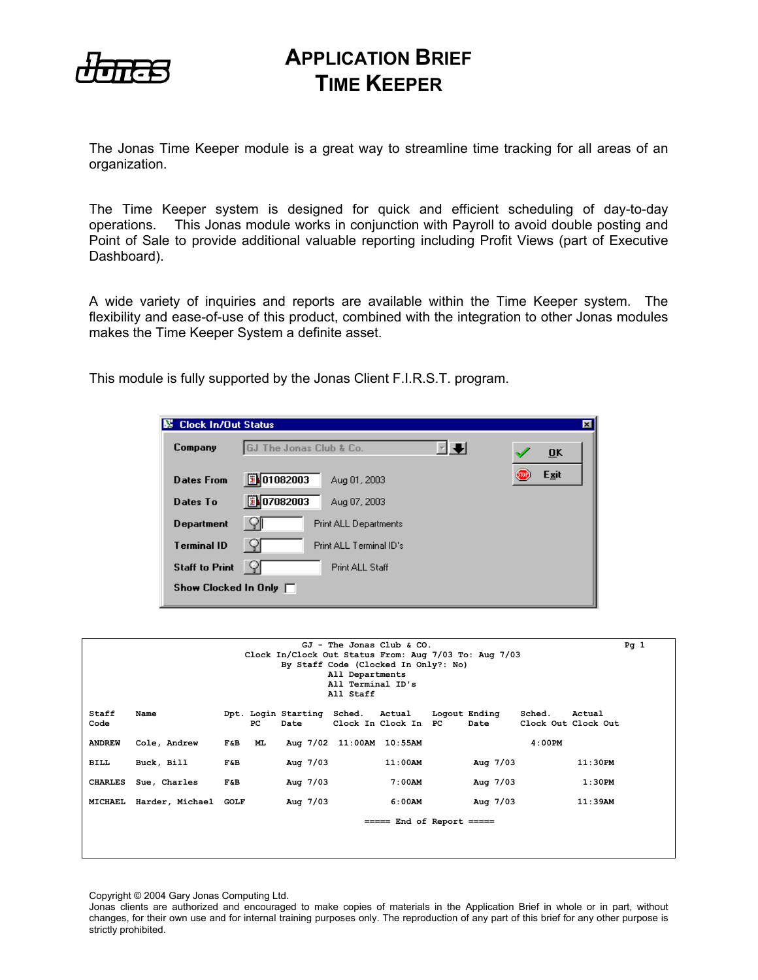

## **APPLICATION BRIEF TIME KEEPER**

The Jonas Time Keeper module is a great way to streamline time tracking for all areas of an organization.

The Time Keeper system is designed for quick and efficient scheduling of day-to-day operations. This Jonas module works in conjunction with Payroll to avoid double posting and Point of Sale to provide additional valuable reporting including Profit Views (part of Executive Dashboard).

A wide variety of inquiries and reports are available within the Time Keeper system. The flexibility and ease-of-use of this product, combined with the integration to other Jonas modules makes the Time Keeper System a definite asset.

This module is fully supported by the Jonas Client F.I.R.S.T. program.

| <b>Clock In/Out Status</b><br>ш |                              | ×                         |
|---------------------------------|------------------------------|---------------------------|
| Company                         | GJ The Jonas Club & Co.      | $\overline{\mathbf{0}}$ K |
| <b>Dates From</b>               | 图 01082003<br>Aug 01, 2003   | Exit                      |
| Dates To                        | 图 07082003<br>Aug 07, 2003   |                           |
| Department                      | <b>Print ALL Departments</b> |                           |
| <b>Terminal ID</b>              | Print ALL Terminal ID's      |                           |
| <b>Staff to Print</b>           | Print ALL Staff              |                           |
| Show Clocked In Only $\Box$     |                              |                           |

| $GJ$ - The Jonas Club & CO.<br>Clock In/Clock Out Status From: Aug 7/03 To: Aug 7/03<br>By Staff Code (Clocked In Only?: No)<br>All Departments<br>All Terminal ID's<br>All Staff |                         |      |     |                             |               | Pq 1                     |                      |                       |        |                               |  |
|-----------------------------------------------------------------------------------------------------------------------------------------------------------------------------------|-------------------------|------|-----|-----------------------------|---------------|--------------------------|----------------------|-----------------------|--------|-------------------------------|--|
| Staff<br>Code                                                                                                                                                                     | Name                    |      | PC  | Dpt. Login Starting<br>Date | Sched. Actual | Clock In Clock In PC     |                      | Logout Ending<br>Date | Sched. | Actual<br>Clock Out Clock Out |  |
| <b>ANDREW</b>                                                                                                                                                                     | Cole, Andrew            | F&B  | ML. |                             |               | Aug 7/02 11:00AM 10:55AM |                      |                       | 4:00PM |                               |  |
| <b>BILL</b>                                                                                                                                                                       | Buck, Bill              | F&B  |     | Aug $7/03$                  |               | 11:00AM                  |                      | Aug $7/03$            |        | $11:30$ PM                    |  |
| <b>CHARLES</b>                                                                                                                                                                    | Sue, Charles            | F&B  |     | Aug $7/03$                  |               | 7:00AM                   |                      | Aug $7/03$            |        | 1:30PM                        |  |
|                                                                                                                                                                                   | MICHAEL Harder, Michael | GOLF |     | Aug 7/03                    |               | 6:00AM                   |                      | Aug $7/03$            |        | 11:39AM                       |  |
|                                                                                                                                                                                   |                         |      |     |                             |               | $=====$                  | End of Report $====$ |                       |        |                               |  |
|                                                                                                                                                                                   |                         |      |     |                             |               |                          |                      |                       |        |                               |  |

Copyright © 2004 Gary Jonas Computing Ltd.

Jonas clients are authorized and encouraged to make copies of materials in the Application Brief in whole or in part, without changes, for their own use and for internal training purposes only. The reproduction of any part of this brief for any other purpose is strictly prohibited.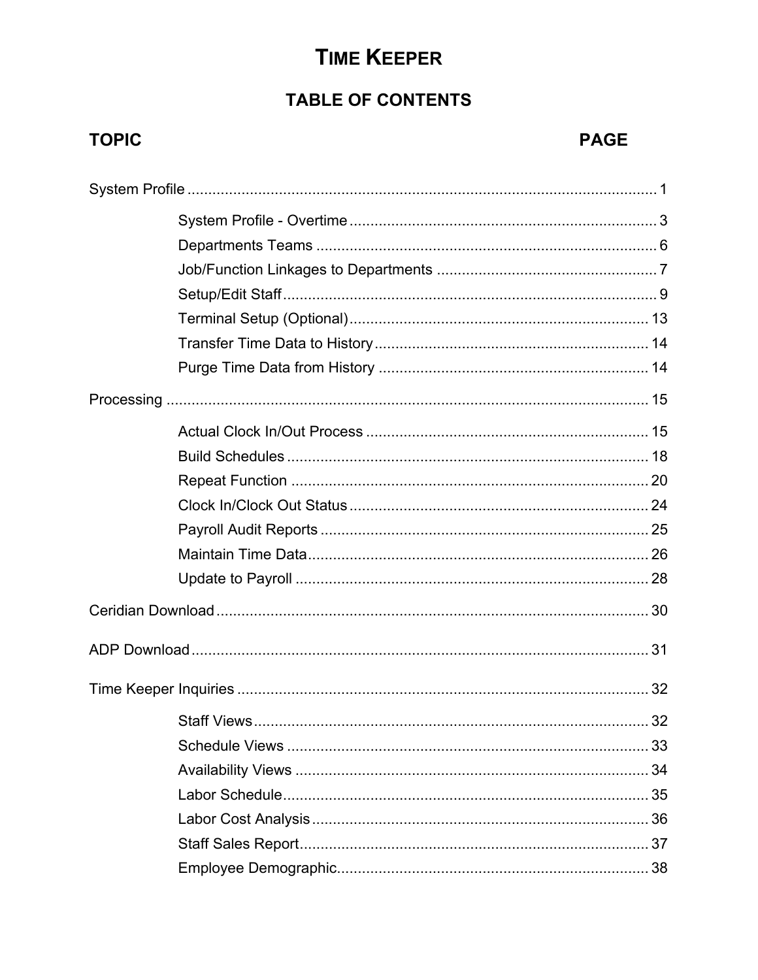# **TIME KEEPER**

## **TABLE OF CONTENTS**

## **TOPIC**

## **PAGE**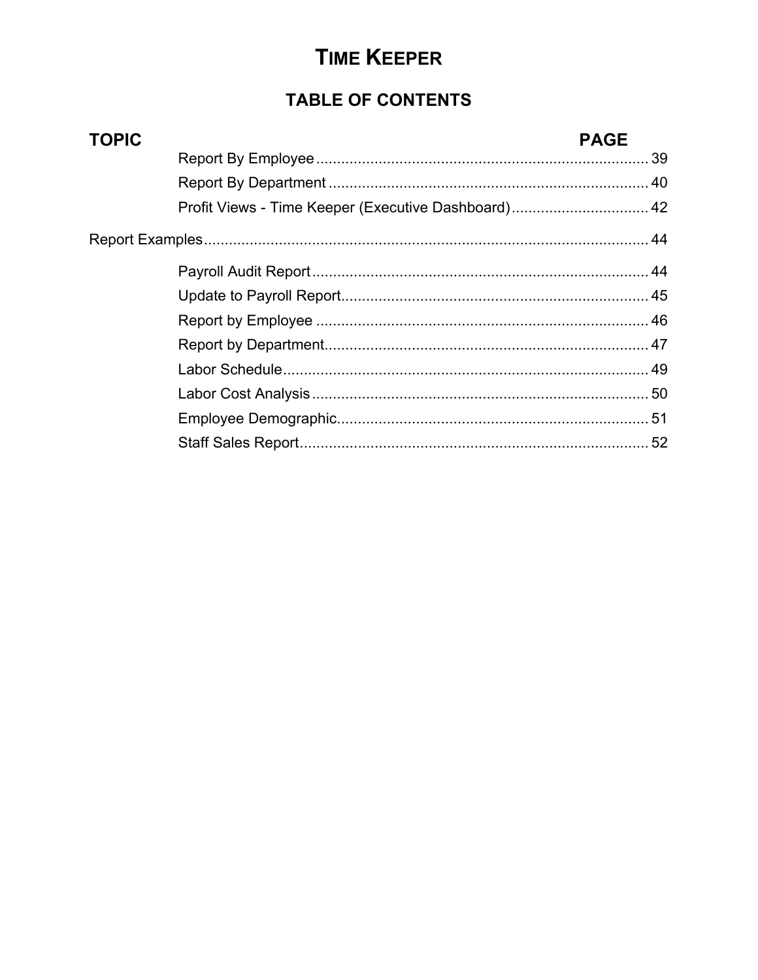# **TIME KEEPER**

## **TABLE OF CONTENTS**

| <b>TOPIC</b> | <b>PAGE</b> |
|--------------|-------------|
|              |             |
|              |             |
|              |             |
|              |             |
|              |             |
|              |             |
|              |             |
|              |             |
|              |             |
|              |             |
|              |             |
|              |             |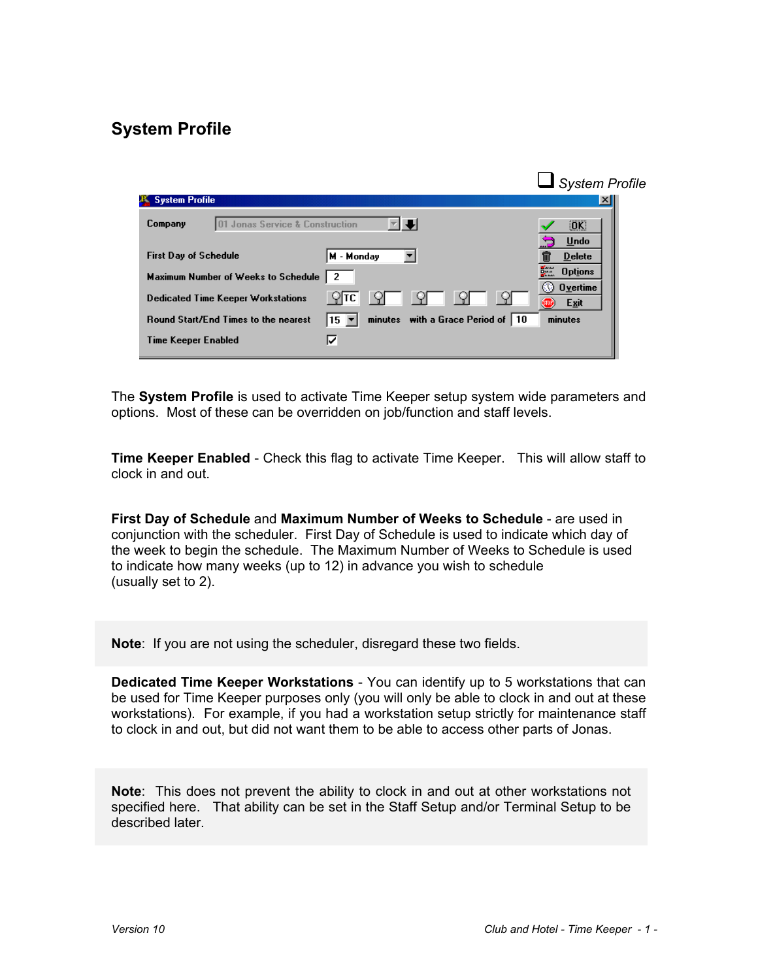## <span id="page-3-0"></span>**System Profile**

|                                                                                                            | System Profile          |
|------------------------------------------------------------------------------------------------------------|-------------------------|
| <b>P.</b> System Profile                                                                                   | ×                       |
| 01 Jonas Service & Construction<br>Company                                                                 | [OL]                    |
|                                                                                                            | <b>Undo</b>             |
| <b>First Day of Schedule</b><br>M - Monday                                                                 | <b>Delete</b>           |
| 2<br>Maximum Number of Weeks to Schedule                                                                   | 転<br><b>Options</b>     |
| ¶∏C⊺<br><b>Dedicated Time Keeper Workstations</b>                                                          | <b>Overtime</b><br>Exit |
| with a Grace Period of $\vert$ 10<br>minutes<br><b>Round Start/End Times to the nearest</b><br>$15 \times$ | minutes                 |
| 1Й<br>Time Keeper Enabled                                                                                  |                         |

The **System Profile** is used to activate Time Keeper setup system wide parameters and options. Most of these can be overridden on job/function and staff levels.

**Time Keeper Enabled** - Check this flag to activate Time Keeper. This will allow staff to clock in and out.

**First Day of Schedule** and **Maximum Number of Weeks to Schedule** - are used in conjunction with the scheduler. First Day of Schedule is used to indicate which day of the week to begin the schedule. The Maximum Number of Weeks to Schedule is used to indicate how many weeks (up to 12) in advance you wish to schedule (usually set to 2).

**Note**: If you are not using the scheduler, disregard these two fields.

**Dedicated Time Keeper Workstations** - You can identify up to 5 workstations that can be used for Time Keeper purposes only (you will only be able to clock in and out at these workstations). For example, if you had a workstation setup strictly for maintenance staff to clock in and out, but did not want them to be able to access other parts of Jonas.

**Note**: This does not prevent the ability to clock in and out at other workstations not specified here. That ability can be set in the Staff Setup and/or Terminal Setup to be described later.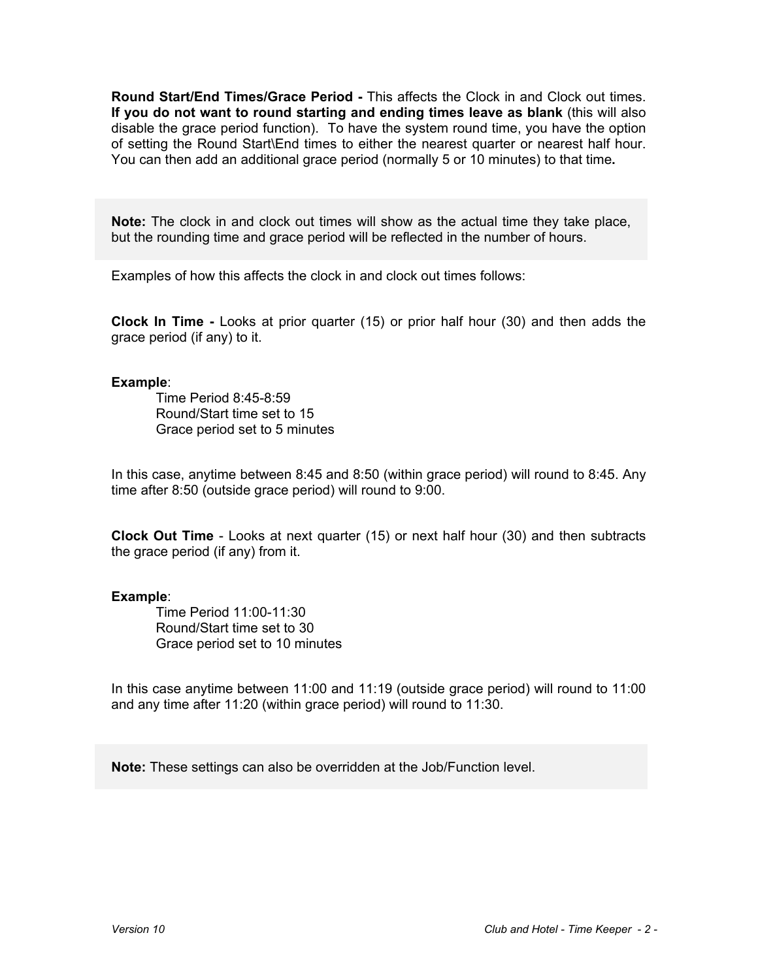**Round Start/End Times/Grace Period -** This affects the Clock in and Clock out times. **If you do not want to round starting and ending times leave as blank** (this will also disable the grace period function). To have the system round time, you have the option of setting the Round Start\End times to either the nearest quarter or nearest half hour. You can then add an additional grace period (normally 5 or 10 minutes) to that time**.** 

**Note:** The clock in and clock out times will show as the actual time they take place, but the rounding time and grace period will be reflected in the number of hours.

Examples of how this affects the clock in and clock out times follows:

**Clock In Time -** Looks at prior quarter (15) or prior half hour (30) and then adds the grace period (if any) to it.

#### **Example**:

Time Period 8:45-8:59 Round/Start time set to 15 Grace period set to 5 minutes

In this case, anytime between 8:45 and 8:50 (within grace period) will round to 8:45. Any time after 8:50 (outside grace period) will round to 9:00.

**Clock Out Time** - Looks at next quarter (15) or next half hour (30) and then subtracts the grace period (if any) from it.

#### **Example**:

Time Period 11:00-11:30 Round/Start time set to 30 Grace period set to 10 minutes

In this case anytime between 11:00 and 11:19 (outside grace period) will round to 11:00 and any time after 11:20 (within grace period) will round to 11:30.

**Note:** These settings can also be overridden at the Job/Function level.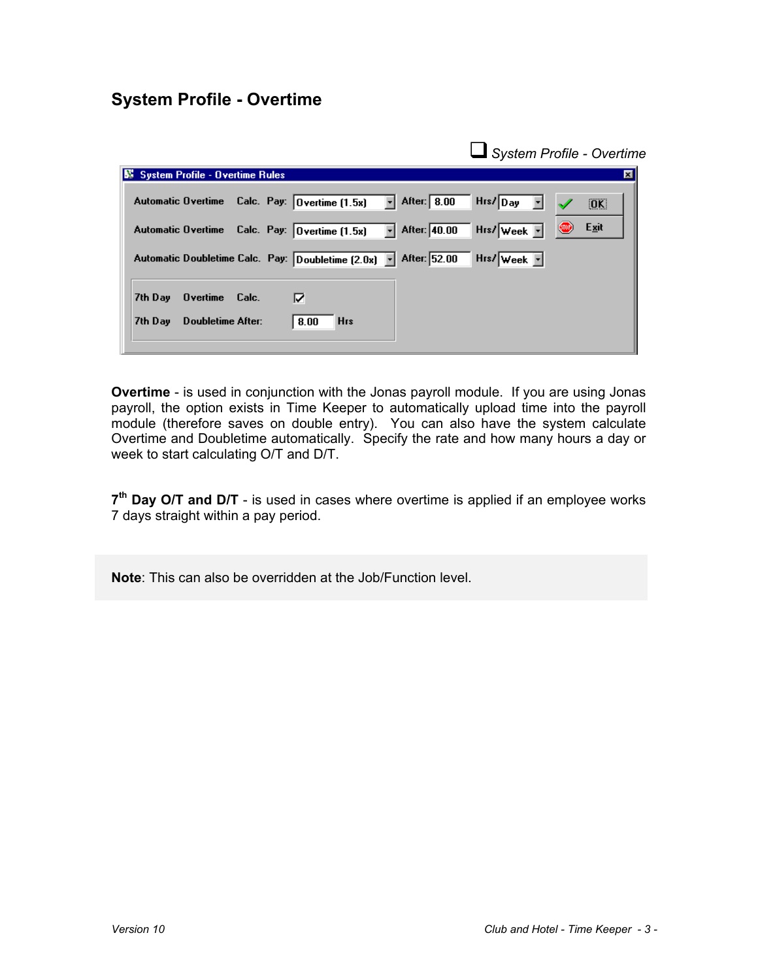### <span id="page-5-0"></span>**System Profile - Overtime**

|                                                                              | System Profile - Overtime |
|------------------------------------------------------------------------------|---------------------------|
| 图 System Profile - Overtime Rules                                            | ⊠                         |
| $\overline{+}$ After: 8.00<br>Automatic Overtime Calc. Pay: Overtime (1.5x)  | Hrs/Day<br>[OK]           |
| $\overline{ }$ After: 40.00<br>Automatic Overtime Calc. Pay: Overtime (1.5x) | Exit<br>$Hrs/\sqrt{Webk}$ |
| Automatic Doubletime Calc. Pay: Doubletime (2.0x) - After: 52.00             | Hrs/Week -                |
| 7th Day<br>Overtime Calc.<br>12                                              |                           |
| <b>Doubletime After:</b><br>8.00<br><b>Hrs</b><br>7th Day                    |                           |
|                                                                              |                           |

**Overtime** - is used in conjunction with the Jonas payroll module. If you are using Jonas payroll, the option exists in Time Keeper to automatically upload time into the payroll module (therefore saves on double entry). You can also have the system calculate Overtime and Doubletime automatically. Specify the rate and how many hours a day or week to start calculating O/T and D/T.

**7th Day O/T and D/T** - is used in cases where overtime is applied if an employee works 7 days straight within a pay period.

**Note**: This can also be overridden at the Job/Function level.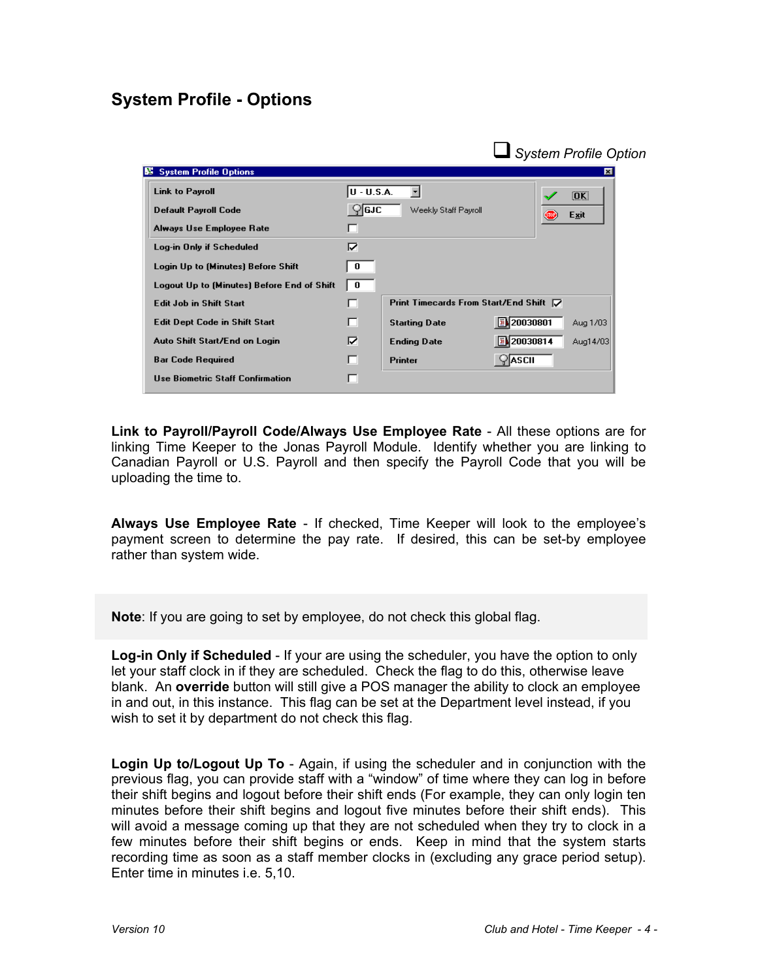## <span id="page-6-0"></span>**System Profile - Options**

|                                            | System Profile Option                                 |
|--------------------------------------------|-------------------------------------------------------|
| BS System Profile Options                  | $\vert x \vert$                                       |
| <b>Link to Payroll</b>                     | U - U.S.A.<br>[OL]                                    |
| <b>Default Payroll Code</b>                | <b>GJC</b><br>Weekly Staff Payroll<br>Exit<br>(OD)    |
| Always Use Employee Rate                   | H.                                                    |
| Log-in Only if Scheduled                   | 12                                                    |
| Login Up to (Minutes) Before Shift         | 0                                                     |
| Logout Up to (Minutes) Before End of Shift | $\bf{0}$                                              |
| <b>Edit Job in Shift Start</b>             | Print Timecards From Start/End Shift √<br>ш           |
| <b>Edit Dept Code in Shift Start</b>       | 图 20030801<br>п<br>Aug 1/03<br><b>Starting Date</b>   |
| Auto Shift Start/End on Login              | 20030814<br>12<br>围<br>Aug14/03<br><b>Ending Date</b> |
| <b>Bar Code Required</b>                   | ASCII<br>Printer                                      |
| Use Biometric Staff Confirmation           |                                                       |

**Link to Payroll/Payroll Code/Always Use Employee Rate** - All these options are for linking Time Keeper to the Jonas Payroll Module. Identify whether you are linking to Canadian Payroll or U.S. Payroll and then specify the Payroll Code that you will be uploading the time to.

**Always Use Employee Rate** - If checked, Time Keeper will look to the employee's payment screen to determine the pay rate. If desired, this can be set-by employee rather than system wide.

**Note**: If you are going to set by employee, do not check this global flag.

**Log-in Only if Scheduled** - If your are using the scheduler, you have the option to only let your staff clock in if they are scheduled. Check the flag to do this, otherwise leave blank. An **override** button will still give a POS manager the ability to clock an employee in and out, in this instance. This flag can be set at the Department level instead, if you wish to set it by department do not check this flag.

**Login Up to/Logout Up To** - Again, if using the scheduler and in conjunction with the previous flag, you can provide staff with a "window" of time where they can log in before their shift begins and logout before their shift ends (For example, they can only login ten minutes before their shift begins and logout five minutes before their shift ends). This will avoid a message coming up that they are not scheduled when they try to clock in a few minutes before their shift begins or ends. Keep in mind that the system starts recording time as soon as a staff member clocks in (excluding any grace period setup). Enter time in minutes i.e. 5,10.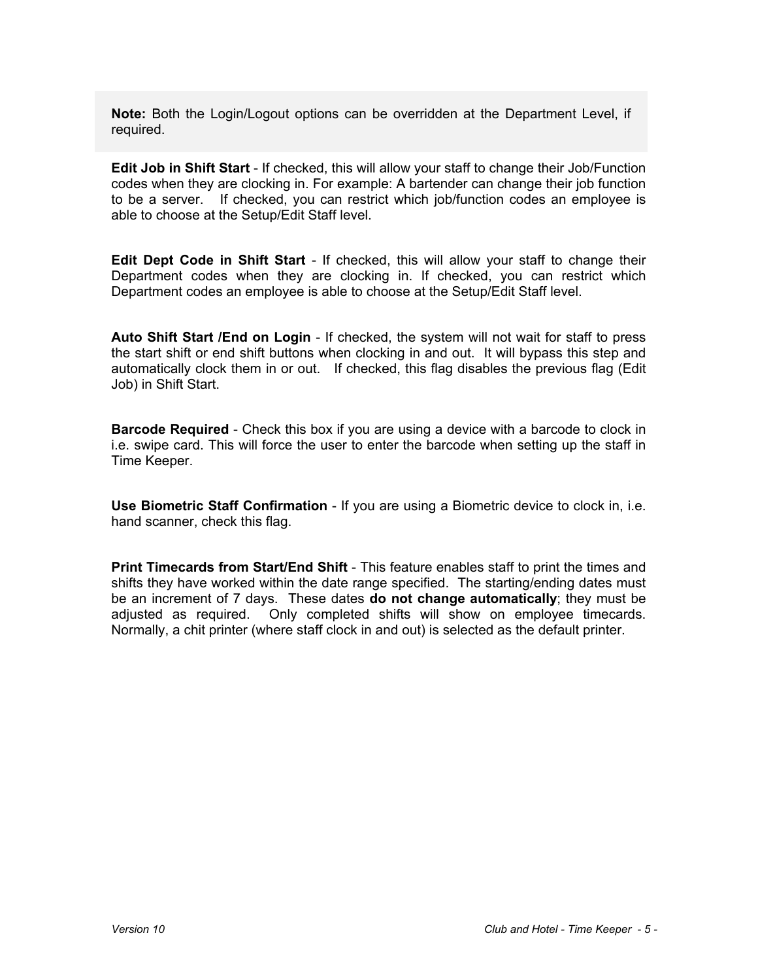**Note:** Both the Login/Logout options can be overridden at the Department Level, if required.

**Edit Job in Shift Start** - If checked, this will allow your staff to change their Job/Function codes when they are clocking in. For example: A bartender can change their job function to be a server. If checked, you can restrict which job/function codes an employee is able to choose at the Setup/Edit Staff level.

**Edit Dept Code in Shift Start** - If checked, this will allow your staff to change their Department codes when they are clocking in. If checked, you can restrict which Department codes an employee is able to choose at the Setup/Edit Staff level.

**Auto Shift Start /End on Login** - If checked, the system will not wait for staff to press the start shift or end shift buttons when clocking in and out. It will bypass this step and automatically clock them in or out. If checked, this flag disables the previous flag (Edit Job) in Shift Start.

**Barcode Required** - Check this box if you are using a device with a barcode to clock in i.e. swipe card. This will force the user to enter the barcode when setting up the staff in Time Keeper.

**Use Biometric Staff Confirmation** - If you are using a Biometric device to clock in, i.e. hand scanner, check this flag.

**Print Timecards from Start/End Shift** - This feature enables staff to print the times and shifts they have worked within the date range specified. The starting/ending dates must be an increment of 7 days. These dates **do not change automatically**; they must be adjusted as required. Only completed shifts will show on employee timecards. Normally, a chit printer (where staff clock in and out) is selected as the default printer.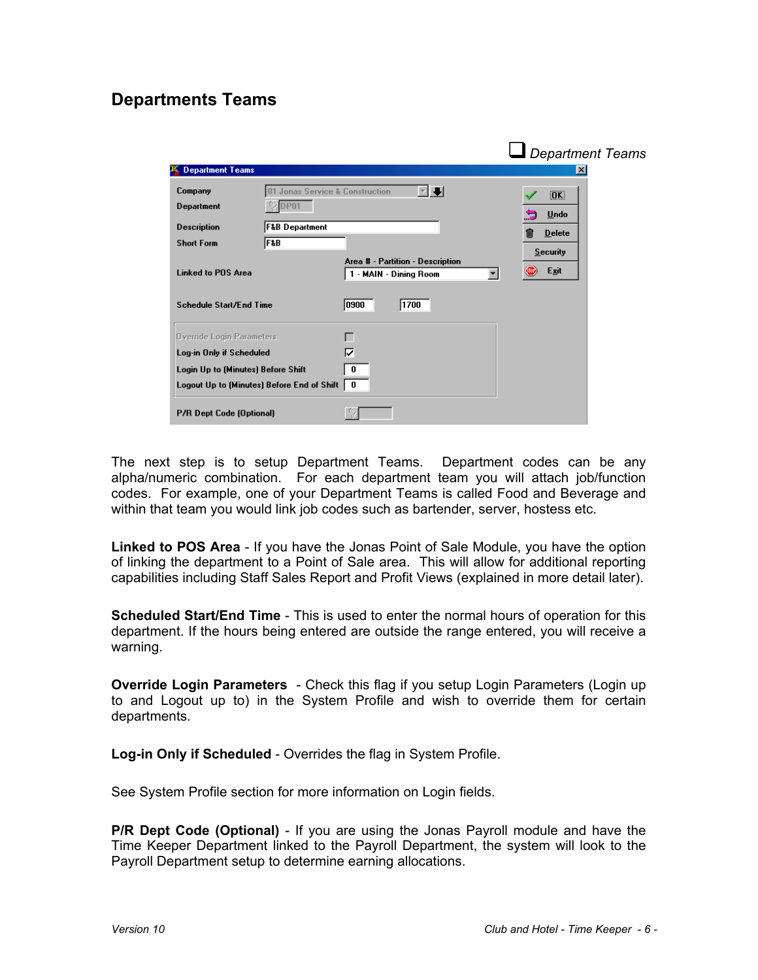### <span id="page-8-0"></span>**Departments Teams**

|                                                                    |                                                      |                                                            |                      | Department Teams                      |
|--------------------------------------------------------------------|------------------------------------------------------|------------------------------------------------------------|----------------------|---------------------------------------|
| <b>Department Teams</b>                                            |                                                      |                                                            |                      | $\vert x \vert$                       |
| Company<br>Department                                              | 01 Jonas Service & Construction<br>$\heartsuit$ DP01 | $\left  \cdot \right $                                     |                      | [OK]<br>Undo<br>.5                    |
| <b>Description</b><br><b>Short Form</b>                            | <b>F&amp;B Department</b><br>F&B                     |                                                            |                      | 俞<br><b>Delete</b><br><b>Security</b> |
| <b>Linked to POS Area</b>                                          |                                                      | Area # - Partition - Description<br>1 - MAIN - Dining Room | $\blacktriangledown$ | ●<br>Exit                             |
| <b>Schedule Start/End Time</b><br><b>Override Login Parameters</b> |                                                      | 0900<br>1700<br>г                                          |                      |                                       |
| Log-in Only if Scheduled<br>Login Up to (Minutes) Before Shift     |                                                      | ⊽<br>0                                                     |                      |                                       |
| <b>P/R Dept Code (Optional)</b>                                    | Logout Up to (Minutes) Before End of Shift           | $\bf{0}$                                                   |                      |                                       |

The next step is to setup Department Teams. Department codes can be any alpha/numeric combination. For each department team you will attach job/function codes. For example, one of your Department Teams is called Food and Beverage and within that team you would link job codes such as bartender, server, hostess etc.

**Linked to POS Area** - If you have the Jonas Point of Sale Module, you have the option of linking the department to a Point of Sale area. This will allow for additional reporting capabilities including Staff Sales Report and Profit Views (explained in more detail later).

**Scheduled Start/End Time** - This is used to enter the normal hours of operation for this department. If the hours being entered are outside the range entered, you will receive a warning.

**Override Login Parameters** - Check this flag if you setup Login Parameters (Login up to and Logout up to) in the System Profile and wish to override them for certain departments.

**Log-in Only if Scheduled** - Overrides the flag in System Profile.

See System Profile section for more information on Login fields.

**P/R Dept Code (Optional)** - If you are using the Jonas Payroll module and have the Time Keeper Department linked to the Payroll Department, the system will look to the Payroll Department setup to determine earning allocations.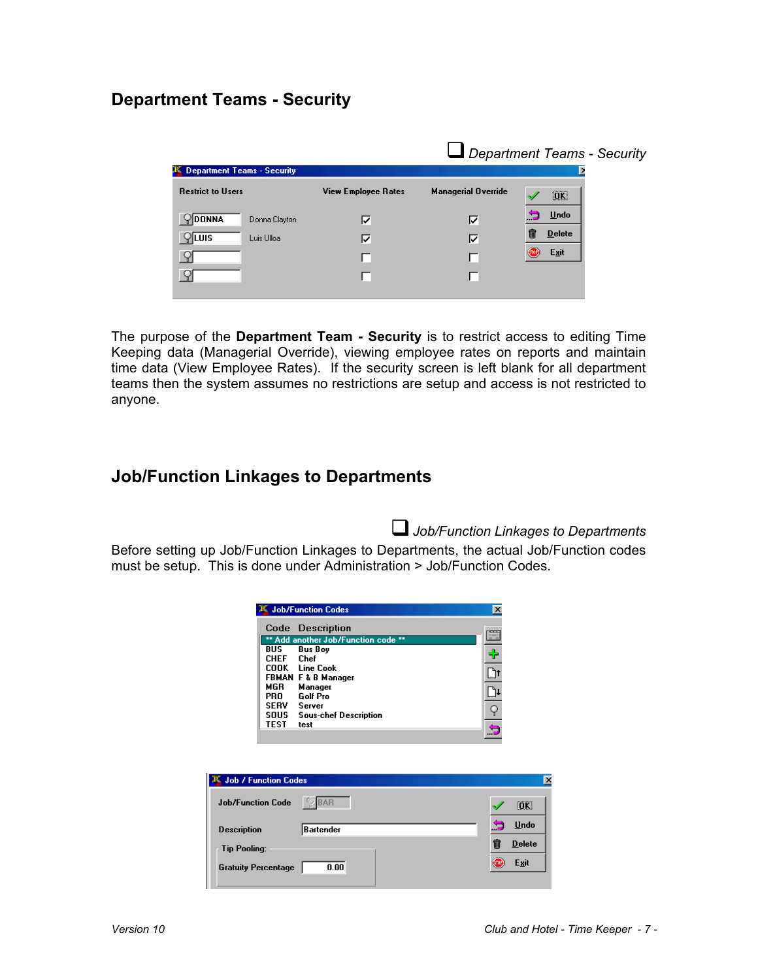## <span id="page-9-0"></span>**Department Teams - Security**

|                                          |                            |                            | Department Teams - Security |
|------------------------------------------|----------------------------|----------------------------|-----------------------------|
| <b>Department Teams - Security</b><br>в, |                            |                            |                             |
| <b>Restrict to Users</b>                 | <b>View Employee Rates</b> | <b>Managerial Override</b> | [OK]                        |
| DONNA<br>Donna Clayton                   | ⊽                          | ⊽                          | <b>Undo</b>                 |
| LUIS<br>Luis Ulloa                       | ঢ়                         | ⊽                          | 而<br><b>Delete</b>          |
|                                          |                            |                            | Exit                        |
|                                          |                            |                            |                             |
|                                          |                            |                            |                             |

The purpose of the **Department Team - Security** is to restrict access to editing Time Keeping data (Managerial Override), viewing employee rates on reports and maintain time data (View Employee Rates). If the security screen is left blank for all department teams then the system assumes no restrictions are setup and access is not restricted to anyone.

#### **Job/Function Linkages to Departments**

*Job/Function Linkages to Departments* 

Before setting up Job/Function Linkages to Departments, the actual Job/Function codes must be setup. This is done under Administration > Job/Function Codes.

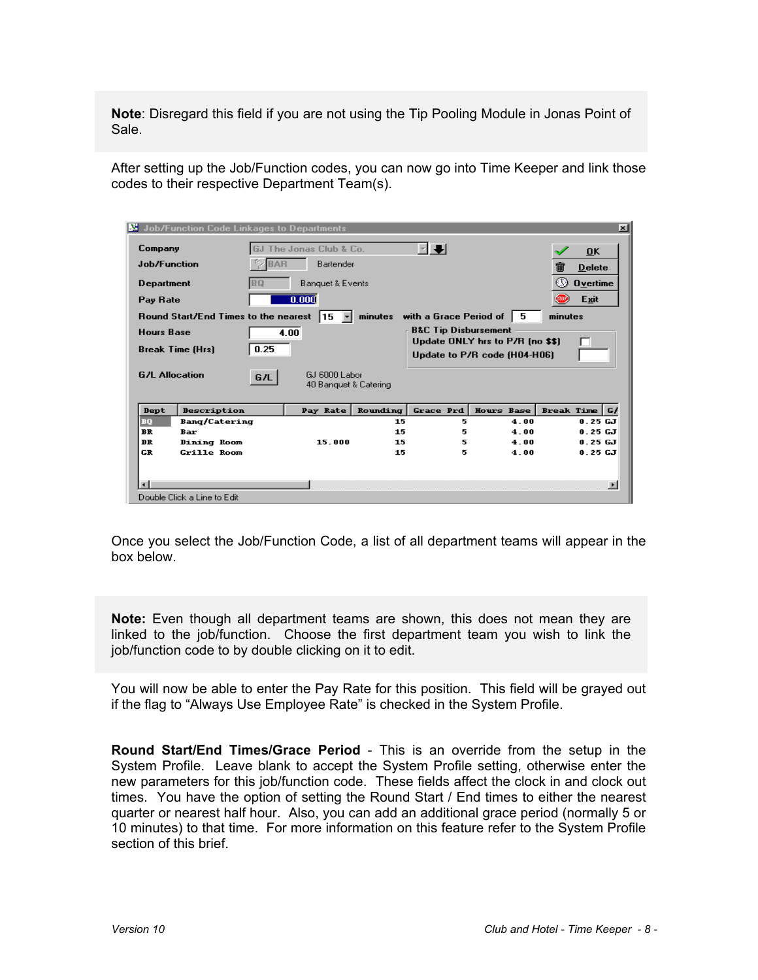**Note**: Disregard this field if you are not using the Tip Pooling Module in Jonas Point of Sale.

After setting up the Job/Function codes, you can now go into Time Keeper and link those codes to their respective Department Team(s).

| <b>W</b> Job/Function Code Linkages to Departments |            |                                        |          |                                 |                                                                  | $\vert x \vert$        |
|----------------------------------------------------|------------|----------------------------------------|----------|---------------------------------|------------------------------------------------------------------|------------------------|
| Company                                            |            | GJ The Jonas Club & Co.                |          | ≂ ∓i                            |                                                                  | <b>OK</b>              |
| Job/Function                                       | <b>BAR</b> | Bartender                              |          |                                 |                                                                  | ⋒<br><b>Delete</b>     |
| Department                                         | <b>BO</b>  | Banquet & Events                       |          |                                 |                                                                  | O)<br><b>Overtime</b>  |
| Pay Rate                                           |            | 0.000                                  |          |                                 |                                                                  | <b>STOP</b><br>Exit    |
| Round Start/End Times to the nearest               |            | 15                                     |          | minutes with a Grace Period of  | - 5                                                              | minutes                |
| <b>Hours Base</b>                                  |            | 4.00                                   |          | <b>B&amp;C Tip Disbursement</b> |                                                                  |                        |
| <b>Break Time (Hrs)</b>                            | 0.25       |                                        |          |                                 | Update ONLY hrs to P/R (no \$\$)<br>Update to P/R code (H04-H06) | г                      |
| <b>G/L Allocation</b>                              | G/L        | GJ 6000 Labor<br>40 Banquet & Catering |          |                                 |                                                                  |                        |
| Description<br>Dept                                |            | Pay Rate                               | Rounding | Grace Prd                       | <b>Hours Base</b>                                                | Break Time $ G $       |
| <b>BO</b><br><b>Bang/Catering</b>                  |            |                                        | 15       | 5                               | 4.00                                                             | 0.25GJ                 |
| <b>BR</b><br>Bar                                   |            |                                        | 15       | 5                               | 4.00<br>4.00                                                     | $0.25$ GJ<br>$0.25$ GJ |
| DR<br>Dining Room<br>GR<br>Grille Room             |            | 15.000                                 | 15<br>15 | 5.<br>5                         | 4.00                                                             | 0.25GJ                 |
|                                                    |            |                                        |          |                                 |                                                                  |                        |

Once you select the Job/Function Code, a list of all department teams will appear in the box below.

**Note:** Even though all department teams are shown, this does not mean they are linked to the job/function. Choose the first department team you wish to link the job/function code to by double clicking on it to edit.

You will now be able to enter the Pay Rate for this position. This field will be grayed out if the flag to "Always Use Employee Rate" is checked in the System Profile.

**Round Start/End Times/Grace Period** - This is an override from the setup in the System Profile. Leave blank to accept the System Profile setting, otherwise enter the new parameters for this job/function code. These fields affect the clock in and clock out times. You have the option of setting the Round Start / End times to either the nearest quarter or nearest half hour. Also, you can add an additional grace period (normally 5 or 10 minutes) to that time. For more information on this feature refer to the System Profile section of this brief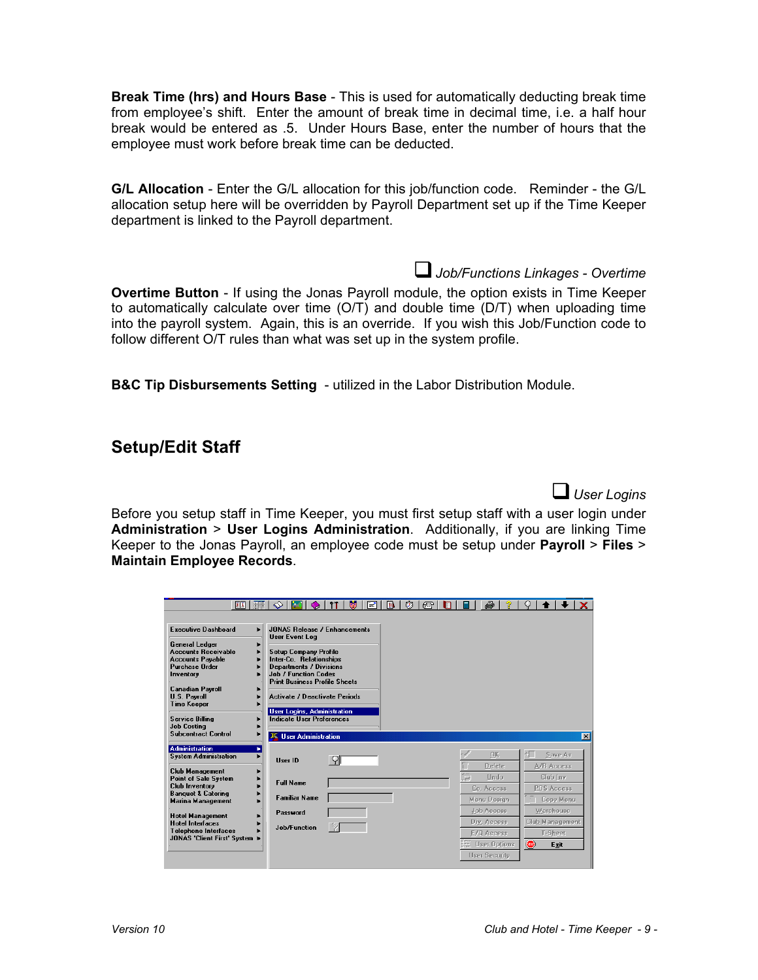<span id="page-11-0"></span>**Break Time (hrs) and Hours Base** - This is used for automatically deducting break time from employee's shift. Enter the amount of break time in decimal time, i.e. a half hour break would be entered as .5. Under Hours Base, enter the number of hours that the employee must work before break time can be deducted.

**G/L Allocation** - Enter the G/L allocation for this job/function code. Reminder - the G/L allocation setup here will be overridden by Payroll Department set up if the Time Keeper department is linked to the Payroll department.

 *Job/Functions Linkages - Overtime*  **Overtime Button** - If using the Jonas Payroll module, the option exists in Time Keeper to automatically calculate over time (O/T) and double time (D/T) when uploading time into the payroll system. Again, this is an override. If you wish this Job/Function code to follow different O/T rules than what was set up in the system profile.

**B&C Tip Disbursements Setting** - utilized in the Labor Distribution Module.

### **Setup/Edit Staff**

*User Logins* 

Before you setup staff in Time Keeper, you must first setup staff with a user login under **Administration** > **User Logins Administration**. Additionally, if you are linking Time Keeper to the Jonas Payroll, an employee code must be setup under **Payroll** > **Files** > **Maintain Employee Records**.

| 画面                                                                                                                                                                                                                                                                         | $\frac{1}{2}$                                                                                                                                                                                                                                                                                                                                                          |      | Φ |  |                                 |                                                                                               |           |                                                                                        |                 |
|----------------------------------------------------------------------------------------------------------------------------------------------------------------------------------------------------------------------------------------------------------------------------|------------------------------------------------------------------------------------------------------------------------------------------------------------------------------------------------------------------------------------------------------------------------------------------------------------------------------------------------------------------------|------|---|--|---------------------------------|-----------------------------------------------------------------------------------------------|-----------|----------------------------------------------------------------------------------------|-----------------|
| <b>Executive Dashhoard</b><br><b>General Ledger</b><br><b>Accounts Receivable</b><br><b>Accounts Payable</b><br><b>Purchase Order</b><br>Inventory<br><b>Canadian Payroll</b><br><b>U.S. Pavroll</b><br><b>Time Keeper</b><br><b>Service Billing</b><br><b>Job Costina</b> | <b>JONAS Release / Enhancements</b><br>ы<br><b>User Event Log</b><br>▶<br><b>Setup Company Profile</b><br>ь<br>Inter-Co. Relationships<br>▶<br><b>Departments / Divisions</b><br><b>Job / Function Codes</b><br><b>Print Business Profile Sheets</b><br><b>Activate / Deactivate Periods</b><br><b>User Logins, Administration</b><br><b>Indicate User Preferences</b> |      |   |  |                                 |                                                                                               |           |                                                                                        |                 |
| <b>Subcontract Control</b><br><b>Administration</b><br><b>System Administration</b><br><b>Club Management</b>                                                                                                                                                              | <sup>2</sup> User Administration<br>ь<br>User ID                                                                                                                                                                                                                                                                                                                       | - 91 |   |  |                                 | <b>OK</b><br>Delete                                                                           |           | Save As<br>A/R Access                                                                  | $\vert x \vert$ |
| <b>Point of Sale System</b><br><b>Club Inventory</b><br><b>Banquet &amp; Catering</b><br><b>Marina Management</b><br><b>Hotel Management</b><br><b>Hotel Interfaces</b><br><b>Telephone Interfaces</b><br>JONAS 'Client First' System                                      | <b>Full Name</b><br><b>Familiar Name</b><br>Password<br>Job/Function                                                                                                                                                                                                                                                                                                   |      |   |  | í e<br><b>Exit User Options</b> | Undo<br>Co. Access<br>Menu Design<br>Job Access<br>Div. Access<br>E/Q Access<br>User Security | $\bullet$ | Club Inv<br>POS Access<br>Copy Menu<br>Warehouse<br>Club Management<br>T-Sheet<br>Exit |                 |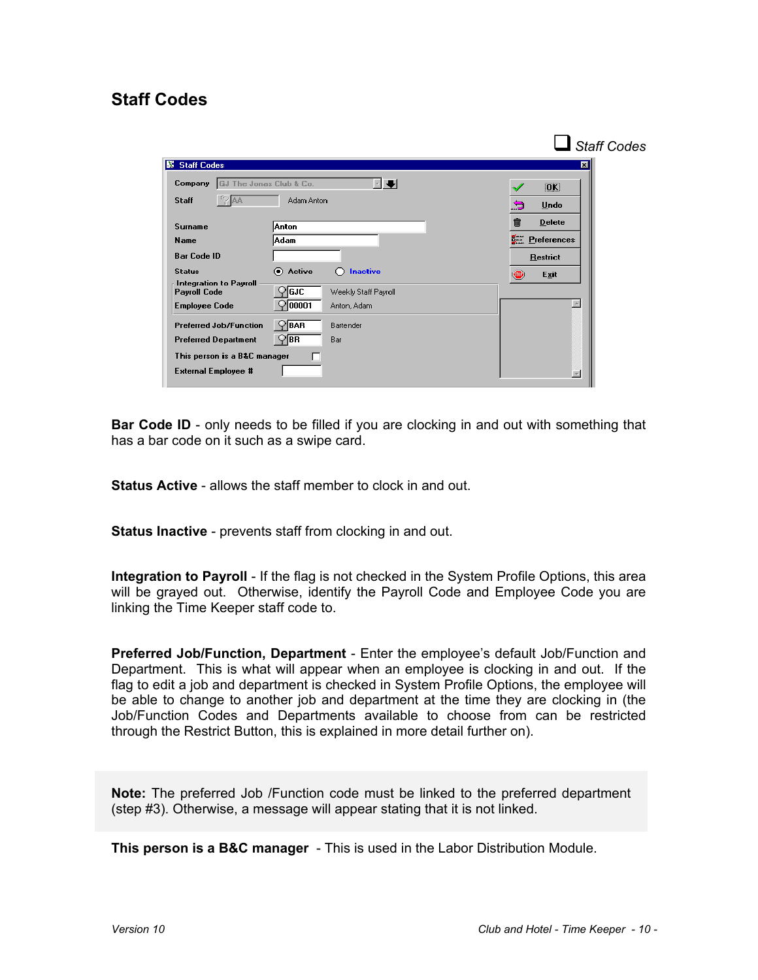## <span id="page-12-0"></span>**Staff Codes**



**Bar Code ID** - only needs to be filled if you are clocking in and out with something that has a bar code on it such as a swipe card.

**Status Active** - allows the staff member to clock in and out.

**Status Inactive** - prevents staff from clocking in and out.

**Integration to Payroll** - If the flag is not checked in the System Profile Options, this area will be grayed out. Otherwise, identify the Payroll Code and Employee Code you are linking the Time Keeper staff code to.

**Preferred Job/Function, Department** - Enter the employee's default Job/Function and Department. This is what will appear when an employee is clocking in and out. If the flag to edit a job and department is checked in System Profile Options, the employee will be able to change to another job and department at the time they are clocking in (the Job/Function Codes and Departments available to choose from can be restricted through the Restrict Button, this is explained in more detail further on).

**Note:** The preferred Job /Function code must be linked to the preferred department (step #3). Otherwise, a message will appear stating that it is not linked.

**This person is a B&C manager** - This is used in the Labor Distribution Module.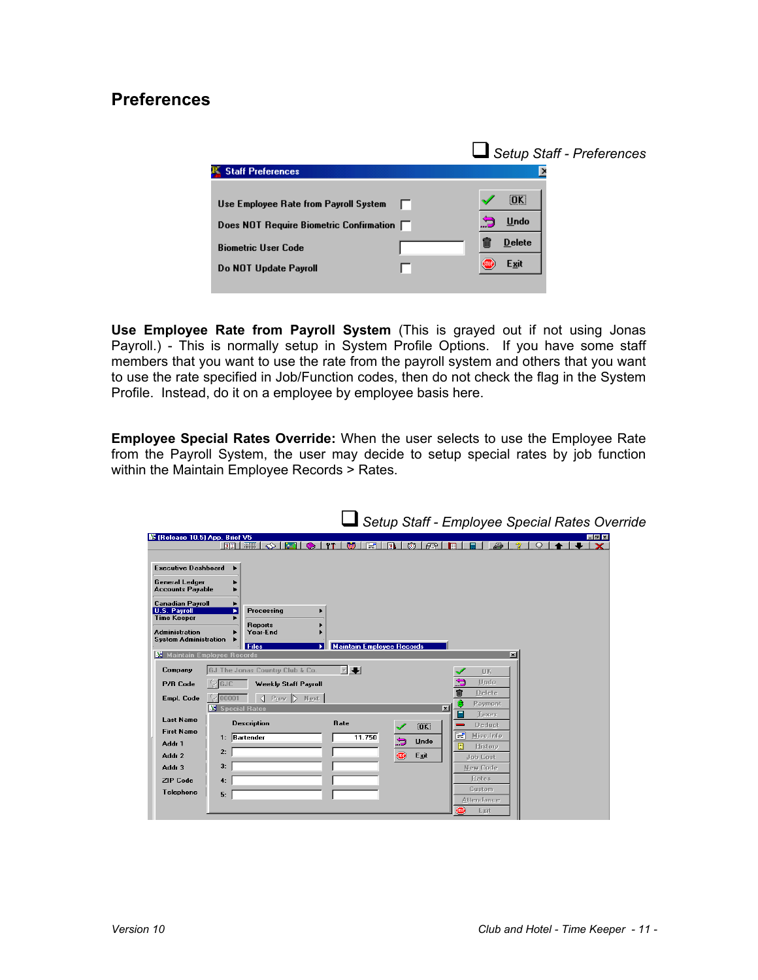#### <span id="page-13-0"></span>**Preferences**

|                                                                                                                                              | $\blacksquare$ Setup Staff - Preferences     |
|----------------------------------------------------------------------------------------------------------------------------------------------|----------------------------------------------|
| <b>P.</b> Staff Preferences                                                                                                                  | Þ                                            |
| Use Employee Rate from Payroll System<br>L<br>Does NOT Require Biometric Confirmation<br><b>Biometric User Code</b><br>Do NOT Update Payroll | [OK]<br><b>Undo</b><br><b>Delete</b><br>Exit |

**Use Employee Rate from Payroll System** (This is grayed out if not using Jonas Payroll.) - This is normally setup in System Profile Options. If you have some staff members that you want to use the rate from the payroll system and others that you want to use the rate specified in Job/Function codes, then do not check the flag in the System Profile. Instead, do it on a employee by employee basis here.

**Employee Special Rates Override:** When the user selects to use the Employee Rate from the Payroll System, the user may decide to setup special rates by job function within the Maintain Employee Records > Rates.

|                                                                                                                                                                                                                                                                                                                                                            |                                                                                                       | Setup Staff - Employee Special Rates Override                                                                                                                                                                    |
|------------------------------------------------------------------------------------------------------------------------------------------------------------------------------------------------------------------------------------------------------------------------------------------------------------------------------------------------------------|-------------------------------------------------------------------------------------------------------|------------------------------------------------------------------------------------------------------------------------------------------------------------------------------------------------------------------|
| 图 (Release 10.5) App. Brief V5<br>画工   講談<br>$\Diamond$                                                                                                                                                                                                                                                                                                    | ক<br>ਦ<br>$\sqrt{m}$                                                                                  | $\blacksquare$ e x<br>昼                                                                                                                                                                                          |
| <b>Executive Dashboard</b><br><b>General Ledger</b><br><b>Accounts Payable</b><br><b>Canadian Payroll</b><br><b>U.S. Payroll</b><br>Processing<br>ь<br><b>Time Keeper</b><br><b>Reports</b><br><b>Administration</b><br>Year-End<br><b>System Administration</b><br>ь<br>Files<br>ы<br>Maintain Employee Records                                           | <b>Maintain Employee Records</b>                                                                      | $\vert x \vert$                                                                                                                                                                                                  |
| GJ The Jonas Country Club & Co.<br>Company<br>P/R Code<br>GJC<br>Weekly Staff Payroll<br>$\triangleleft$<br>$P_{\text{rev}}$<br>Next<br>00001<br><b>Empl. Code</b><br>Special Rates<br><b>Last Name</b><br><b>Description</b><br><b>First Name</b><br>$1:$ Bartender<br>Addr 1<br>2:<br>Addr 2<br>3:<br>Addr 3<br><b>ZIP Code</b><br>4:<br>Telephone<br>5: | $\overline{\phantom{a}}$<br>$\vert x \vert$<br>Rate<br>[OK]<br>11.750<br>s<br>Undo<br>$\circ$<br>Exit | <b>OK</b><br>Undo<br><b>Delete</b><br>Payment<br>83<br>圃<br>Taxes<br>Deduct<br>F<br>Misc.Info<br>圖<br>History<br><b>Job Cost</b><br>New Code<br><b>Rates</b><br>Custom<br><b>Attendance</b><br>$\bullet$<br>Exit |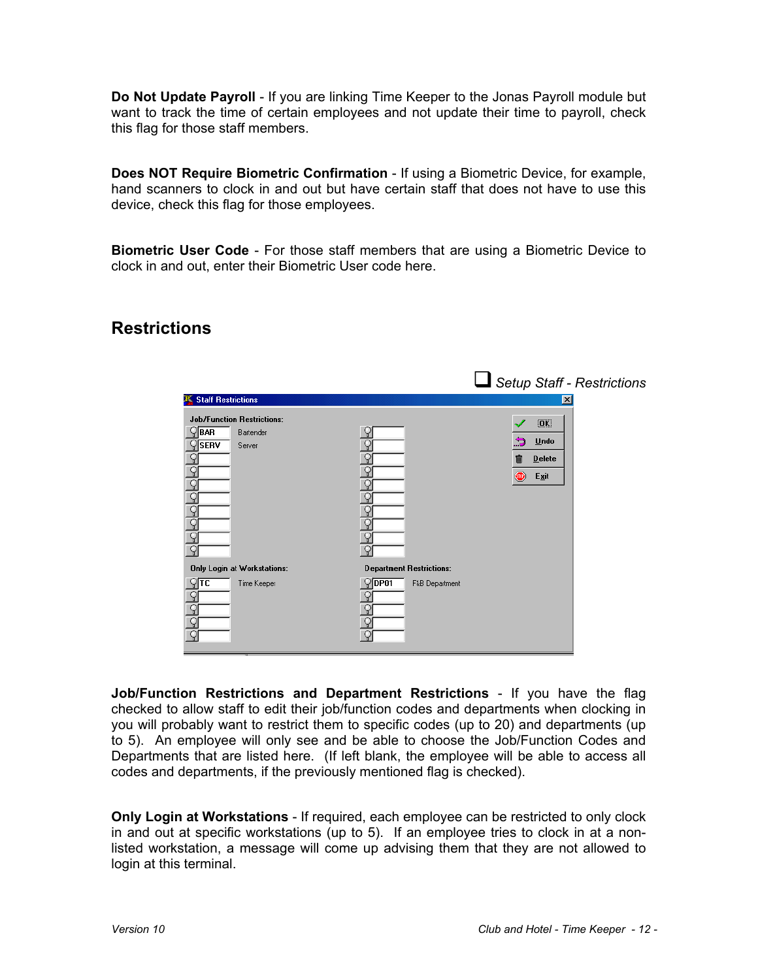<span id="page-14-0"></span>**Do Not Update Payroll** - If you are linking Time Keeper to the Jonas Payroll module but want to track the time of certain employees and not update their time to payroll, check this flag for those staff members.

**Does NOT Require Biometric Confirmation** - If using a Biometric Device, for example, hand scanners to clock in and out but have certain staff that does not have to use this device, check this flag for those employees.

**Biometric User Code** - For those staff members that are using a Biometric Device to clock in and out, enter their Biometric User code here.

### **Restrictions**



**Job/Function Restrictions and Department Restrictions** - If you have the flag checked to allow staff to edit their job/function codes and departments when clocking in you will probably want to restrict them to specific codes (up to 20) and departments (up to 5). An employee will only see and be able to choose the Job/Function Codes and Departments that are listed here. (If left blank, the employee will be able to access all codes and departments, if the previously mentioned flag is checked).

**Only Login at Workstations** - If required, each employee can be restricted to only clock in and out at specific workstations (up to 5). If an employee tries to clock in at a nonlisted workstation, a message will come up advising them that they are not allowed to login at this terminal.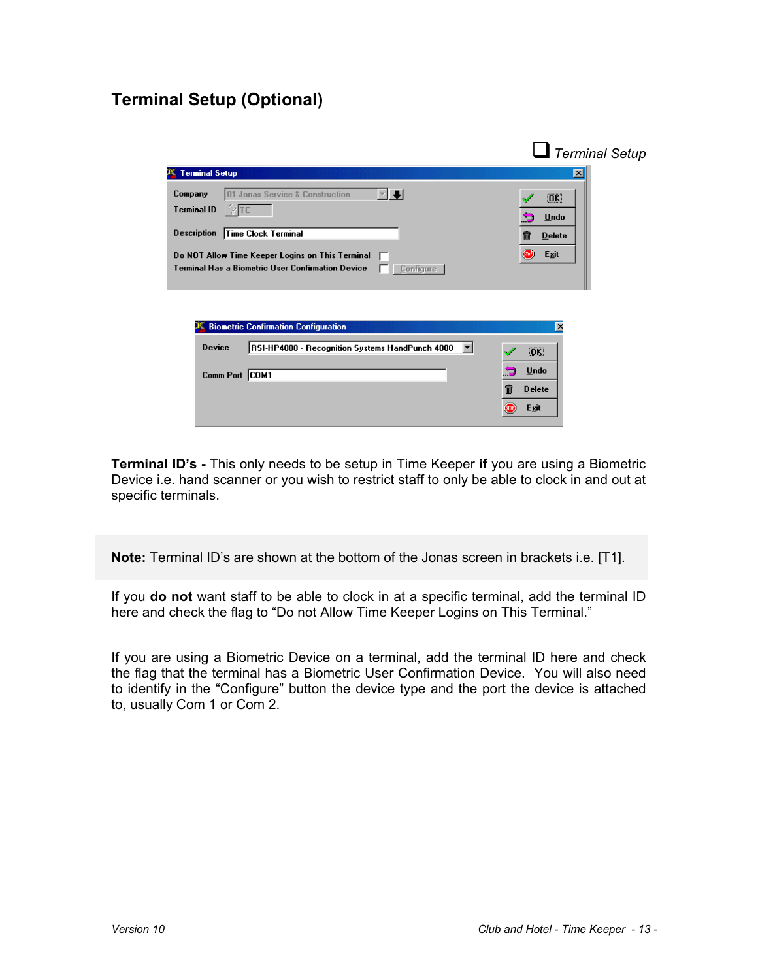## <span id="page-15-0"></span>**Terminal Setup (Optional)**

|                                                                                                                                                                                                                                              | $\blacksquare$ Terminal Setup                                  |
|----------------------------------------------------------------------------------------------------------------------------------------------------------------------------------------------------------------------------------------------|----------------------------------------------------------------|
| <b>Terminal Setup</b>                                                                                                                                                                                                                        | $\vert x \vert$                                                |
| ≂ I ∓l<br>01 Jonas Service & Construction<br>Company<br><b>Terminal ID</b><br>Description   Time Clock Terminal<br>Do NOT Allow Time Keeper Logins on This Terminal<br><b>Terminal Has a Biometric User Confirmation Device</b><br>Configure | [OK]<br>.3<br>Undo<br><b>Delete</b><br>俪<br><b>SID</b><br>Exit |
| <b>Biometric Confirmation Configuration</b><br>RSI-HP4000 - Recognition Systems HandPunch 4000<br>Device<br>◘<br>Comm Port COM1                                                                                                              | $\mathsf{x}$<br>0K<br>Undo<br><b>Delete</b><br>俪               |
|                                                                                                                                                                                                                                              | Exit<br>śmP                                                    |

**Terminal ID's -** This only needs to be setup in Time Keeper **if** you are using a Biometric Device i.e. hand scanner or you wish to restrict staff to only be able to clock in and out at specific terminals.

**Note:** Terminal ID's are shown at the bottom of the Jonas screen in brackets i.e. [T1].

If you **do not** want staff to be able to clock in at a specific terminal, add the terminal ID here and check the flag to "Do not Allow Time Keeper Logins on This Terminal."

If you are using a Biometric Device on a terminal, add the terminal ID here and check the flag that the terminal has a Biometric User Confirmation Device. You will also need to identify in the "Configure" button the device type and the port the device is attached to, usually Com 1 or Com 2.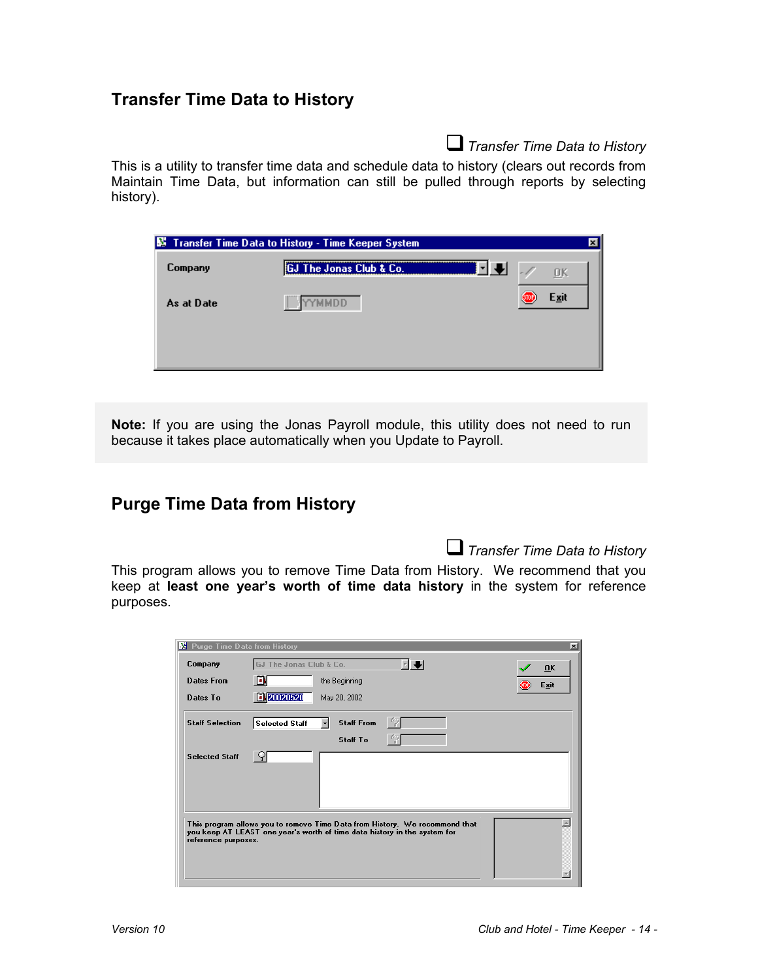#### <span id="page-16-0"></span>**Transfer Time Data to History**

*Transfer Time Data to History* 

This is a utility to transfer time data and schedule data to history (clears out records from Maintain Time Data, but information can still be pulled through reports by selecting history).

|            | <b>E</b> Transfer Time Data to History - Time Keeper System | $\boldsymbol{\mathsf{x}}$ |
|------------|-------------------------------------------------------------|---------------------------|
| Company    | <br><b>GJ The Jonas Club &amp; Co.</b><br>0K                |                           |
| As at Date | Exit<br><b>MMDD</b>                                         |                           |
|            |                                                             |                           |
|            |                                                             |                           |

**Note:** If you are using the Jonas Payroll module, this utility does not need to run because it takes place automatically when you Update to Payroll.

### **Purge Time Data from History**

*Transfer Time Data to History* 

This program allows you to remove Time Data from History. We recommend that you keep at **least one year's worth of time data history** in the system for reference purposes.

|                                                                                                                                                                                 |                         |                                               |     | $\vert x \vert$ |  |  |  |  |  |
|---------------------------------------------------------------------------------------------------------------------------------------------------------------------------------|-------------------------|-----------------------------------------------|-----|-----------------|--|--|--|--|--|
| Purge Time Data from History                                                                                                                                                    |                         |                                               |     |                 |  |  |  |  |  |
| Company                                                                                                                                                                         | GJ The Jonas Club & Co. |                                               | - J | 0K              |  |  |  |  |  |
| <b>Dates From</b>                                                                                                                                                               | 圖                       | the Beginning                                 |     | Exit            |  |  |  |  |  |
| Dates To                                                                                                                                                                        | ■ 20020520              | May 20, 2002                                  |     |                 |  |  |  |  |  |
| <b>Staff Selection</b>                                                                                                                                                          | <b>Selected Staff</b>   | <b>Staff From</b><br>$\overline{\phantom{a}}$ | -9  |                 |  |  |  |  |  |
|                                                                                                                                                                                 |                         | <b>Staff To</b>                               |     |                 |  |  |  |  |  |
| <b>Selected Staff</b>                                                                                                                                                           |                         |                                               |     |                 |  |  |  |  |  |
|                                                                                                                                                                                 |                         |                                               |     |                 |  |  |  |  |  |
|                                                                                                                                                                                 |                         |                                               |     |                 |  |  |  |  |  |
|                                                                                                                                                                                 |                         |                                               |     |                 |  |  |  |  |  |
| This program allows you to remove Time Data from History. We recommend that<br>you keep AT LEAST one year's worth of time data history in the system for<br>reference purposes. |                         |                                               |     |                 |  |  |  |  |  |
|                                                                                                                                                                                 |                         |                                               |     |                 |  |  |  |  |  |
|                                                                                                                                                                                 |                         |                                               |     |                 |  |  |  |  |  |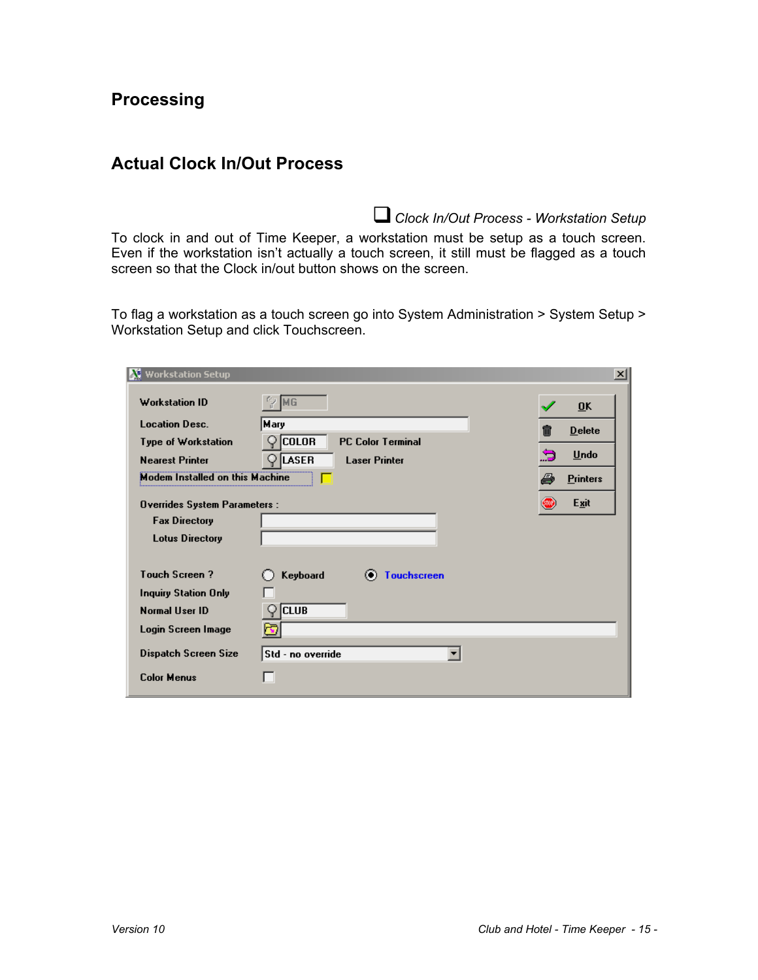## <span id="page-17-0"></span>**Processing**

### **Actual Clock In/Out Process**

 *Clock In/Out Process - Workstation Setup*  To clock in and out of Time Keeper, a workstation must be setup as a touch screen. Even if the workstation isn't actually a touch screen, it still must be flagged as a touch screen so that the Clock in/out button shows on the screen.

To flag a workstation as a touch screen go into System Administration > System Setup > Workstation Setup and click Touchscreen.

| <b>Workstation Setup</b>               |                                          | $\vert x \vert$           |
|----------------------------------------|------------------------------------------|---------------------------|
| <b>Workstation ID</b>                  | MG                                       | $\overline{\mathbf{0}}$ K |
| <b>Location Desc.</b>                  | Mary                                     | <b>Delete</b><br>丽        |
| Type of Workstation                    | <b>COLOR</b><br><b>PC Color Terminal</b> |                           |
| <b>Nearest Printer</b>                 | LASER<br><b>Laser Printer</b>            | Undo<br>æ                 |
| <b>Modem Installed on this Machine</b> |                                          | ê<br><b>Printers</b>      |
| Overrides System Parameters :          |                                          | ▥<br>Exit                 |
| <b>Fax Directory</b>                   |                                          |                           |
| <b>Lotus Directory</b>                 |                                          |                           |
|                                        |                                          |                           |
| <b>Touch Screen?</b>                   | Keyboard<br><b>Touchscreen</b>           |                           |
| <b>Inquiry Station Only</b>            |                                          |                           |
| <b>Normal User ID</b>                  | <b>CLUB</b>                              |                           |
| Login Screen Image                     |                                          |                           |
| <b>Dispatch Screen Size</b>            | Std - no override                        |                           |
| <b>Color Menus</b>                     |                                          |                           |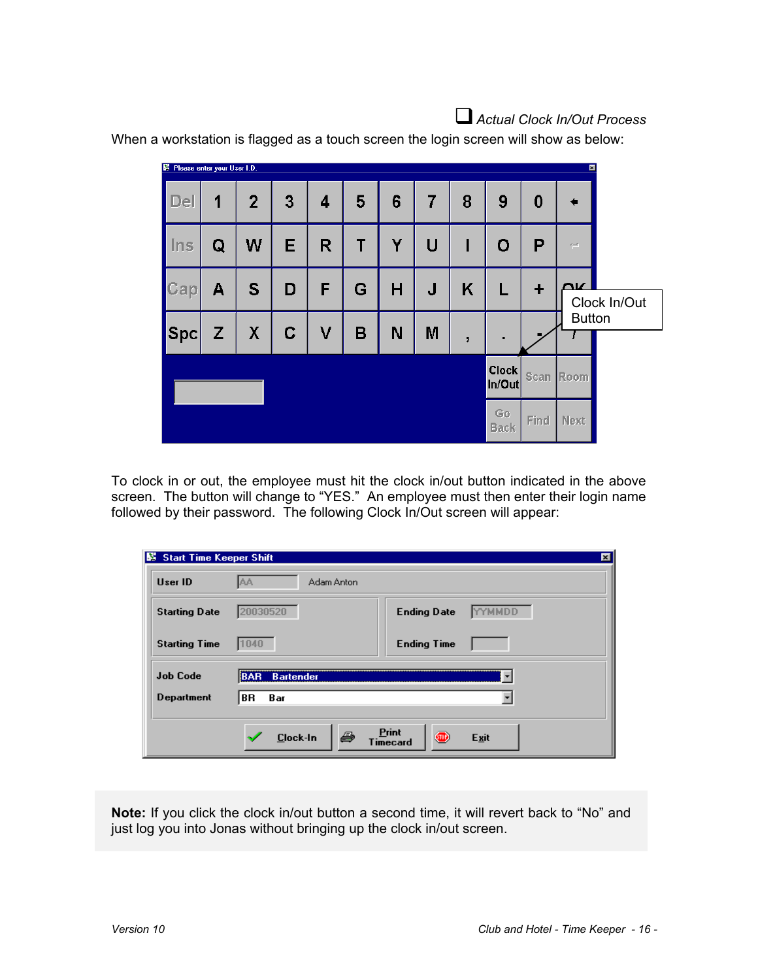*Actual Clock In/Out Process* 

S Please enter your User I.D. Del 1  $\overline{2}$ 3 4 5 6  $\overline{7}$ 8 9 0 €  $Ins$ W E R. T Y U  $\mathbf{I}$ O P Q Л  $\overline{\mathsf{N}}$ S F Cap  $\mathbf{A}$ D G н J K L Ŧ. Clock In/Out **Button Spc**  $\mathsf{Z}$ Ć V X B N M  $\overline{\phantom{a}}$ í, **Clock** Scan Room In/Out  $Go$ Find Next **Back** 

<span id="page-18-0"></span>When a workstation is flagged as a touch screen the login screen will show as below:

To clock in or out, the employee must hit the clock in/out button indicated in the above screen. The button will change to "YES." An employee must then enter their login name followed by their password. The following Clock In/Out screen will appear:

| Start Time Keeper Shift |                                                                  | × |
|-------------------------|------------------------------------------------------------------|---|
| User ID                 | AA<br>Adam Anton                                                 |   |
| <b>Starting Date</b>    | YYMMDD<br><b>Ending Date</b><br>20030520                         |   |
| <b>Starting Time</b>    | 1040<br><b>Ending Time</b>                                       |   |
| <b>Job Code</b>         | <b>BAR</b><br><b>Bartender</b>                                   |   |
| Department              | IBR.<br>Bar                                                      |   |
|                         | Print<br>Ø<br>Clock-In<br><b>STOP</b><br>Exit<br><b>Timecard</b> |   |

**Note:** If you click the clock in/out button a second time, it will revert back to "No" and just log you into Jonas without bringing up the clock in/out screen.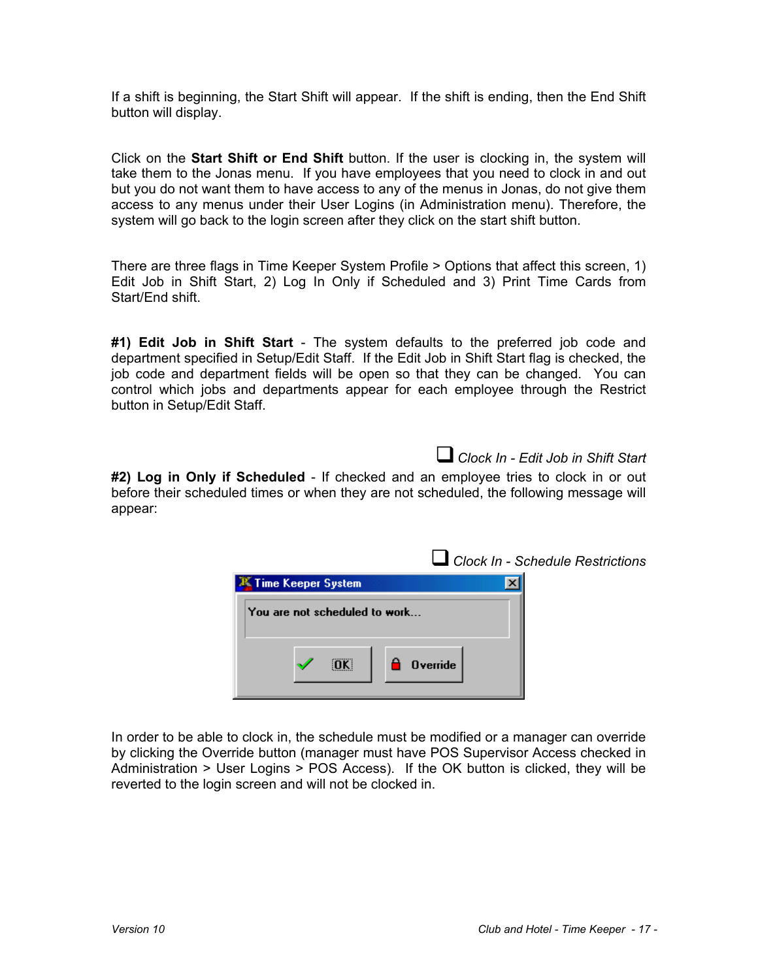<span id="page-19-0"></span>If a shift is beginning, the Start Shift will appear. If the shift is ending, then the End Shift button will display.

Click on the **Start Shift or End Shift** button. If the user is clocking in, the system will take them to the Jonas menu. If you have employees that you need to clock in and out but you do not want them to have access to any of the menus in Jonas, do not give them access to any menus under their User Logins (in Administration menu). Therefore, the system will go back to the login screen after they click on the start shift button.

There are three flags in Time Keeper System Profile > Options that affect this screen, 1) Edit Job in Shift Start, 2) Log In Only if Scheduled and 3) Print Time Cards from Start/End shift.

**#1) Edit Job in Shift Start** - The system defaults to the preferred job code and department specified in Setup/Edit Staff. If the Edit Job in Shift Start flag is checked, the job code and department fields will be open so that they can be changed. You can control which jobs and departments appear for each employee through the Restrict button in Setup/Edit Staff.

*Clock In - Edit Job in Shift Start* 

**#2) Log in Only if Scheduled** - If checked and an employee tries to clock in or out before their scheduled times or when they are not scheduled, the following message will appear:



In order to be able to clock in, the schedule must be modified or a manager can override by clicking the Override button (manager must have POS Supervisor Access checked in Administration > User Logins > POS Access). If the OK button is clicked, they will be reverted to the login screen and will not be clocked in.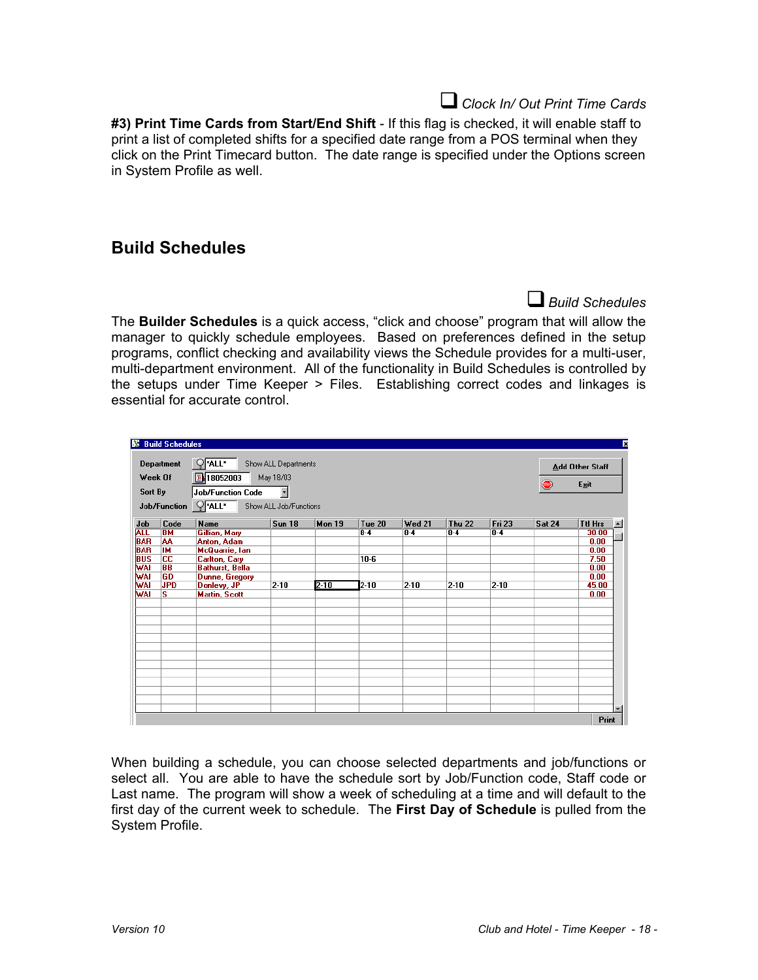<span id="page-20-0"></span>**#3) Print Time Cards from Start/End Shift** - If this flag is checked, it will enable staff to print a list of completed shifts for a specified date range from a POS terminal when they click on the Print Timecard button. The date range is specified under the Options screen in System Profile as well.

#### **Build Schedules**

*Build Schedules* 

*Clock In/ Out Print Time Cards* 

The **Builder Schedules** is a quick access, "click and choose" program that will allow the manager to quickly schedule employees. Based on preferences defined in the setup programs, conflict checking and availability views the Schedule provides for a multi-user, multi-department environment. All of the functionality in Build Schedules is controlled by the setups under Time Keeper > Files. Establishing correct codes and linkages is essential for accurate control.

|                          | Department                          | $Q$ *ALL*<br>Show ALL Departments       |                          |        |                  |          |               |                  |               | Add Other Staff |
|--------------------------|-------------------------------------|-----------------------------------------|--------------------------|--------|------------------|----------|---------------|------------------|---------------|-----------------|
| Week Of                  |                                     | 图 18052003                              | May 18/03                |        |                  |          |               |                  | $\bullet$     | Exit            |
| Sort By                  |                                     | Job/Function Code                       | $\overline{\phantom{a}}$ |        |                  |          |               |                  |               |                 |
|                          | Job/Function                        | $\sqrt{2}$ *ALL*                        | Show ALL Job/Functions   |        |                  |          |               |                  |               |                 |
| Job                      | Code                                | <b>Name</b>                             | Sun 18                   | Mon 19 | <b>Tue 20</b>    | Wed 21   | <b>Thu 22</b> | <b>Fri 23</b>    | <b>Sat 24</b> | <b>Ttl Hrs</b>  |
| <b>ALL</b>               | <b>BM</b>                           | Gillian, Mary                           |                          |        | $\overline{8-4}$ | $8-4$    | $8-4$         | $\overline{8-4}$ |               | 30.00           |
| <b>BAR</b>               | AA                                  | Anton, Adam                             |                          |        |                  |          |               |                  |               | 0.00            |
| <b>BAR</b><br><b>BUS</b> | <b>TM</b><br>$\overline{\text{cc}}$ | McQuarrie, Ian                          |                          |        | $10-6$           |          |               |                  |               | 0.00<br>7.50    |
| <b>WAI</b>               | <b>BB</b>                           | Carlton, Cary<br><b>Bathurst, Bella</b> |                          |        |                  |          |               |                  |               | 0.00            |
| WAI                      | <b>GD</b>                           | Dunne, Gregory                          |                          |        |                  |          |               |                  |               | 0.00            |
| <b>WAI</b>               | <b>JPD</b>                          | Donlevy, JP                             | $2 - 10$                 | $2-10$ | $2 - 10$         | $2 - 10$ | $2 - 10$      | $2 - 10$         |               | 45.00           |
| WAI                      | s                                   | <b>Martin, Scott</b>                    |                          |        |                  |          |               |                  |               | 0.00            |
|                          |                                     |                                         |                          |        |                  |          |               |                  |               |                 |
|                          |                                     |                                         |                          |        |                  |          |               |                  |               |                 |
|                          |                                     |                                         |                          |        |                  |          |               |                  |               |                 |
|                          |                                     |                                         |                          |        |                  |          |               |                  |               |                 |
|                          |                                     |                                         |                          |        |                  |          |               |                  |               |                 |
|                          |                                     |                                         |                          |        |                  |          |               |                  |               |                 |
|                          |                                     |                                         |                          |        |                  |          |               |                  |               |                 |
|                          |                                     |                                         |                          |        |                  |          |               |                  |               |                 |
|                          |                                     |                                         |                          |        |                  |          |               |                  |               |                 |
|                          |                                     |                                         |                          |        |                  |          |               |                  |               |                 |
|                          |                                     |                                         |                          |        |                  |          |               |                  |               |                 |

When building a schedule, you can choose selected departments and job/functions or select all. You are able to have the schedule sort by Job/Function code, Staff code or Last name. The program will show a week of scheduling at a time and will default to the first day of the current week to schedule. The **First Day of Schedule** is pulled from the System Profile.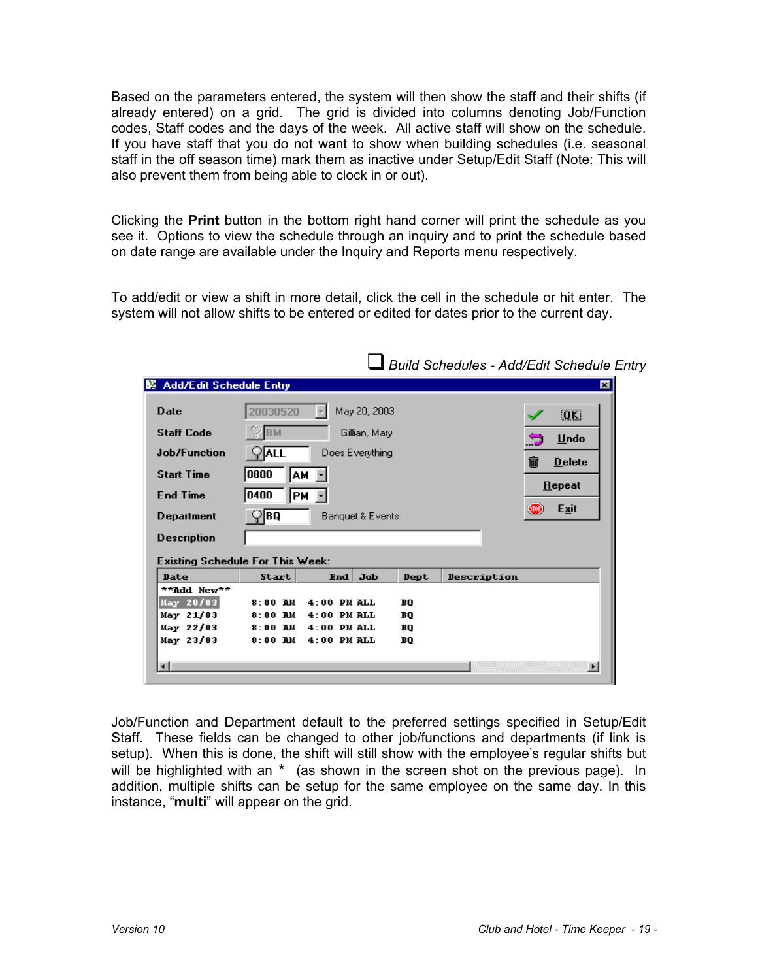<span id="page-21-0"></span>Based on the parameters entered, the system will then show the staff and their shifts (if already entered) on a grid. The grid is divided into columns denoting Job/Function codes, Staff codes and the days of the week. All active staff will show on the schedule. If you have staff that you do not want to show when building schedules (i.e. seasonal staff in the off season time) mark them as inactive under Setup/Edit Staff (Note: This will also prevent them from being able to clock in or out).

Clicking the **Print** button in the bottom right hand corner will print the schedule as you see it. Options to view the schedule through an inquiry and to print the schedule based on date range are available under the Inquiry and Reports menu respectively.

To add/edit or view a shift in more detail, click the cell in the schedule or hit enter. The system will not allow shifts to be entered or edited for dates prior to the current day.

| 图 Add/Edit Schedule Entry               |                        |               |                  |      |             |      |               | ⊠ |
|-----------------------------------------|------------------------|---------------|------------------|------|-------------|------|---------------|---|
| Date                                    | 20030520               |               | May 20, 2003     |      |             |      | OK!           |   |
| <b>Staff Code</b>                       | BM                     |               | Gillian, Mary    |      |             |      | Undo          |   |
| Job/Function                            | VALL                   |               | Does Everything  |      |             | 俪    | <b>Delete</b> |   |
| <b>Start Time</b>                       | 0800                   | AМ            |                  |      |             |      | Repeat        |   |
| <b>End Time</b>                         | 0400                   | PМ            |                  |      |             | SWD) | Exit          |   |
| Department                              | ©∣BQ                   |               | Banquet & Events |      |             |      |               |   |
| <b>Description</b>                      |                        |               |                  |      |             |      |               |   |
| <b>Existing Schedule For This Week:</b> |                        |               |                  |      |             |      |               |   |
| Date                                    | <b>Start</b>           | End           | <b>Job</b>       | Dept | Description |      |               |   |
| **Add New**                             |                        |               |                  |      |             |      |               |   |
| May 20/03                               | $8:00$ $\overline{BM}$ | $4:00$ PM ALL |                  | вo   |             |      |               |   |
| May 21/03                               | $8:00$ AM              | $4:00$ PM ALL |                  | BO   |             |      |               |   |
| May 22/03                               | $8:00$ AM              | $4:00$ PM ALL |                  | BO   |             |      |               |   |
| May 23/03                               | $8:00$ AM              | $4:00$ PM ALL |                  | вo   |             |      |               |   |
|                                         |                        |               |                  |      |             |      |               | 브 |

*Build Schedules - Add/Edit Schedule Entry* 

Job/Function and Department default to the preferred settings specified in Setup/Edit Staff. These fields can be changed to other job/functions and departments (if link is setup). When this is done, the shift will still show with the employee's regular shifts but will be highlighted with an **\*** (as shown in the screen shot on the previous page). In addition, multiple shifts can be setup for the same employee on the same day. In this instance, "**multi**" will appear on the grid.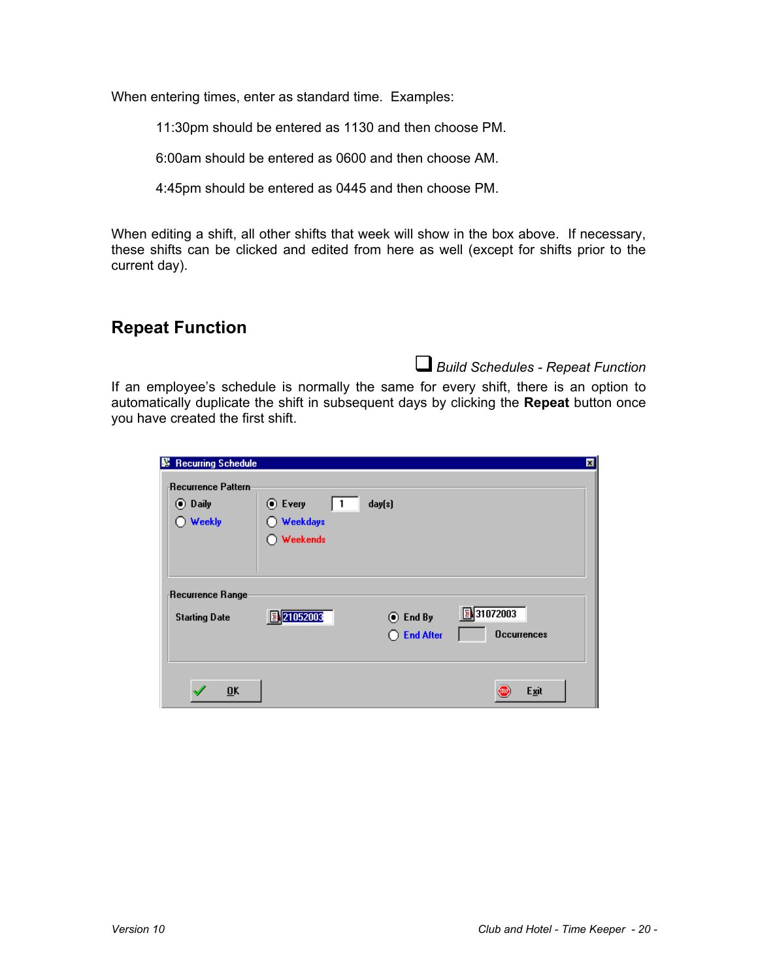<span id="page-22-0"></span>When entering times, enter as standard time. Examples:

11:30pm should be entered as 1130 and then choose PM.

6:00am should be entered as 0600 and then choose AM.

4:45pm should be entered as 0445 and then choose PM.

When editing a shift, all other shifts that week will show in the box above. If necessary, these shifts can be clicked and edited from here as well (except for shifts prior to the current day).

### **Repeat Function**

*Build Schedules - Repeat Function*

If an employee's schedule is normally the same for every shift, there is an option to automatically duplicate the shift in subsequent days by clicking the **Repeat** button once you have created the first shift.

| <b>E</b> Recurring Schedule                                                                                                 |                                         |                                    |                                 | × |
|-----------------------------------------------------------------------------------------------------------------------------|-----------------------------------------|------------------------------------|---------------------------------|---|
| -Recurrence Pattern-<br><b>⊙</b> Daily<br>Weekly                                                                            | $\odot$ Every<br>◯ Weekdays<br>Weekends | day(s)                             |                                 |   |
| $\mathsf{\scriptstyle \mathsf{r}}$ Recurrence Range $\mathsf{\scriptstyle \mathsf{\scriptstyle r}}$<br><b>Starting Date</b> | 21052003<br>Þ                           | $\odot$ End By<br><b>End After</b> | 图31072003<br><b>Occurrences</b> |   |
| 0K                                                                                                                          |                                         |                                    | Exit                            |   |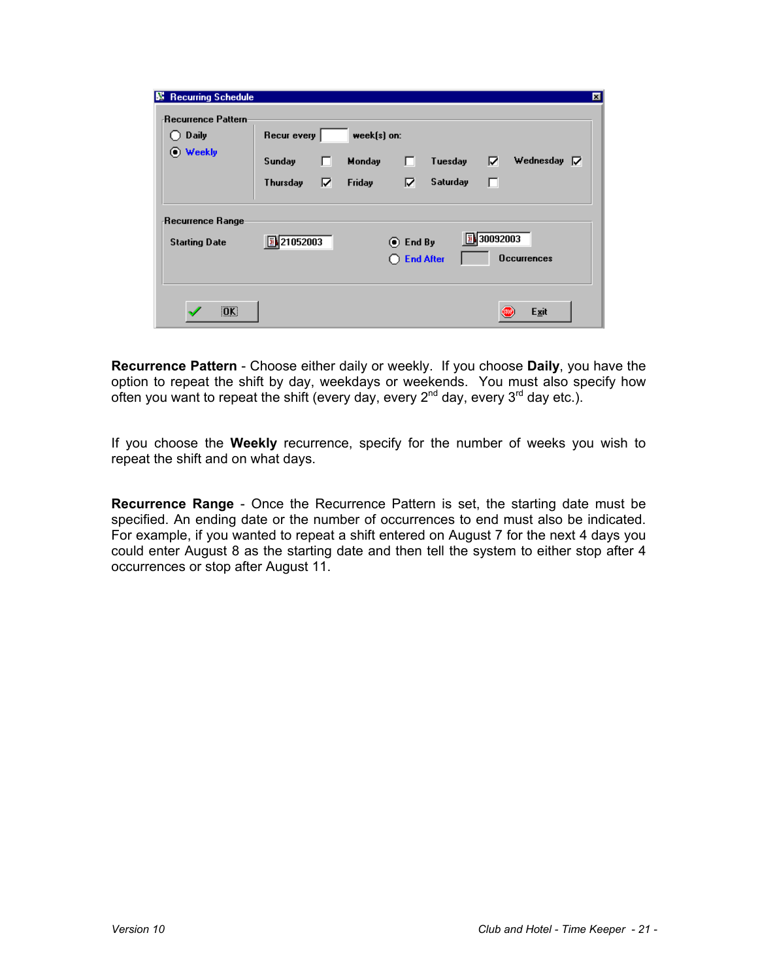| IS.<br><b>Recurring Schedule</b><br>-Recurrence Pattern |             |   |               |                                        |                 |            |                    | ⊠ |
|---------------------------------------------------------|-------------|---|---------------|----------------------------------------|-----------------|------------|--------------------|---|
| $\bigcirc$ Daily<br>(C) Weekly                          | Recur every |   | $week[s]$ on: |                                        |                 |            |                    |   |
|                                                         | Sunday      | ш | Monday        | П                                      | Tuesday         | ⊽          | Wednesday $\nabla$ |   |
|                                                         | Thursday    | R | Friday        | R                                      | <b>Saturday</b> | П          |                    |   |
| -Recurrence Range-<br><b>Starting Date</b>              | 图 21052003  |   |               | $\odot$ End By<br>$\bigcirc$ End After |                 | 图 30092003 | <b>Occurrences</b> |   |
| [OK]                                                    |             |   |               |                                        |                 |            | Exit               |   |

**Recurrence Pattern** - Choose either daily or weekly. If you choose **Daily**, you have the option to repeat the shift by day, weekdays or weekends. You must also specify how often you want to repeat the shift (every day, every  $2^{nd}$  day, every  $3^{rd}$  day etc.).

If you choose the **Weekly** recurrence, specify for the number of weeks you wish to repeat the shift and on what days.

**Recurrence Range** - Once the Recurrence Pattern is set, the starting date must be specified. An ending date or the number of occurrences to end must also be indicated. For example, if you wanted to repeat a shift entered on August 7 for the next 4 days you could enter August 8 as the starting date and then tell the system to either stop after 4 occurrences or stop after August 11.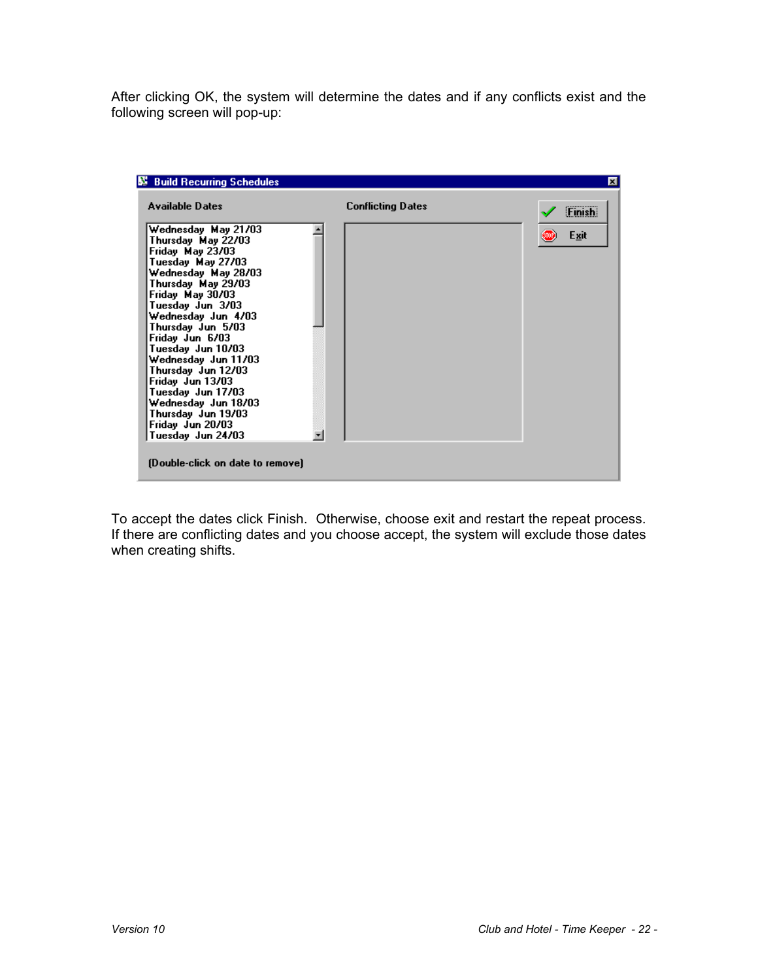After clicking OK, the system will determine the dates and if any conflicts exist and the following screen will pop-up:

| <b>Available Dates</b>                                                                                                                                                                                                                                                                                                                                                                                                                 | <b>Conflicting Dates</b> | Finish |
|----------------------------------------------------------------------------------------------------------------------------------------------------------------------------------------------------------------------------------------------------------------------------------------------------------------------------------------------------------------------------------------------------------------------------------------|--------------------------|--------|
| Wednesday May 21/03<br>Thursday May 22/03<br>Friday May 23/03<br>Tuesday May 27/03<br>Wednesday May 28/03<br>Thursday May 29/03<br>Friday May 30/03<br>Tuesday Jun 3/03<br>Wednesday Jun 4/03<br>Thursday Jun 5/03<br>Friday Jun 6/03<br>Tuesday Jun 10/03<br>Wednesday Jun 11/03<br>Thursday Jun 12/03<br>Friday Jun 13/03<br>Tuesday Jun 17/03<br>Wednesday Jun 18/03<br>Thursday Jun 19/03<br>Friday Jun 20/03<br>Tuesday Jun 24/03 |                          | Exit   |

To accept the dates click Finish. Otherwise, choose exit and restart the repeat process. If there are conflicting dates and you choose accept, the system will exclude those dates when creating shifts.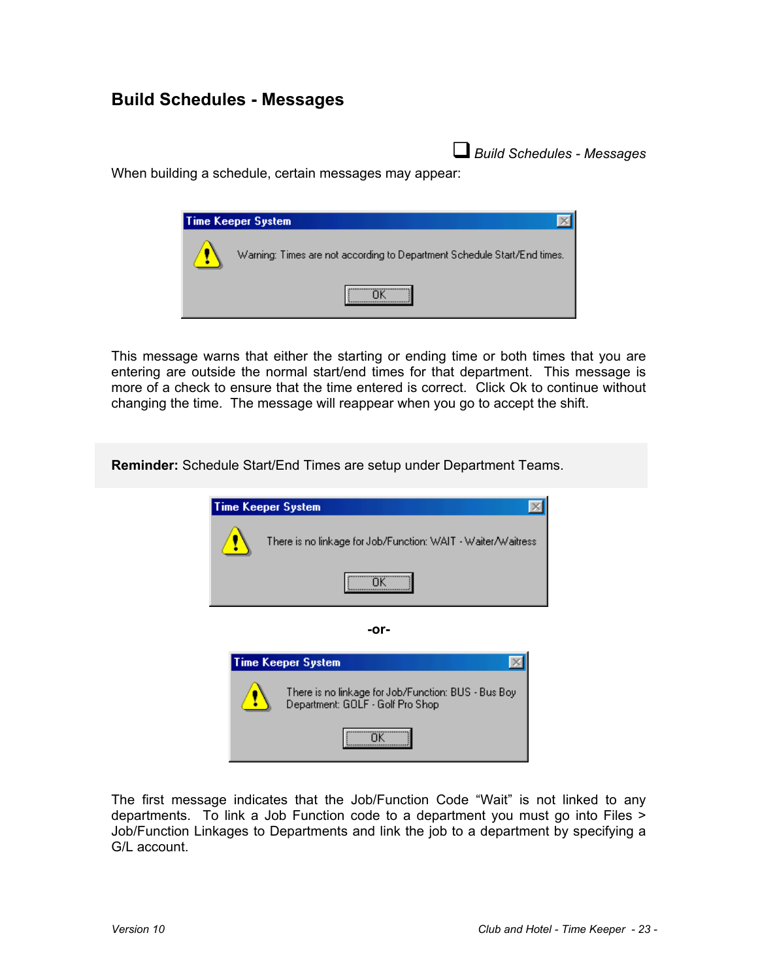### <span id="page-25-0"></span>**Build Schedules - Messages**

*Build Schedules - Messages*

When building a schedule, certain messages may appear:



This message warns that either the starting or ending time or both times that you are entering are outside the normal start/end times for that department. This message is more of a check to ensure that the time entered is correct. Click Ok to continue without changing the time. The message will reappear when you go to accept the shift.

**Reminder:** Schedule Start/End Times are setup under Department Teams.





The first message indicates that the Job/Function Code "Wait" is not linked to any departments. To link a Job Function code to a department you must go into Files > Job/Function Linkages to Departments and link the job to a department by specifying a G/L account.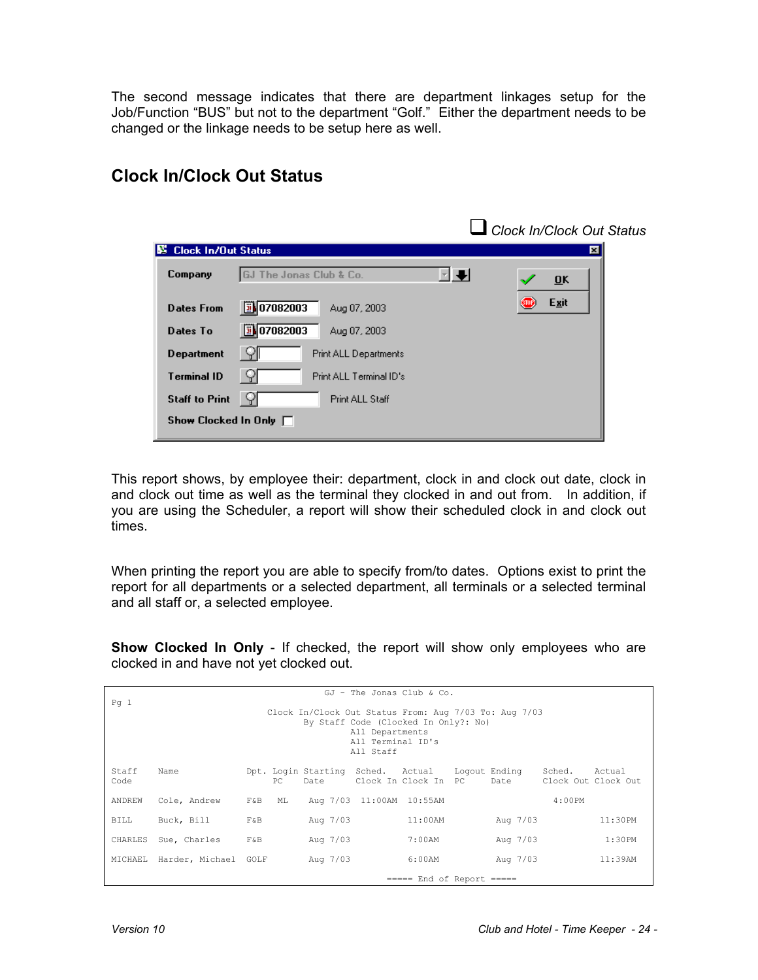<span id="page-26-0"></span>The second message indicates that there are department linkages setup for the Job/Function "BUS" but not to the department "Golf." Either the department needs to be changed or the linkage needs to be setup here as well.

### **Clock In/Clock Out Status**

|                                  |                              | Clock In/Clock Out Status |
|----------------------------------|------------------------------|---------------------------|
| <b>Clock In/Out Status</b><br>в. |                              | ×                         |
| Company                          | GJ The Jonas Club & Co.      | $\overline{0}$ K          |
| <b>Dates From</b>                | 图 07082003<br>Aug 07, 2003   | Exit                      |
| Dates To                         | 图 07082003<br>Aug 07, 2003   |                           |
| Department                       | <b>Print ALL Departments</b> |                           |
| <b>Terminal ID</b>               | Print ALL Terminal ID's      |                           |
| <b>Staff to Print</b>            | Print ALL Staff              |                           |
| Show Clocked In Only $\Box$      |                              |                           |

This report shows, by employee their: department, clock in and clock out date, clock in and clock out time as well as the terminal they clocked in and out from. In addition, if you are using the Scheduler, a report will show their scheduled clock in and clock out times.

When printing the report you are able to specify from/to dates. Options exist to print the report for all departments or a selected department, all terminals or a selected terminal and all staff or, a selected employee.

**Show Clocked In Only** - If checked, the report will show only employees who are clocked in and have not yet clocked out.

|               |                                                                                                                                                    |                                         |            |  | $GJ$ - The Jonas Club & Co. |                             |                                      |
|---------------|----------------------------------------------------------------------------------------------------------------------------------------------------|-----------------------------------------|------------|--|-----------------------------|-----------------------------|--------------------------------------|
| Pq 1          | Clock In/Clock Out Status From: Aug 7/03 To: Aug 7/03<br>By Staff Code (Clocked In Only?: No)<br>All Departments<br>All Terminal ID's<br>All Staff |                                         |            |  |                             |                             |                                      |
| Staff<br>Code | Name                                                                                                                                               | Dpt. Login Starting Sched. Actual<br>PC | Date       |  | Clock In Clock In           | Logout Ending<br>Date<br>PC | Sched. Actual<br>Clock Out Clock Out |
| ANDREW        | Cole, Andrew                                                                                                                                       | $F\&B$<br>ML                            |            |  | Aug 7/03 11:00AM 10:55AM    |                             | 4:00PM                               |
| <b>BILL</b>   | Buck, Bill                                                                                                                                         | F&B                                     | Aug $7/03$ |  | 11:00AM                     | Aug 7/03                    | 11:30PM                              |
| CHARLES       | Sue, Charles                                                                                                                                       | F&B                                     | Aug $7/03$ |  | 7:00AM                      | Aug $7/03$                  | 1:30PM                               |
| MICHAEL       | Harder, Michael GOLF                                                                                                                               |                                         | Aug $7/03$ |  | 6:00AM                      | Aug $7/03$                  | 11:39AM                              |
|               |                                                                                                                                                    |                                         |            |  |                             | $====$ End of Report $====$ |                                      |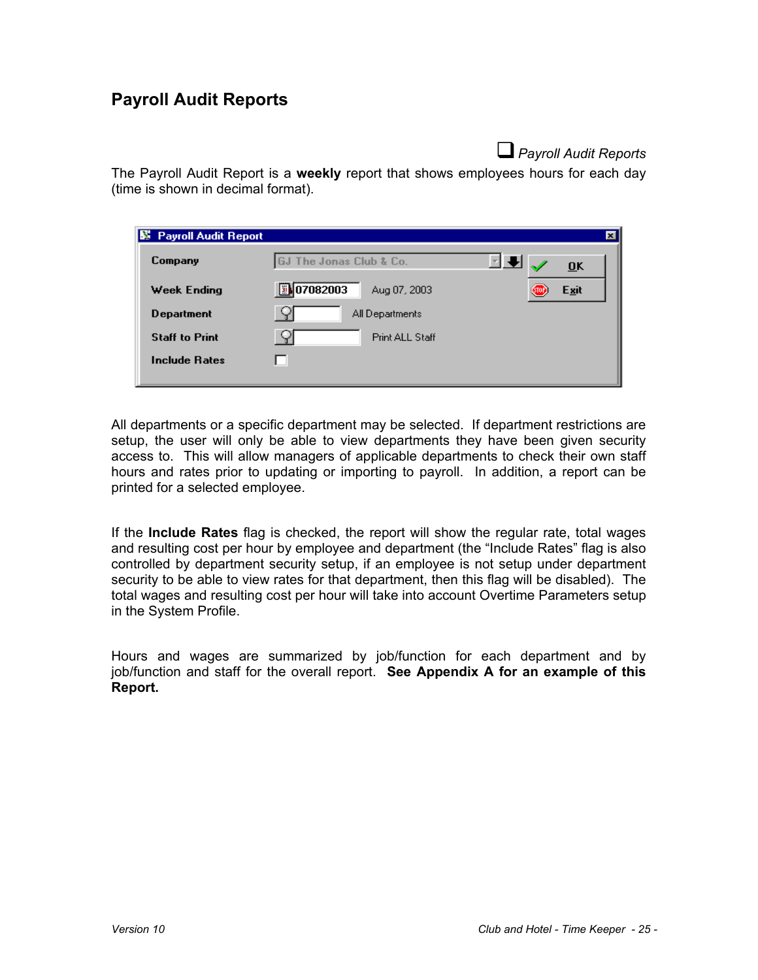## <span id="page-27-0"></span>**Payroll Audit Reports**

*Payroll Audit Reports* 

The Payroll Audit Report is a **weekly** report that shows employees hours for each day (time is shown in decimal format).

| <b>E Payroll Audit Report</b> |                               |                       | $\vert x \vert$ |
|-------------------------------|-------------------------------|-----------------------|-----------------|
| Company                       | GJ The Jonas Club & Co.       | 0K                    |                 |
| Week Ending                   | 圖<br>07082003<br>Aug 07, 2003 | <b>Exit</b><br>(STOP) |                 |
| Department                    | All Departments               |                       |                 |
| <b>Staff to Print</b>         | Print ALL Staff               |                       |                 |
| <b>Include Rates</b>          | U                             |                       |                 |
|                               |                               |                       |                 |

All departments or a specific department may be selected. If department restrictions are setup, the user will only be able to view departments they have been given security access to. This will allow managers of applicable departments to check their own staff hours and rates prior to updating or importing to payroll. In addition, a report can be printed for a selected employee.

If the **Include Rates** flag is checked, the report will show the regular rate, total wages and resulting cost per hour by employee and department (the "Include Rates" flag is also controlled by department security setup, if an employee is not setup under department security to be able to view rates for that department, then this flag will be disabled). The total wages and resulting cost per hour will take into account Overtime Parameters setup in the System Profile.

Hours and wages are summarized by job/function for each department and by job/function and staff for the overall report. **See Appendix A for an example of this Report.**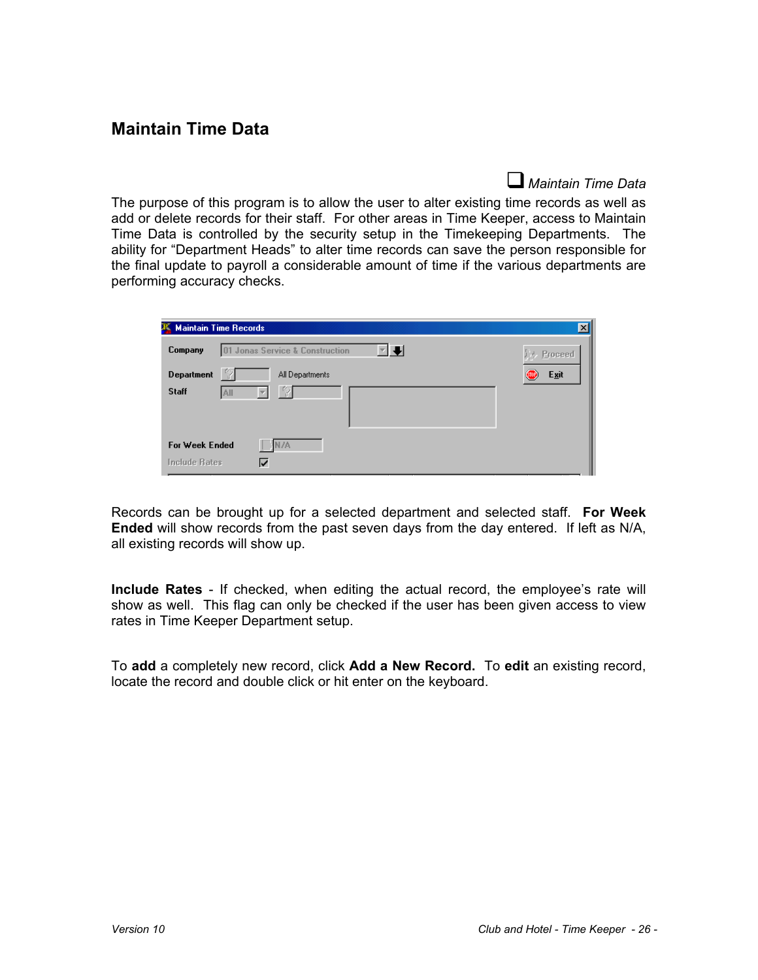### <span id="page-28-0"></span>**Maintain Time Data**

*Maintain Time Data* 

The purpose of this program is to allow the user to alter existing time records as well as add or delete records for their staff. For other areas in Time Keeper, access to Maintain Time Data is controlled by the security setup in the Timekeeping Departments. The ability for "Department Heads" to alter time records can save the person responsible for the final update to payroll a considerable amount of time if the various departments are performing accuracy checks.

| <b>Maintain Time Records</b><br>$\mathbf{P}$      | $\times$     |
|---------------------------------------------------|--------------|
| 18<br>01 Jonas Service & Construction<br>Company  | J.v. Proceed |
| $\gamma$<br>Department<br>All Departments         | Exit         |
| $\gamma$<br>Staff<br>All                          |              |
| For Week Ended<br>7A<br><b>Include Rates</b><br>⋉ |              |

Records can be brought up for a selected department and selected staff. **For Week Ended** will show records from the past seven days from the day entered. If left as N/A, all existing records will show up.

**Include Rates** - If checked, when editing the actual record, the employee's rate will show as well. This flag can only be checked if the user has been given access to view rates in Time Keeper Department setup.

To **add** a completely new record, click **Add a New Record.** To **edit** an existing record, locate the record and double click or hit enter on the keyboard.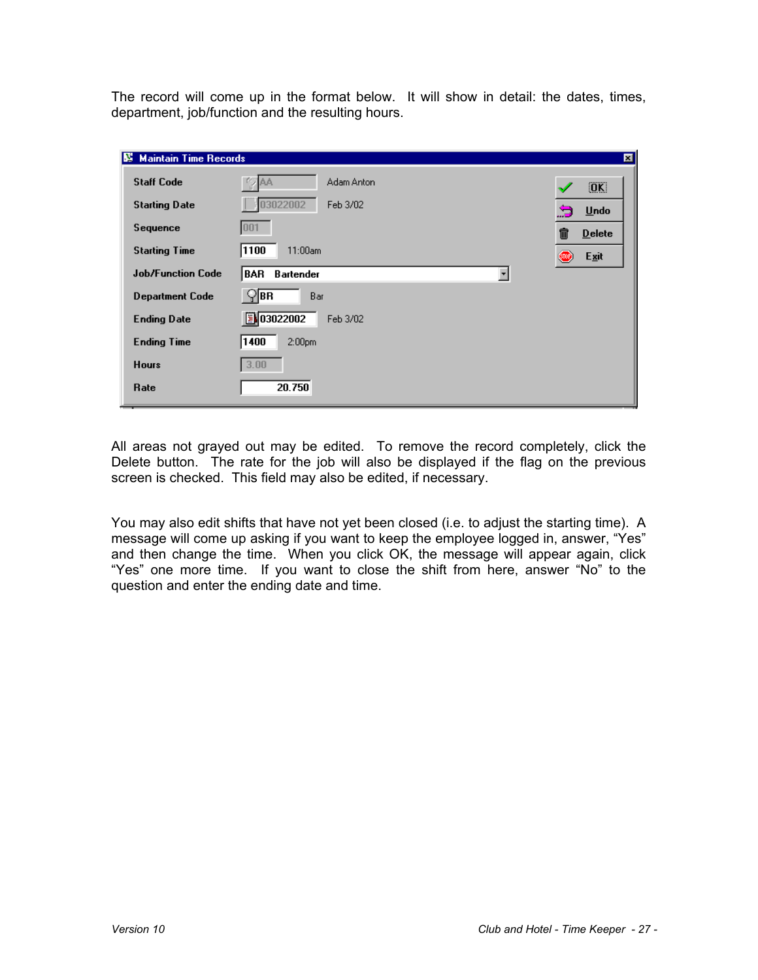The record will come up in the format below. It will show in detail: the dates, times, department, job/function and the resulting hours.

| B.<br><b>Maintain Time Records</b> |                               | 囨                      |
|------------------------------------|-------------------------------|------------------------|
| <b>Staff Code</b>                  | Adam Anton<br>AΑ              | [OK]                   |
| <b>Starting Date</b>               | 03022002<br>Feb 3/02          | .3<br>$u$ ndo          |
| Sequence                           | 001                           | û<br>$D$ elete         |
| <b>Starting Time</b>               | 1100<br>11:00am               | $\circledcirc$<br>Exit |
| <b>Job/Function Code</b>           | BAR<br><b>Bartender</b>       |                        |
| <b>Department Code</b>             | V∣BR<br>Bar                   |                        |
| <b>Ending Date</b>                 | <b>D</b> 03022002<br>Feb 3/02 |                        |
| <b>Ending Time</b>                 | 1400<br>2:00 <sub>pm</sub>    |                        |
| <b>Hours</b>                       | 3.00                          |                        |
| Rate                               | 20.750                        |                        |

All areas not grayed out may be edited. To remove the record completely, click the Delete button. The rate for the job will also be displayed if the flag on the previous screen is checked. This field may also be edited, if necessary.

You may also edit shifts that have not yet been closed (i.e. to adjust the starting time). A message will come up asking if you want to keep the employee logged in, answer, "Yes" and then change the time. When you click OK, the message will appear again, click "Yes" one more time. If you want to close the shift from here, answer "No" to the question and enter the ending date and time.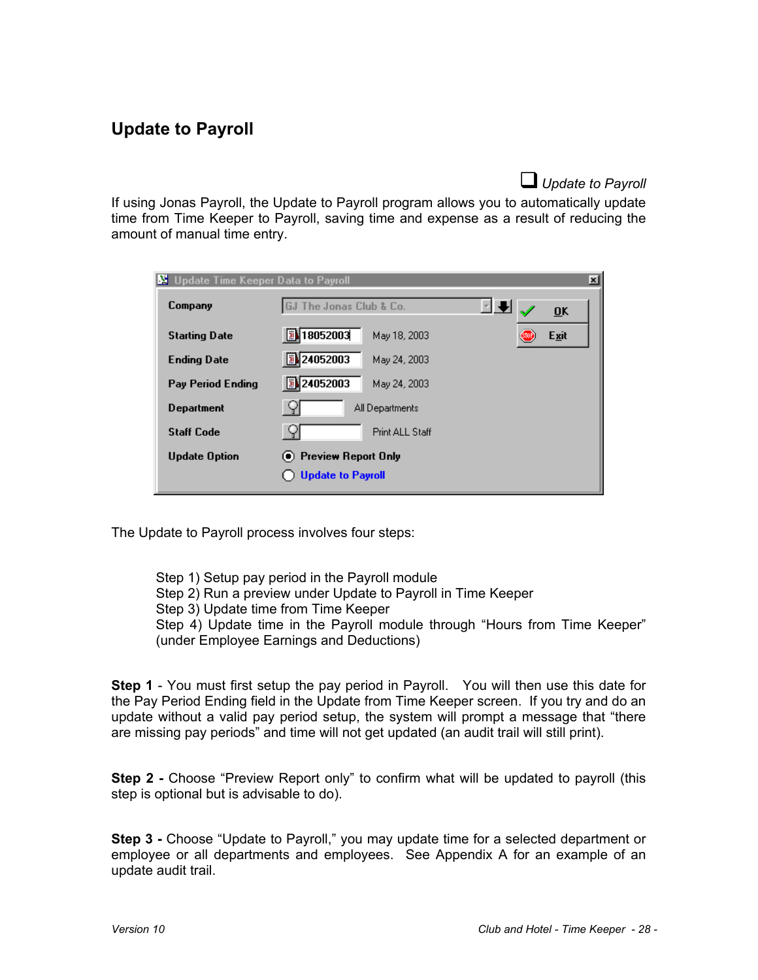## <span id="page-30-0"></span>**Update to Payroll**

*Update to Payroll* 

If using Jonas Payroll, the Update to Payroll program allows you to automatically update time from Time Keeper to Payroll, saving time and expense as a result of reducing the amount of manual time entry.

| Update Time Keeper Data to Payroll | $\mathbf{x}$                                         |
|------------------------------------|------------------------------------------------------|
| Company                            | <b>GJ The Jonas Club &amp; Co.</b><br>0 <sub>K</sub> |
| <b>Starting Date</b>               | 图 18052003<br>May 18, 2003<br>Exit<br><b>STOP</b>    |
| <b>Ending Date</b>                 | 图 24052003<br>May 24, 2003                           |
| <b>Pay Period Ending</b>           | 图 24052003<br>May 24, 2003                           |
| Department                         | All Departments                                      |
| <b>Staff Code</b>                  | Print ALL Staff                                      |
| <b>Update Option</b>               | • Preview Report Only                                |
|                                    | <b>Update to Payroll</b>                             |

The Update to Payroll process involves four steps:

Step 1) Setup pay period in the Payroll module Step 2) Run a preview under Update to Payroll in Time Keeper Step 3) Update time from Time Keeper Step 4) Update time in the Payroll module through "Hours from Time Keeper" (under Employee Earnings and Deductions)

**Step 1** - You must first setup the pay period in Payroll. You will then use this date for the Pay Period Ending field in the Update from Time Keeper screen. If you try and do an update without a valid pay period setup, the system will prompt a message that "there are missing pay periods" and time will not get updated (an audit trail will still print).

**Step 2 -** Choose "Preview Report only" to confirm what will be updated to payroll (this step is optional but is advisable to do).

**Step 3 -** Choose "Update to Payroll," you may update time for a selected department or employee or all departments and employees. See Appendix A for an example of an update audit trail.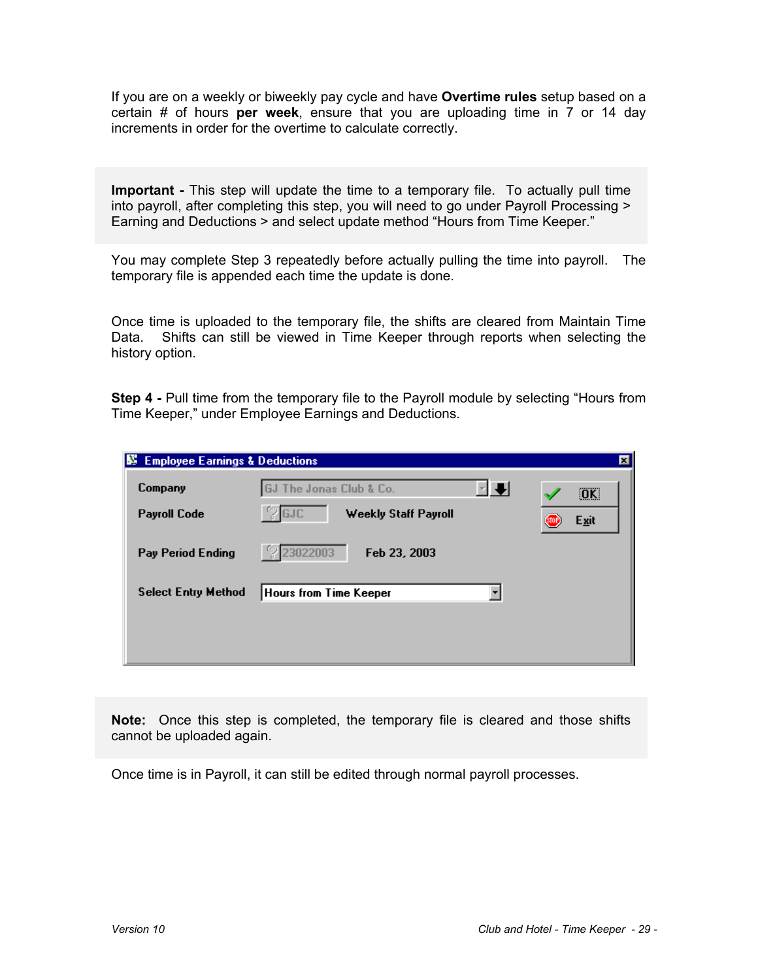If you are on a weekly or biweekly pay cycle and have **Overtime rules** setup based on a certain # of hours **per week**, ensure that you are uploading time in 7 or 14 day increments in order for the overtime to calculate correctly.

**Important -** This step will update the time to a temporary file. To actually pull time into payroll, after completing this step, you will need to go under Payroll Processing > Earning and Deductions > and select update method "Hours from Time Keeper."

You may complete Step 3 repeatedly before actually pulling the time into payroll. The temporary file is appended each time the update is done.

Once time is uploaded to the temporary file, the shifts are cleared from Maintain Time Data. Shifts can still be viewed in Time Keeper through reports when selecting the history option.

**Step 4 - Pull time from the temporary file to the Payroll module by selecting "Hours from** Time Keeper," under Employee Earnings and Deductions.

| <b>Employee Earnings &amp; Deductions</b><br>в |                               | ⊠    |
|------------------------------------------------|-------------------------------|------|
| Company                                        | GJ The Jonas Club & Co.       | [OK] |
| <b>Payroll Code</b>                            | ?GJC<br>Weekly Staff Payroll  | Exit |
| <b>Pay Period Ending</b>                       | 23022003<br>Feb 23, 2003      |      |
| <b>Select Entry Method</b>                     | <b>Hours from Time Keeper</b> |      |
|                                                |                               |      |

**Note:** Once this step is completed, the temporary file is cleared and those shifts cannot be uploaded again.

Once time is in Payroll, it can still be edited through normal payroll processes.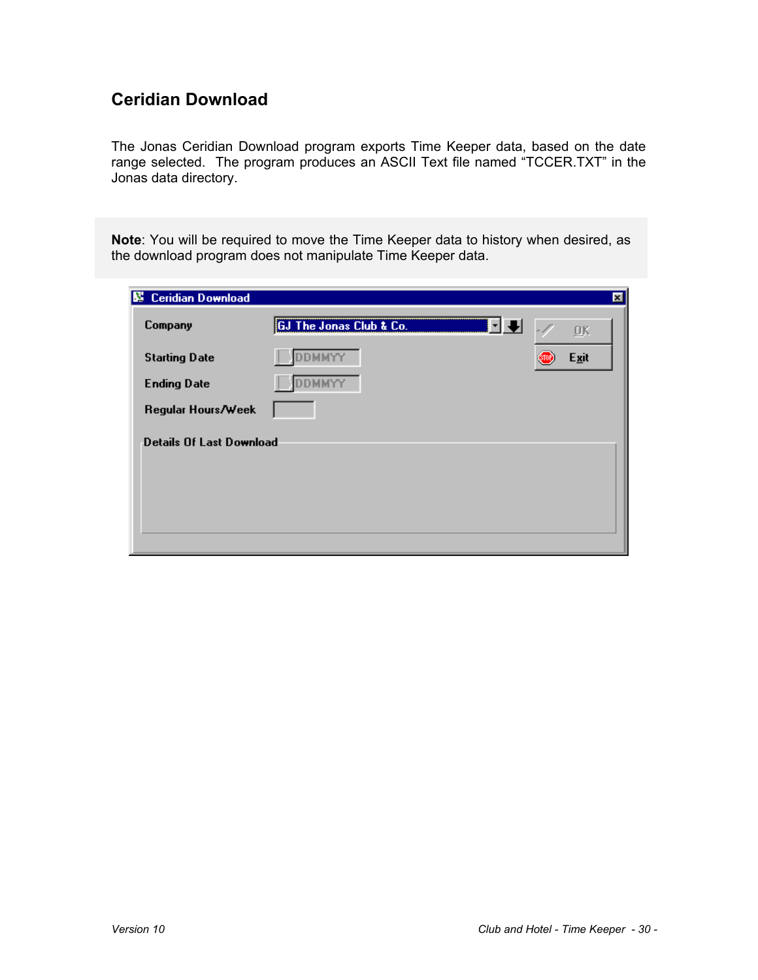## <span id="page-32-0"></span>**Ceridian Download**

The Jonas Ceridian Download program exports Time Keeper data, based on the date range selected. The program produces an ASCII Text file named "TCCER.TXT" in the Jonas data directory.

**Note**: You will be required to move the Time Keeper data to history when desired, as the download program does not manipulate Time Keeper data.

| <b>Ceridian Download</b><br>м   |                              |           | ⊠ |
|---------------------------------|------------------------------|-----------|---|
| Company                         | GJ The Jonas Club & Co.<br>H | <u>ОК</u> |   |
| <b>Starting Date</b>            | MMYY                         | Exit      |   |
| <b>Ending Date</b>              | <b>DMMYY</b>                 |           |   |
| Regular Hours/Week              |                              |           |   |
| <b>Details Of Last Download</b> |                              |           |   |
|                                 |                              |           |   |
|                                 |                              |           |   |
|                                 |                              |           |   |
|                                 |                              |           |   |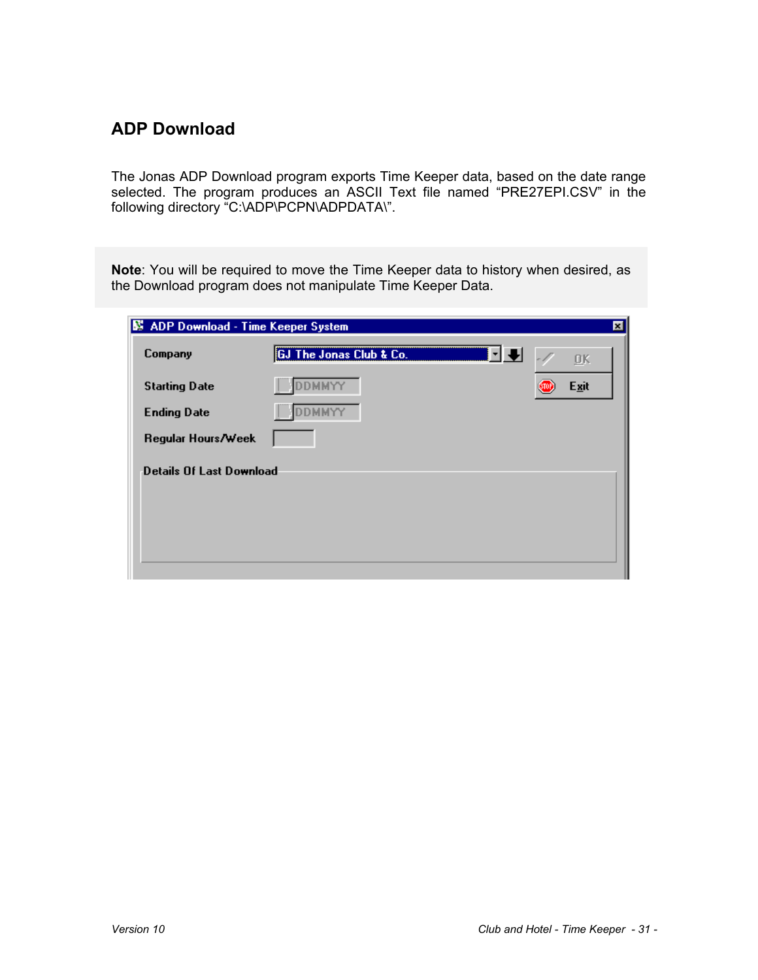## <span id="page-33-0"></span>**ADP Download**

The Jonas ADP Download program exports Time Keeper data, based on the date range selected. The program produces an ASCII Text file named "PRE27EPI.CSV" in the following directory "C:\ADP\PCPN\ADPDATA\".

**Note**: You will be required to move the Time Keeper data to history when desired, as the Download program does not manipulate Time Keeper Data.

| 图 ADP Download - Time Keeper System |                                        |           | × |
|-------------------------------------|----------------------------------------|-----------|---|
| Company                             | <b>GJ The Jonas Club &amp; Co.</b><br> | <b>ΠK</b> |   |
| <b>Starting Date</b>                |                                        | Exit      |   |
| <b>Ending Date</b>                  | <b>DMMYY</b>                           |           |   |
| Regular Hours/Week                  |                                        |           |   |
| <b>Details Of Last Download</b>     |                                        |           |   |
|                                     |                                        |           |   |
|                                     |                                        |           |   |
|                                     |                                        |           |   |
|                                     |                                        |           |   |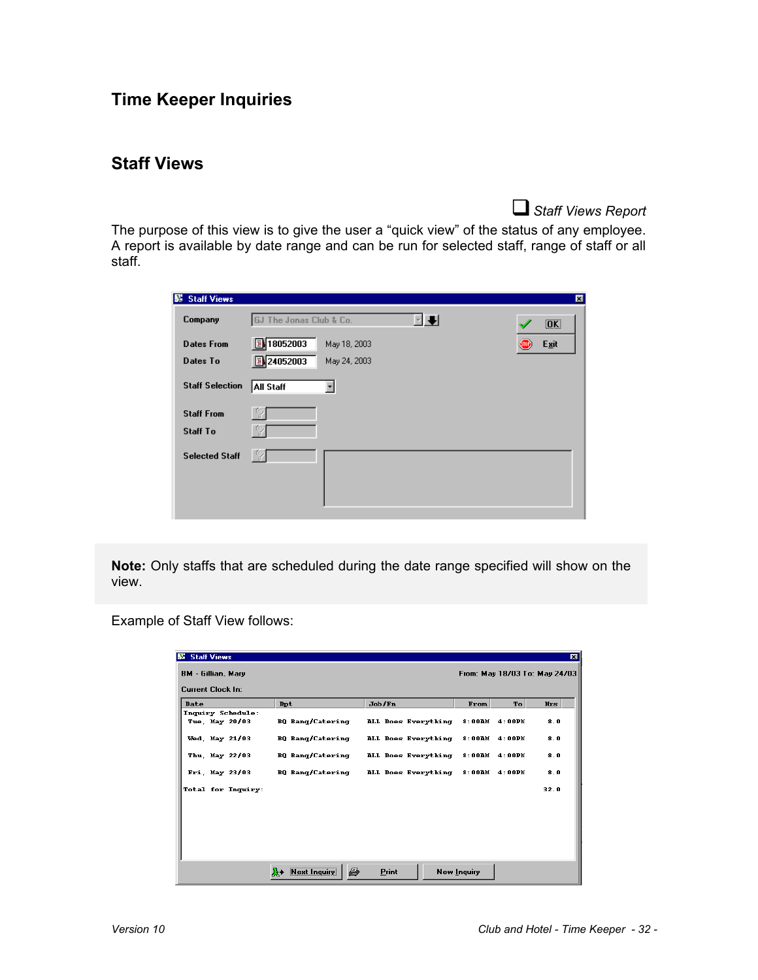## <span id="page-34-0"></span>**Time Keeper Inquiries**

#### **Staff Views**

*Staff Views Report* 

The purpose of this view is to give the user a "quick view" of the status of any employee. A report is available by date range and can be run for selected staff, range of staff or all staff.

| <b>Staff Views</b><br>N |                         |              |  | ×    |
|-------------------------|-------------------------|--------------|--|------|
| Company                 | GJ The Jonas Club & Co. |              |  | [OL] |
| <b>Dates From</b>       | 18052003                | May 18, 2003 |  | Exit |
| Dates To                | 24052003                | May 24, 2003 |  |      |
| <b>Staff Selection</b>  | All Staff               | ×            |  |      |
| <b>Staff From</b>       | -9                      |              |  |      |
| <b>Staff To</b>         | Y                       |              |  |      |
| <b>Selected Staff</b>   | -9                      |              |  |      |
|                         |                         |              |  |      |
|                         |                         |              |  |      |

**Note:** Only staffs that are scheduled during the date range specified will show on the view.

Example of Staff View follows:

| Staff Views               |                          |                     |                               | 図          |
|---------------------------|--------------------------|---------------------|-------------------------------|------------|
| <b>BM</b> - Gillian, Mary |                          |                     | From: May 18/03 To: May 24/03 |            |
| <b>Current Clock In:</b>  |                          |                     |                               |            |
| Date                      | Dpt                      | Job/Fn              | From<br>To                    | <b>Hrs</b> |
| Inquiry Schedule:         |                          |                     |                               |            |
| Tue, May 20/03            | BQ Bang/Catering         | ALL Does Everything | 8:00RM<br>4:00PM              | 8.0        |
| Wed, May 21/03            | BQ Bang/Catering         | ALL Does Everything | 8:00 AM<br>4:00PM             | 8.0        |
| Thu. May 22/03            | BO Bang/Catering         | ALL Does Everything | 8:00AM<br>4:00PM              | 8.0        |
| Fri, May 23/03            | BQ Bang/Catering         | ALL Does Everything | 8:00AM<br>4:00PM              | 8.0        |
| <b>Total for Inquiry:</b> |                          |                     |                               | 32.0       |
|                           |                          |                     |                               |            |
|                           |                          |                     |                               |            |
|                           |                          |                     |                               |            |
|                           |                          |                     |                               |            |
|                           | <b>Next Inquiry</b><br>a | Print               | <b>New Inquiry</b>            |            |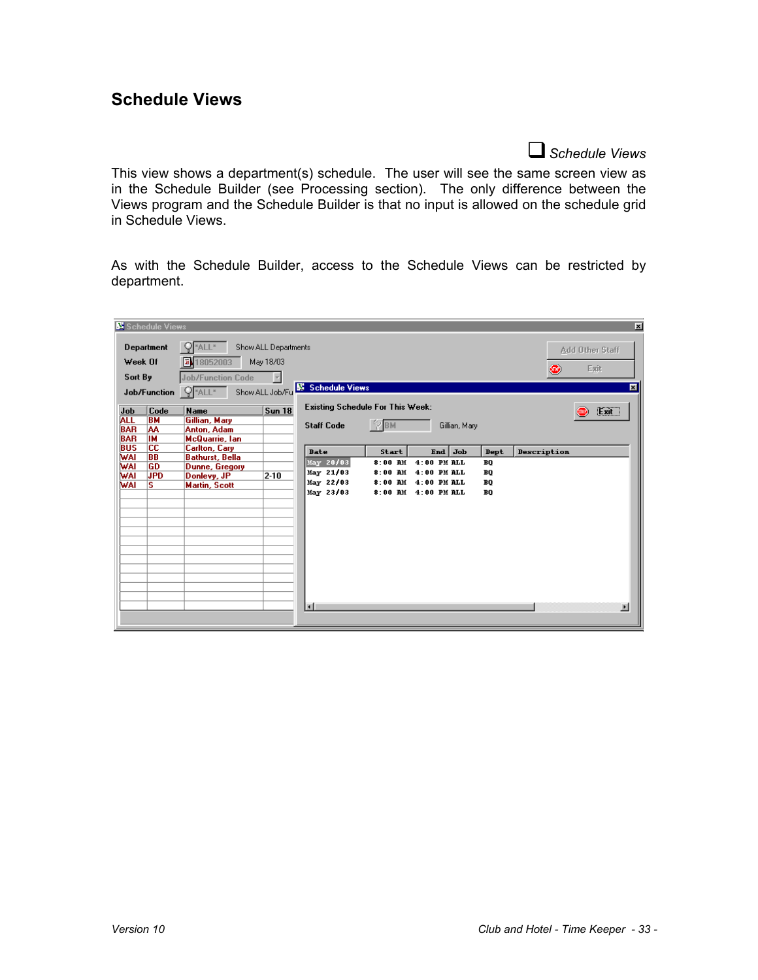#### <span id="page-35-0"></span>**Schedule Views**

*Schedule Views* 

This view shows a department(s) schedule. The user will see the same screen view as in the Schedule Builder (see Processing section). The only difference between the Views program and the Schedule Builder is that no input is allowed on the schedule grid in Schedule Views.

As with the Schedule Builder, access to the Schedule Views can be restricted by department.

|                          | Schedule Views         |                                         |                                   |                                         |                        |                                |          | ×                                    |
|--------------------------|------------------------|-----------------------------------------|-----------------------------------|-----------------------------------------|------------------------|--------------------------------|----------|--------------------------------------|
| Week Of                  | Department             | 'ALL"<br>18052003<br>围                  | Show ALL Departments<br>May 18/03 |                                         |                        |                                |          | Add Other Staff<br>$\bullet$<br>Exit |
| Sort By                  |                        | <b>Job/Function Code</b>                |                                   |                                         |                        |                                |          |                                      |
|                          | Job/Function           | $Q$ -ALL                                | Show ALL Job/Fu                   | Schedule Views                          |                        |                                |          | 図                                    |
| Job<br>ALL               | Code<br>BM             | <b>Name</b><br>Gillian, Mary            | <b>Sun 18</b>                     | <b>Existing Schedule For This Week:</b> |                        |                                |          | Exit<br><b>SUP</b>                   |
| <b>BAR</b><br><b>BAR</b> | AA<br>ĪМ               | Anton, Adam<br>McQuarrie, Ian           |                                   | <b>Staff Code</b>                       | $\frac{1}{2}$ BM       | Gillian, Mary                  |          |                                      |
| <b>BUS</b><br>WAI        | <b>CC</b><br><b>BB</b> | Carlton, Cary<br><b>Bathurst, Bella</b> |                                   | Date                                    | Start                  | <b>Job</b><br>End              | Dept     | Description                          |
| WAI                      | <b>GD</b>              | Dunne, Gregory                          |                                   | May 20/03                               | $8:00$ AM              | $4:00$ PM ALL                  | BQ       |                                      |
| WAI                      | <b>JPD</b>             | Donlevy, JP                             | $2-10$                            | May 21/03<br>May 22/03                  | $8:00$ AM<br>$8:00$ AM | $4:00$ PM ALL<br>$4:00$ PM ALL | BO<br>вQ |                                      |
| WAI                      | ls.                    | Martin, Scott                           |                                   | May 23/03                               | $8:00$ AM              | $4:00$ PM ALL                  | BQ       |                                      |
|                          |                        |                                         |                                   |                                         |                        |                                |          |                                      |
|                          |                        |                                         |                                   |                                         |                        |                                |          |                                      |
|                          |                        |                                         |                                   |                                         |                        |                                |          |                                      |
|                          |                        |                                         |                                   |                                         |                        |                                |          |                                      |
|                          |                        |                                         |                                   |                                         |                        |                                |          |                                      |
|                          |                        |                                         |                                   |                                         |                        |                                |          |                                      |
|                          |                        |                                         |                                   |                                         |                        |                                |          |                                      |
|                          |                        |                                         |                                   |                                         |                        |                                |          |                                      |
|                          |                        |                                         |                                   | $\blacksquare$                          |                        |                                |          | 븨                                    |
|                          |                        |                                         |                                   |                                         |                        |                                |          |                                      |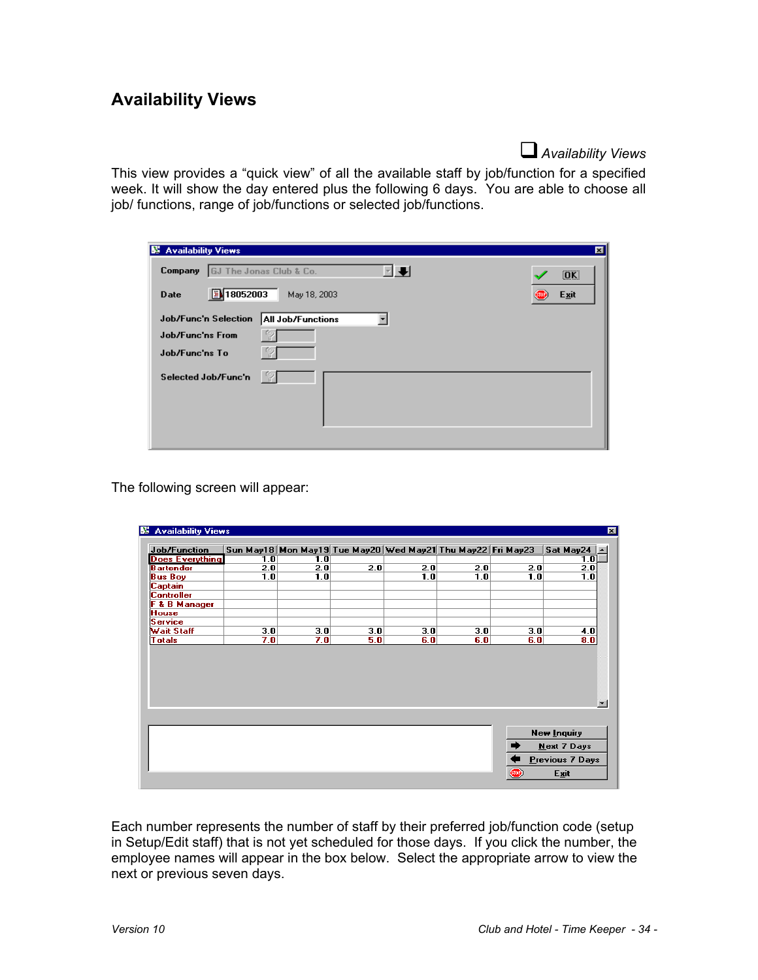### <span id="page-36-0"></span>**Availability Views**



This view provides a "quick view" of all the available staff by job/function for a specified week. It will show the day entered plus the following 6 days. You are able to choose all job/ functions, range of job/functions or selected job/functions.

| <b>Availability Views</b><br>IS.                 | ⊠    |
|--------------------------------------------------|------|
| GJ The Jonas Club & Co.<br>Company               | [OK] |
| 图 18052003<br>May 18, 2003<br><b>Date</b>        | Exit |
| Job/Func'n Selection<br><b>All Job/Functions</b> |      |
| Job/Func'ns From                                 |      |
| Job/Func'ns To                                   |      |
| Selected Job/Func'n                              |      |
|                                                  |      |

The following screen will appear:

| <b>Job/Function</b>    |     |     |     | Sun May18 Mon May19 Tue May20 Wed May21 Thu May22 Fri May23 |     |     | Sat May24                                |
|------------------------|-----|-----|-----|-------------------------------------------------------------|-----|-----|------------------------------------------|
| <b>Does Everything</b> | 1.0 | 1.0 |     |                                                             |     |     | $\overline{1.0}$                         |
| <b>Bartender</b>       | 2.0 | 2.0 | 2.0 | 2.0                                                         | 2.0 | 2.0 | 2.0                                      |
| <b>Bus Boy</b>         | 1.0 | 1.0 |     | 1.0                                                         | 1.0 | 1.0 | 1.0                                      |
| <b>Captain</b>         |     |     |     |                                                             |     |     |                                          |
| <b>Controller</b>      |     |     |     |                                                             |     |     |                                          |
| F & B Manager          |     |     |     |                                                             |     |     |                                          |
| <b>House</b>           |     |     |     |                                                             |     |     |                                          |
| <b>Service</b>         |     |     |     |                                                             |     |     |                                          |
| Wait Staff             | 3.0 | 3.0 | 3.0 | 3.0                                                         | 3.0 | 3.0 | 4.0                                      |
|                        |     |     |     |                                                             |     |     |                                          |
| <b>Totals</b>          | 7.0 | 7.0 | 5.0 | 6.0                                                         | 6.0 | 6.0 | 8.0                                      |
|                        |     |     |     |                                                             |     |     |                                          |
|                        |     |     |     |                                                             |     |     | <b>New Inquiry</b><br><b>Next 7 Days</b> |

Each number represents the number of staff by their preferred job/function code (setup in Setup/Edit staff) that is not yet scheduled for those days. If you click the number, the employee names will appear in the box below. Select the appropriate arrow to view the next or previous seven days.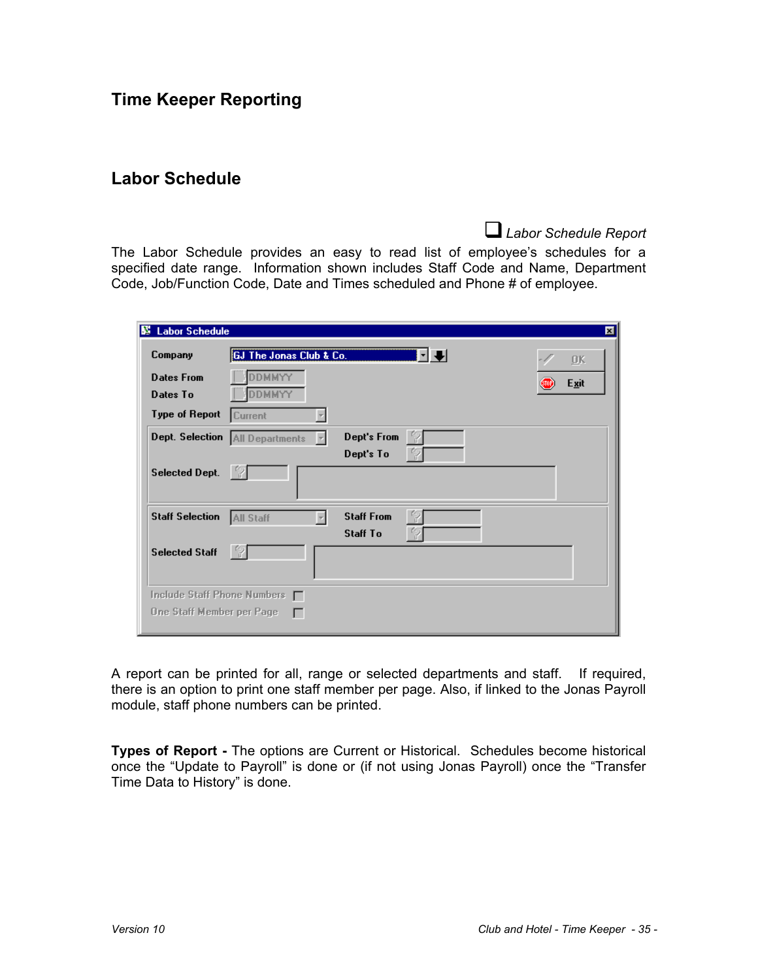### <span id="page-37-0"></span>**Time Keeper Reporting**

#### **Labor Schedule**

*Labor Schedule Report* 

The Labor Schedule provides an easy to read list of employee's schedules for a specified date range. Information shown includes Staff Code and Name, Department Code, Job/Function Code, Date and Times scheduled and Phone # of employee.

| <b>E</b> Labor Schedule           |                                    |                   |              |      |           |
|-----------------------------------|------------------------------------|-------------------|--------------|------|-----------|
| Company                           | <b>GJ The Jonas Club &amp; Co.</b> |                   |              |      | <u>ПĶ</u> |
| <b>Dates From</b>                 | <b>DDMMYY</b>                      |                   |              | 6mP) | Exit      |
| Dates To                          | <b>DDMMYY</b>                      |                   |              |      |           |
| <b>Type of Report</b>             | Current                            |                   |              |      |           |
| Dept. Selection   All Departments |                                    | Dept's From       | $\mathbb{R}$ |      |           |
|                                   |                                    | Dept's To         | Y            |      |           |
| <b>Selected Dept.</b>             | -7                                 |                   |              |      |           |
|                                   |                                    |                   |              |      |           |
| <b>Staff Selection</b>            | <b>All Staff</b>                   | <b>Staff From</b> | Ÿ            |      |           |
|                                   |                                    | <b>Staff To</b>   | Y            |      |           |
| <b>Selected Staff</b>             | Y                                  |                   |              |      |           |
|                                   |                                    |                   |              |      |           |
| Include Staff Phone Numbers □     |                                    |                   |              |      |           |
| One Staff Member per Page         | г                                  |                   |              |      |           |

A report can be printed for all, range or selected departments and staff. If required, there is an option to print one staff member per page. Also, if linked to the Jonas Payroll module, staff phone numbers can be printed.

**Types of Report -** The options are Current or Historical. Schedules become historical once the "Update to Payroll" is done or (if not using Jonas Payroll) once the "Transfer Time Data to History" is done.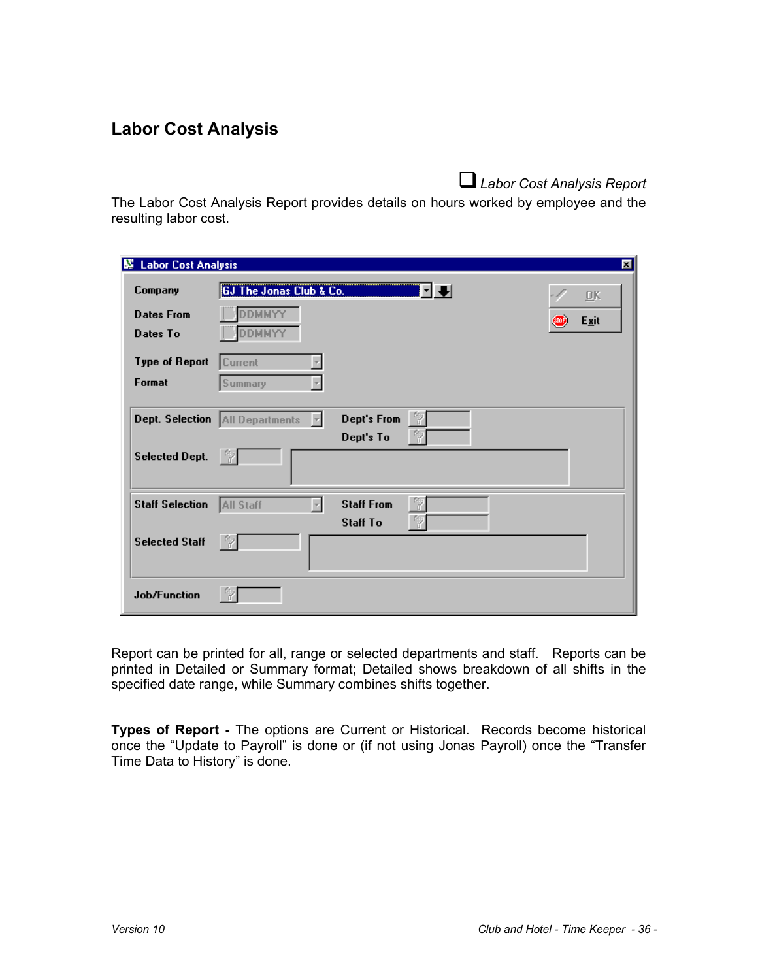## <span id="page-38-0"></span>**Labor Cost Analysis**

*Labor Cost Analysis Report* 

The Labor Cost Analysis Report provides details on hours worked by employee and the resulting labor cost.

| <b>Labor Cost Analysis</b><br>K. | ⊠                                                                      |
|----------------------------------|------------------------------------------------------------------------|
| Company                          | <b>GJ The Jonas Club &amp; Co.</b><br>$\underline{\square} \mathbb{K}$ |
| <b>Dates From</b><br>Dates To    | DDMMYY<br>Exit<br>Śmf<br>DMMYY                                         |
| <b>Type of Report</b><br>Format  | Current<br>Summary                                                     |
|                                  | Dept. Selection   All Departments<br>Dept's From<br>-7<br>- 17         |
| <b>Selected Dept.</b>            | Dept's To<br>n.<br>T                                                   |
| <b>Staff Selection</b>           | -9<br><b>Staff From</b><br><b>All Staff</b>                            |
| <b>Selected Staff</b>            | <b>Staff To</b><br>ĭŕ<br>fy.                                           |
| <b>Job/Function</b>              |                                                                        |

Report can be printed for all, range or selected departments and staff. Reports can be printed in Detailed or Summary format; Detailed shows breakdown of all shifts in the specified date range, while Summary combines shifts together.

**Types of Report -** The options are Current or Historical. Records become historical once the "Update to Payroll" is done or (if not using Jonas Payroll) once the "Transfer Time Data to History" is done.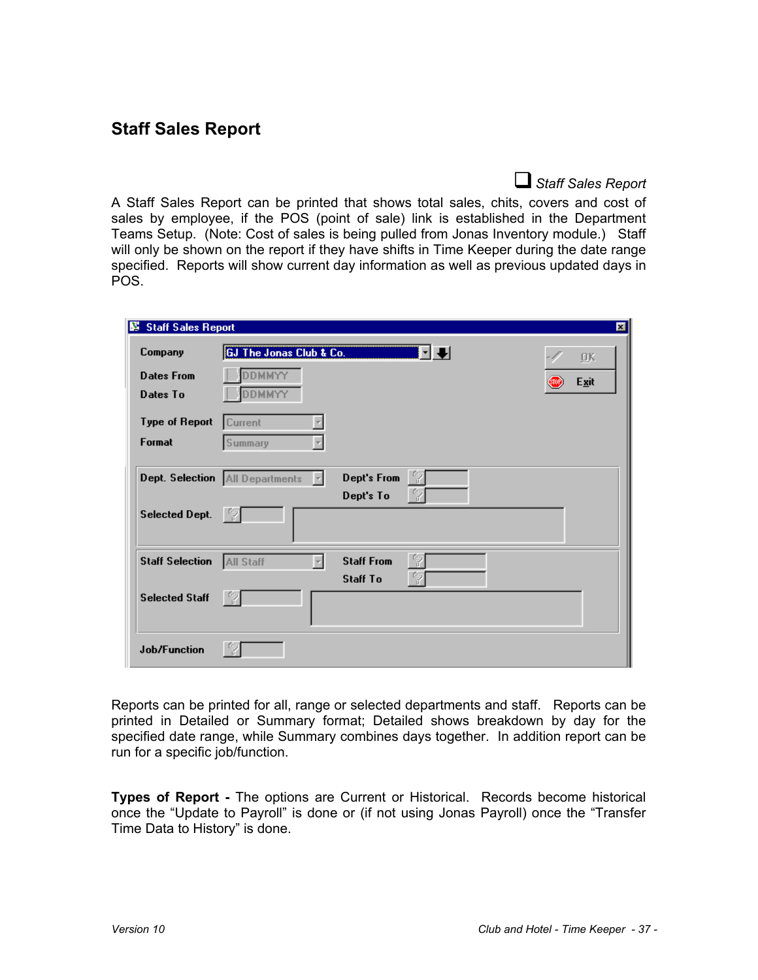### <span id="page-39-0"></span>**Staff Sales Report**

*Staff Sales Report* 

A Staff Sales Report can be printed that shows total sales, chits, covers and cost of sales by employee, if the POS (point of sale) link is established in the Department Teams Setup. (Note: Cost of sales is being pulled from Jonas Inventory module.) Staff will only be shown on the report if they have shifts in Time Keeper during the date range specified. Reports will show current day information as well as previous updated days in POS.

| Staff Sales Report     |                                          |                         | 囨                                |
|------------------------|------------------------------------------|-------------------------|----------------------------------|
| Company                | <b>GJ The Jonas Club &amp; Co.</b>       |                         | $\underline{\square} \mathbb{K}$ |
| <b>Dates From</b>      | <b>DDMMYY</b>                            |                         | Exit<br>$\circledcirc$           |
| Dates To               | DDMMYY                                   |                         |                                  |
| <b>Type of Report</b>  | Current                                  |                         |                                  |
| Format                 | Summary                                  |                         |                                  |
|                        | Dept. Selection   All Departments<br>- 1 | l Y<br>Dept's From      |                                  |
|                        |                                          | Y<br>Dept's To          |                                  |
| <b>Selected Dept.</b>  | -7                                       |                         |                                  |
|                        |                                          |                         |                                  |
| <b>Staff Selection</b> | All Staff                                | -9<br><b>Staff From</b> |                                  |
| <b>Selected Staff</b>  | -7                                       | Y<br><b>Staff To</b>    |                                  |
|                        |                                          |                         |                                  |
| <b>Job/Function</b>    | Ŵ.                                       |                         |                                  |

Reports can be printed for all, range or selected departments and staff. Reports can be printed in Detailed or Summary format; Detailed shows breakdown by day for the specified date range, while Summary combines days together. In addition report can be run for a specific job/function.

**Types of Report -** The options are Current or Historical. Records become historical once the "Update to Payroll" is done or (if not using Jonas Payroll) once the "Transfer Time Data to History" is done.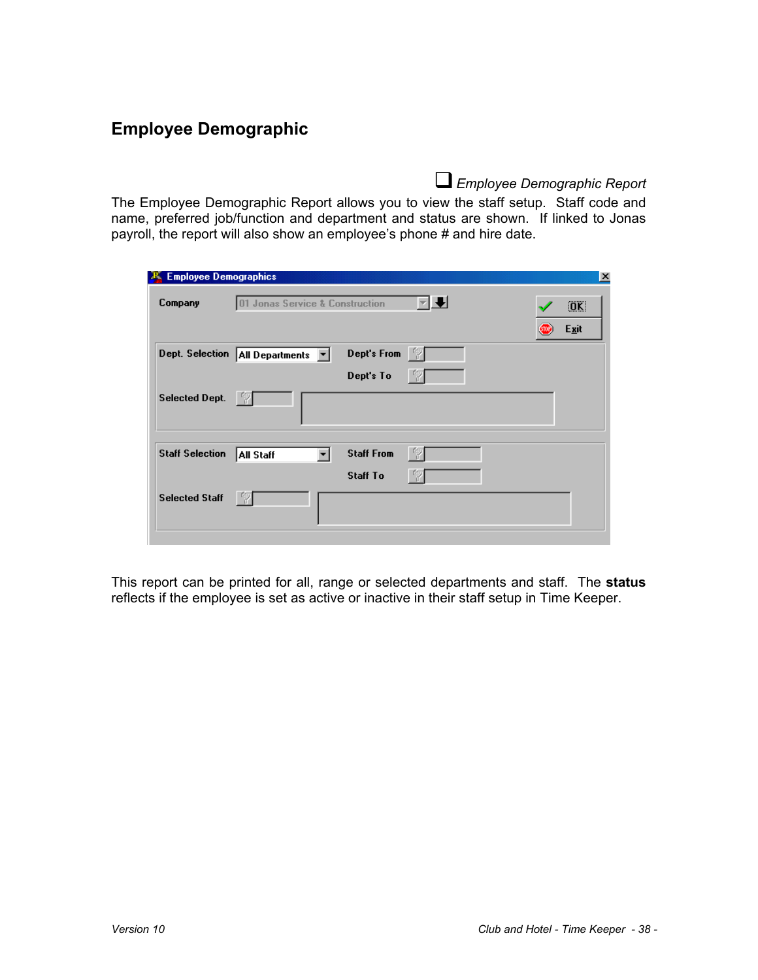### <span id="page-40-0"></span>**Employee Demographic**

*Employee Demographic Report* 

The Employee Demographic Report allows you to view the staff setup. Staff code and name, preferred job/function and department and status are shown. If linked to Jonas payroll, the report will also show an employee's phone # and hire date.

| <b>Employee Demographics</b> |                                                      |  |
|------------------------------|------------------------------------------------------|--|
| Company                      | 01 Jonas Service & Construction<br>[OK]<br>Exit      |  |
|                              | Dept's From<br>Dept. Selection   All Departments   v |  |
| <b>Selected Dept.</b>        | Dept's To                                            |  |
| <b>Staff Selection</b>       | <b>Staff From</b><br>All Staff                       |  |
| <b>Selected Staff</b>        | <b>Staff To</b>                                      |  |

This report can be printed for all, range or selected departments and staff. The **status** reflects if the employee is set as active or inactive in their staff setup in Time Keeper.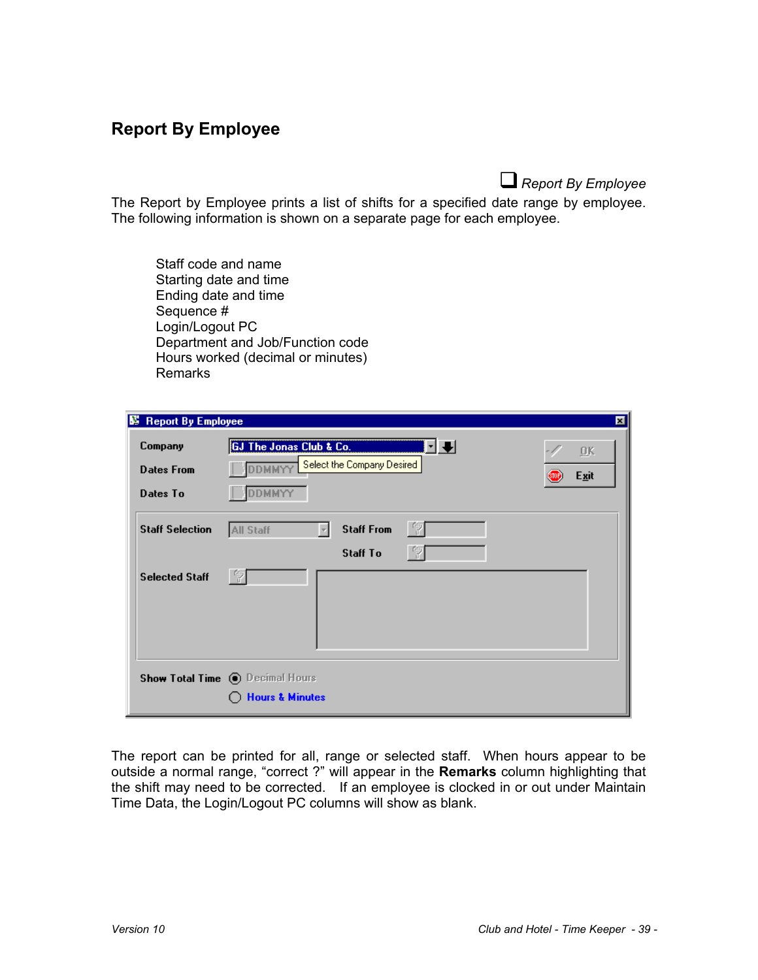### <span id="page-41-0"></span>**Report By Employee**

*Report By Employee* 

The Report by Employee prints a list of shifts for a specified date range by employee. The following information is shown on a separate page for each employee.

Staff code and name Starting date and time Ending date and time Sequence # Login/Logout PC Department and Job/Function code Hours worked (decimal or minutes) Remarks

| <b>Report By Employee</b><br>P.          |                                                                                                                                                      | 囨 |  |  |  |  |  |  |
|------------------------------------------|------------------------------------------------------------------------------------------------------------------------------------------------------|---|--|--|--|--|--|--|
| Company<br><b>Dates From</b><br>Dates To | <b>GJ The Jonas Club &amp; Co.</b><br>$\underline{\square}\mathbf{K}$<br>Select the Company Desired<br><b>DDMMYY</b><br>Exit<br>ŚTO<br><b>DDMMYY</b> |   |  |  |  |  |  |  |
| <b>Staff Selection</b>                   | <b>Staff From</b><br><b>All Staff</b><br><b>Staff To</b>                                                                                             |   |  |  |  |  |  |  |
| <b>Selected Staff</b>                    | Y                                                                                                                                                    |   |  |  |  |  |  |  |
|                                          | Show Total Time (c) Decimal Hours<br><b>Hours &amp; Minutes</b>                                                                                      |   |  |  |  |  |  |  |

The report can be printed for all, range or selected staff. When hours appear to be outside a normal range, "correct ?" will appear in the **Remarks** column highlighting that the shift may need to be corrected. If an employee is clocked in or out under Maintain Time Data, the Login/Logout PC columns will show as blank.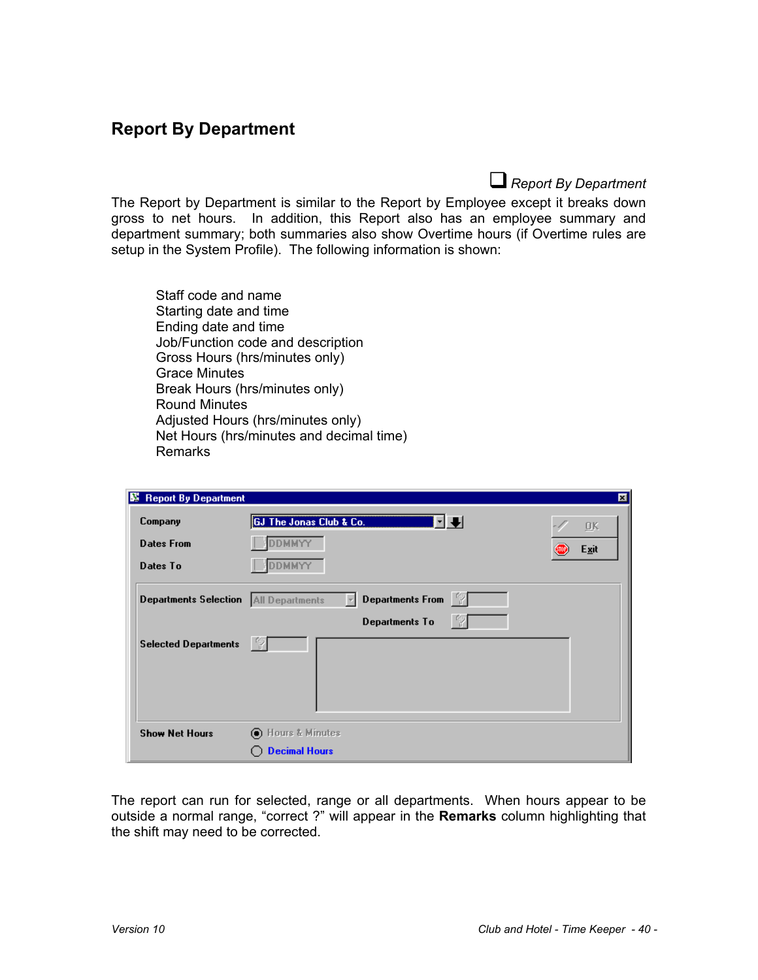#### <span id="page-42-0"></span>**Report By Department**

*Report By Department* 

The Report by Department is similar to the Report by Employee except it breaks down gross to net hours. In addition, this Report also has an employee summary and department summary; both summaries also show Overtime hours (if Overtime rules are setup in the System Profile). The following information is shown:

Staff code and name Starting date and time Ending date and time Job/Function code and description Gross Hours (hrs/minutes only) Grace Minutes Break Hours (hrs/minutes only) Round Minutes Adjusted Hours (hrs/minutes only) Net Hours (hrs/minutes and decimal time) Remarks

| 图 Report By Department                         | ⊠                                                   |
|------------------------------------------------|-----------------------------------------------------|
| Company                                        | <b>GJ The Jonas Club &amp; Co.</b><br><b>ΩK</b>     |
| <b>Dates From</b>                              | DMMYY<br>$\langle \hat{\mathbf{q}} \rangle$<br>Exit |
| Dates To                                       | DMMYY                                               |
| <b>Departments Selection</b>   All Departments | Departments From<br>$\overline{\nabla}$             |
|                                                | Departments To                                      |
| <b>Selected Departments</b>                    |                                                     |
| <b>Show Net Hours</b>                          | <b>●</b> Hours & Minutes<br><b>Decimal Hours</b>    |

The report can run for selected, range or all departments. When hours appear to be outside a normal range, "correct ?" will appear in the **Remarks** column highlighting that the shift may need to be corrected.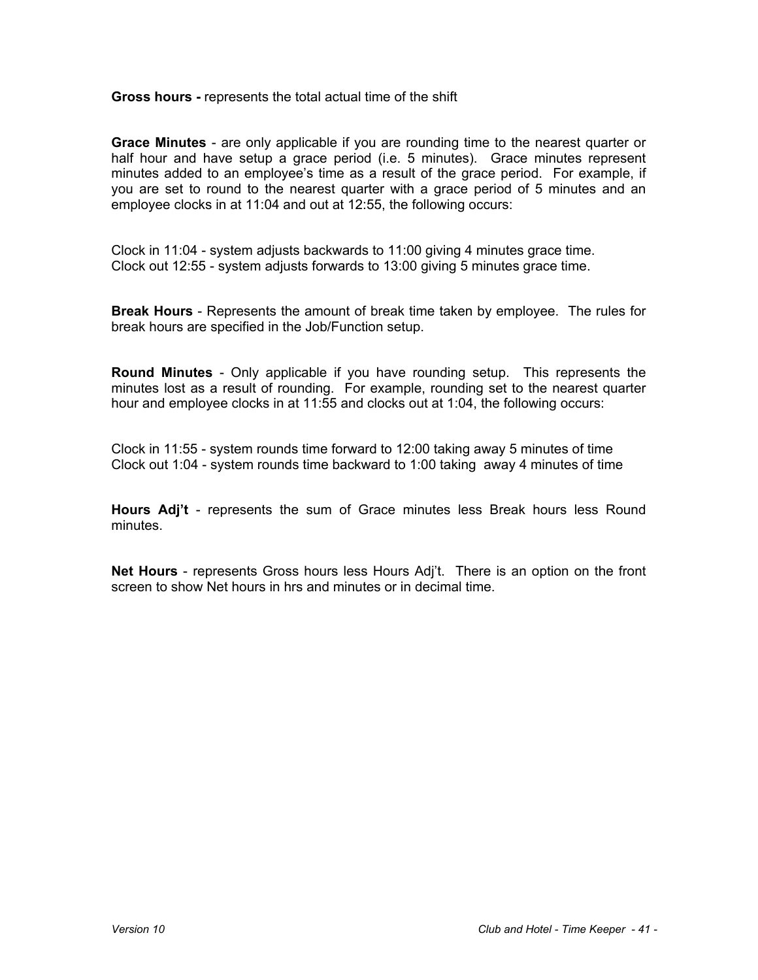**Gross hours -** represents the total actual time of the shift

**Grace Minutes** - are only applicable if you are rounding time to the nearest quarter or half hour and have setup a grace period (i.e. 5 minutes). Grace minutes represent minutes added to an employee's time as a result of the grace period. For example, if you are set to round to the nearest quarter with a grace period of 5 minutes and an employee clocks in at 11:04 and out at 12:55, the following occurs:

Clock in 11:04 - system adjusts backwards to 11:00 giving 4 minutes grace time. Clock out 12:55 - system adjusts forwards to 13:00 giving 5 minutes grace time.

**Break Hours** - Represents the amount of break time taken by employee. The rules for break hours are specified in the Job/Function setup.

**Round Minutes** - Only applicable if you have rounding setup. This represents the minutes lost as a result of rounding. For example, rounding set to the nearest quarter hour and employee clocks in at 11:55 and clocks out at 1:04, the following occurs:

Clock in 11:55 - system rounds time forward to 12:00 taking away 5 minutes of time Clock out 1:04 - system rounds time backward to 1:00 taking away 4 minutes of time

**Hours Adj't** - represents the sum of Grace minutes less Break hours less Round minutes.

**Net Hours** - represents Gross hours less Hours Adj't. There is an option on the front screen to show Net hours in hrs and minutes or in decimal time.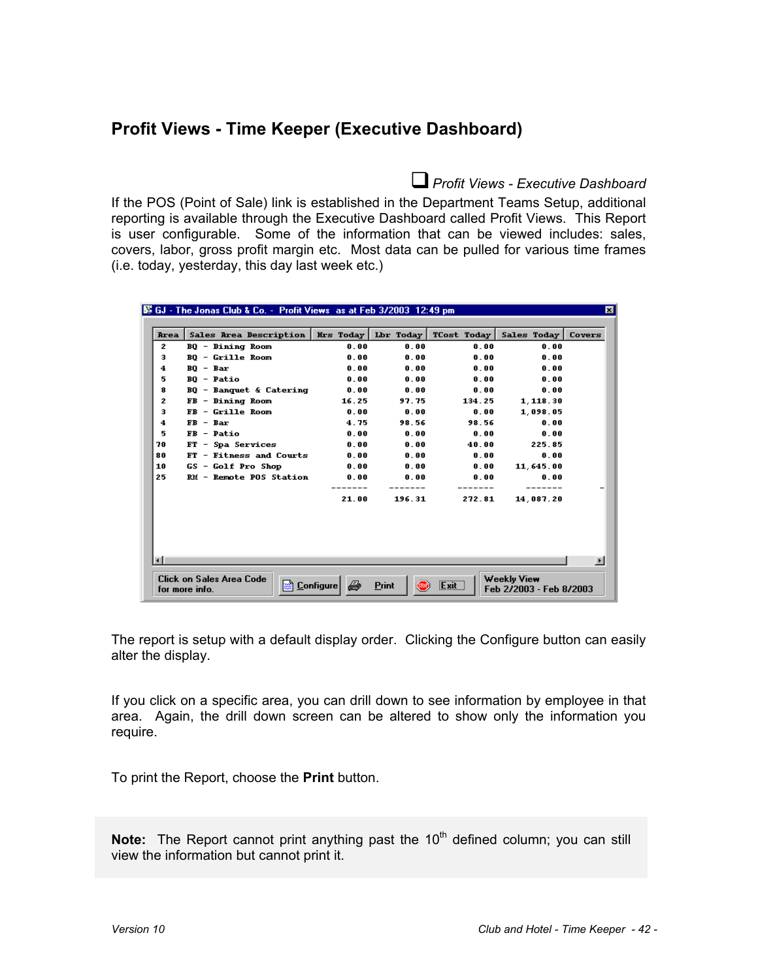## <span id="page-44-0"></span>**Profit Views - Time Keeper (Executive Dashboard)**

*Profit Views - Executive Dashboard* 

If the POS (Point of Sale) link is established in the Department Teams Setup, additional reporting is available through the Executive Dashboard called Profit Views. This Report is user configurable. Some of the information that can be viewed includes: sales, covers, labor, gross profit margin etc. Most data can be pulled for various time frames (i.e. today, yesterday, this day last week etc.)

|             | 國 GJ - The Jonas Club & Co. - Profit Views "as at Feb 3/2003" 12:49 pm |           |              |        |                                        |        |
|-------------|------------------------------------------------------------------------|-----------|--------------|--------|----------------------------------------|--------|
| <b>Area</b> | Sales Area Description   Hrs Today   Lbr Today   TCost Today           |           |              |        | Sales Today                            | Covers |
| 2           | BQ - Dining Room                                                       | 0.00      | 0.00         | 0.00   | 0.00                                   |        |
| з           | $B0 -$ Grille Room                                                     | 0.00      | 0.00         | 0.00   | 0.00                                   |        |
| 4           | $B0 - Bar$                                                             | 0.00      | 0.00         | 0.00   | 0.00                                   |        |
| 5           | $B0 - Patio$                                                           | 0.00      | 0.00         | 0.00   | 0.00                                   |        |
| 8           | BQ - Banquet & Catering                                                | 0.00      | 0.00         | 0.00   | 0.00                                   |        |
| 2           | FB - Dining Room                                                       | 16.25     | 97.75        | 134.25 | 1, 118, 30                             |        |
| з           | $FB - Grille Room$                                                     | 0.00      | 0.00         | 0.00   | 1,098.05                               |        |
| 4           | $FB - Bar$                                                             | 4.75      | 98.56        | 98.56  | 0.00                                   |        |
| 5           | $FB - Patio$                                                           | 0.00      | 0.00         | 0.00   | 0.00                                   |        |
| 70          | FT - Spa Services                                                      | 0.00      | 0.00         | 40.00  | 225.85                                 |        |
| 80          | FT - Fitness and Courts                                                | 0.00      | 0.00         | 0.00   | 0.00                                   |        |
| 10          | GS - Golf Pro Shop                                                     | 0.00      | 0.00         | 0.00   | 11,645.00                              |        |
| 25          | RM - Remote POS Station                                                | 0.00      | 0.00         | 0.00   | 0.00                                   |        |
|             |                                                                        | 21.00     | 196.31       | 272.81 | 14,087.20                              |        |
|             |                                                                        |           |              |        |                                        |        |
|             | Click on Sales Area Code<br>for more info.                             | Configure | <b>Print</b> | Exit   | Weekly View<br>Feb 2/2003 - Feb 8/2003 |        |

The report is setup with a default display order. Clicking the Configure button can easily alter the display.

If you click on a specific area, you can drill down to see information by employee in that area. Again, the drill down screen can be altered to show only the information you require.

To print the Report, choose the **Print** button.

**Note:** The Report cannot print anything past the 10<sup>th</sup> defined column; you can still view the information but cannot print it.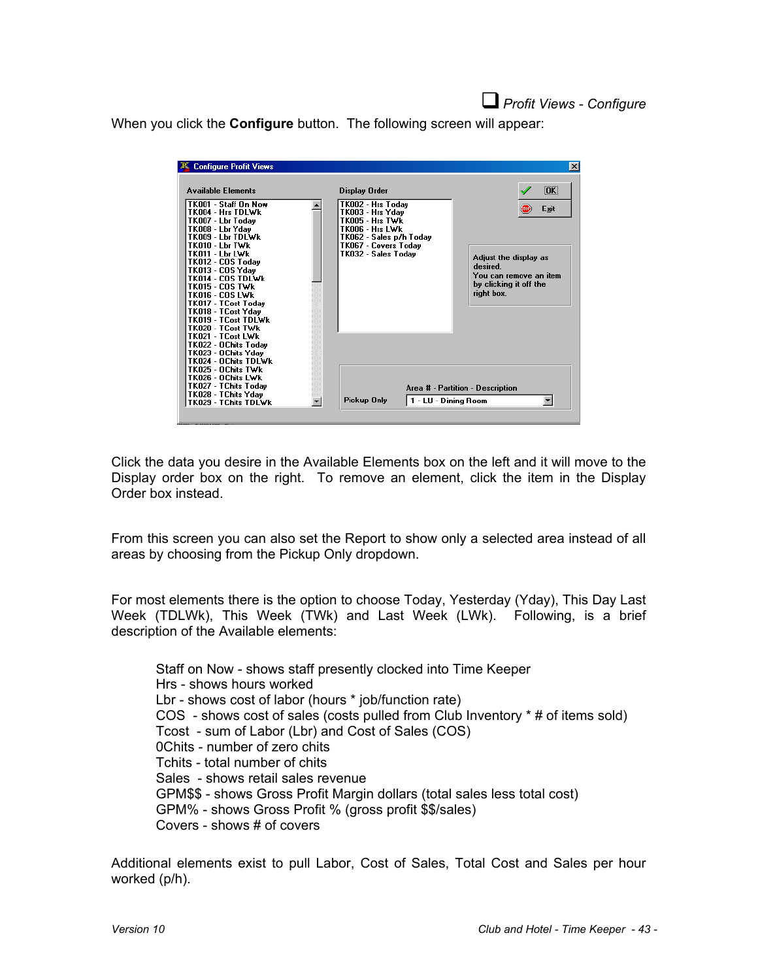## *Profit Views - Configure*

<span id="page-45-0"></span>When you click the **Configure** button. The following screen will appear:

| <b>Configure Profit Views</b>                                                                                                                                                                                                                                                                                                                                                    |                                                                                                                                                                        | $\vert x \vert$                                                                                                                 |
|----------------------------------------------------------------------------------------------------------------------------------------------------------------------------------------------------------------------------------------------------------------------------------------------------------------------------------------------------------------------------------|------------------------------------------------------------------------------------------------------------------------------------------------------------------------|---------------------------------------------------------------------------------------------------------------------------------|
| <b>Available Elements</b><br>TK001 - Staff On Now<br>TK004 - Hrs TDLWk<br>TK007 - Lbr Todav<br>TK008 - Lbr Ydav<br>TK009 - Lbr TDLWk<br>TKN10 - I hr TWk<br>TK011 - Thr I Wk<br>TK012 - COS Todav<br>TK013 - COS Ydav<br>TK014 - COS TDLWk<br><b>TK015 - COS TWK</b><br>TK016 - COS LWk<br>TK017 - TCost Today<br>TK018 - TCost Ydav<br>TK019 - TCost TDLWk<br>TK020 - TCost TWk | Display Order<br>TK002 - Hrs Today<br>TK003 - Hrs Ydav<br>TK005 - Hrs TWk<br>TK006 - Hrs LWk<br>TK062 - Sales p/h Today<br>TK067 - Covers Todav<br>TK032 - Sales Todav | OK:<br><b>SID</b><br>Exit<br>Adjust the display as<br>herizeh<br>You can remove an item<br>by clicking it off the<br>right box. |
| TK021 - TCost LWk<br>TK022 - OChits Todav<br>TK023 - OChits Ydav<br>TK024 - OChits TDLWk<br>TK025 - OChits TWk<br>TK026 - OChits LWk<br>TK027 - TChits Today<br>TK028 - TChits Yday<br> TK029 - TChits TDLWk                                                                                                                                                                     | Pickup Only<br>1 - LU - Dining Room                                                                                                                                    | Area # - Partition - Description                                                                                                |

Click the data you desire in the Available Elements box on the left and it will move to the Display order box on the right. To remove an element, click the item in the Display Order box instead.

From this screen you can also set the Report to show only a selected area instead of all areas by choosing from the Pickup Only dropdown.

For most elements there is the option to choose Today, Yesterday (Yday), This Day Last Week (TDLWk), This Week (TWk) and Last Week (LWk). Following, is a brief description of the Available elements:

Staff on Now - shows staff presently clocked into Time Keeper Hrs - shows hours worked Lbr - shows cost of labor (hours \* job/function rate) COS - shows cost of sales (costs pulled from Club Inventory \* # of items sold) Tcost - sum of Labor (Lbr) and Cost of Sales (COS) 0Chits - number of zero chits Tchits - total number of chits Sales - shows retail sales revenue GPM\$\$ - shows Gross Profit Margin dollars (total sales less total cost) GPM% - shows Gross Profit % (gross profit \$\$/sales) Covers - shows # of covers

Additional elements exist to pull Labor, Cost of Sales, Total Cost and Sales per hour worked (p/h).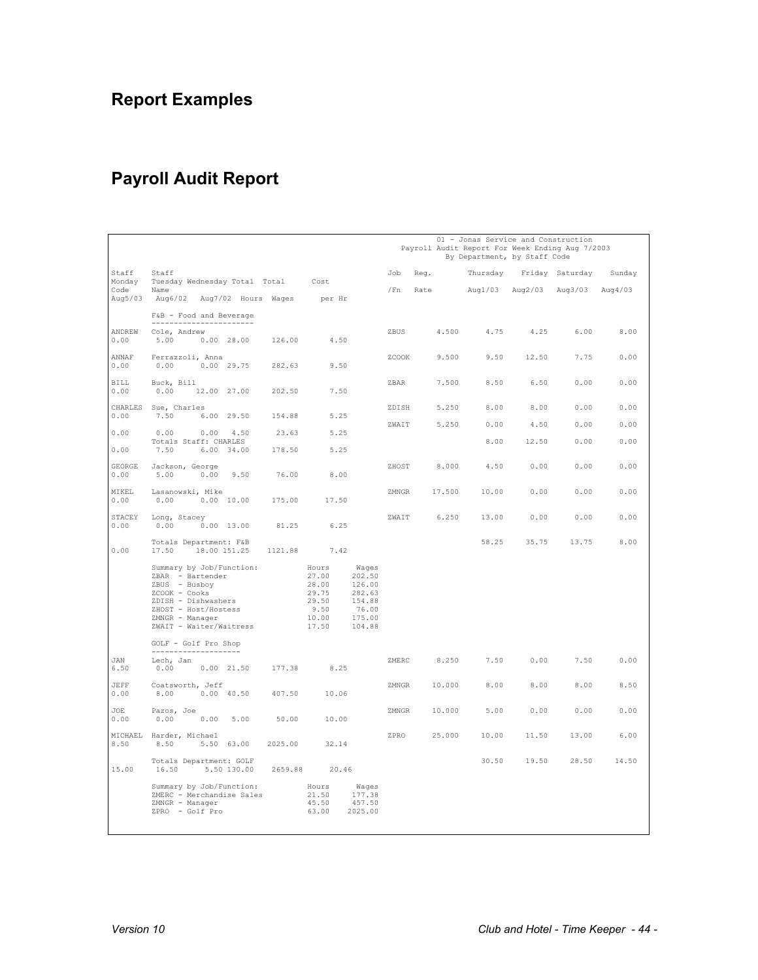## <span id="page-46-0"></span>**Report Examples**

## **Payroll Audit Report**

|                    |                                                                                                                                                                                   |         |                                                                                       |                                                         |       |      |        | 01 - Jonas Service and Construction<br>Payroll Audit Report For Week Ending Aug 7/2003<br>By Department, by Staff Code |       |                                 |       |
|--------------------|-----------------------------------------------------------------------------------------------------------------------------------------------------------------------------------|---------|---------------------------------------------------------------------------------------|---------------------------------------------------------|-------|------|--------|------------------------------------------------------------------------------------------------------------------------|-------|---------------------------------|-------|
| Staff              | Staff<br>Monday Tuesday Wednesday Total Total Cost                                                                                                                                |         |                                                                                       |                                                         | Job   | Reg. |        |                                                                                                                        |       | Thursday Friday Saturday Sunday |       |
| Code               | Name                                                                                                                                                                              |         |                                                                                       |                                                         | /Fn   |      |        | Rate Aug1/03 Aug2/03 Aug3/03 Aug4/03                                                                                   |       |                                 |       |
|                    | Aug5/03 Aug6/02 Aug7/02 Hours Wages per Hr                                                                                                                                        |         |                                                                                       |                                                         |       |      |        |                                                                                                                        |       |                                 |       |
|                    | F&B - Food and Beverage<br>________________________                                                                                                                               |         |                                                                                       |                                                         |       |      |        |                                                                                                                        |       |                                 |       |
| ANDREW<br>0.00     | Cole, Andrew<br>5.00 0.00 28.00                                                                                                                                                   | 126.00  | 4.50                                                                                  |                                                         | ZBUS  |      | 4.500  | 4.75                                                                                                                   | 4.25  | 6.00                            | 8.00  |
| 0.00               | ANNAF Ferrazzoli, Anna<br>$0.00$ $0.00$ 29.75                                                                                                                                     | 282.63  | 9.50                                                                                  |                                                         | ZCOOK |      | 9.500  | 9.50                                                                                                                   | 12.50 | 7.75                            | 0.00  |
| BILL<br>0.00       | Buck, Bill<br>$0.00$ $12.00$ $27.00$                                                                                                                                              | 202.50  | 7.50                                                                                  |                                                         | ZBAR  |      | 7.500  | 8.50                                                                                                                   | 6.50  | 0.00                            | 0.00  |
| 0.00               | CHARLES Sue, Charles<br>7.50 6.00 29.50                                                                                                                                           | 154.88  | 5.25                                                                                  |                                                         | ZDISH |      | 5.250  | 8.00                                                                                                                   | 8.00  | 0.00                            | 0.00  |
| 0.00               | $0.00$ $0.00$ $4.50$                                                                                                                                                              | 23.63   | 5.25                                                                                  |                                                         | ZWAIT |      | 5.250  | 0.00                                                                                                                   | 4.50  | 0.00                            | 0.00  |
| 0.00               | Totals Staff: CHARLES<br>7.50 6.00 34.00                                                                                                                                          | 178.50  | 5.25                                                                                  |                                                         |       |      |        | 8.00                                                                                                                   | 12.50 | 0.00                            | 0.00  |
| 0.00               | GEORGE Jackson, George<br>$5.00$ $0.\overline{00}$ $9.50$                                                                                                                         | 76.00   | 8.00                                                                                  |                                                         | ZHOST |      | 8.000  | 4.50                                                                                                                   | 0.00  | 0.00                            | 0.00  |
| 0.00               | MIKEL Lasanowski, Mike<br>$0.00$ $0.00$ $10.00$                                                                                                                                   | 175.00  | 17.50                                                                                 |                                                         | ZMNGR |      | 17.500 | 10.00                                                                                                                  | 0.00  | 0.00                            | 0.00  |
| 0.00               | STACEY Long, Stacey<br>$0.00$ $0.00$ $13.00$                                                                                                                                      | 81.25   | 6.25                                                                                  |                                                         | ZWAIT |      | 6.250  | 13.00                                                                                                                  | 0.00  | 0.00                            | 0.00  |
| 0.00               | Totals Department: F&B<br>17.50  18.00  151.25  1121.88                                                                                                                           |         | 7.42                                                                                  |                                                         |       |      |        | 58.25                                                                                                                  | 35.75 | 13.75                           | 8.00  |
|                    | Summary by Job/Function: Hours<br>ZBAR - Bartender<br>ZBUS - Busboy<br>ZCOOK - Cooks<br>ZDISH - Dishwashers<br>ZHOST - Host/Hostess<br>ZMNGR - Manager<br>ZWAIT - Waiter/Waitress |         | 27.00<br>28.00<br>29.75<br>29.50<br>$9.50$<br>10.00 175.00<br>$-2$<br>104.88<br>17.50 | Waqes<br>202.50<br>126.00<br>282.63<br>154.88<br>104.88 |       |      |        |                                                                                                                        |       |                                 |       |
|                    | GOLF - Golf Pro Shop                                                                                                                                                              |         |                                                                                       |                                                         |       |      |        |                                                                                                                        |       |                                 |       |
| <b>JAN</b><br>6.50 | _____________________<br>Lech, Jan<br>$0.00$ $0.00$ $21.50$                                                                                                                       | 177.38  | 8.25                                                                                  |                                                         | ZMERC |      | 8.250  | 7.50                                                                                                                   | 0.00  | 7.50                            | 0.00  |
| JEFF<br>0.00       | Coatsworth, Jeff<br>8.00   0.00   40.50                                                                                                                                           | 407.50  | 10.06                                                                                 |                                                         | ZMNGR |      | 10.000 | 8.00                                                                                                                   | 8.00  | 8.00                            | 8.50  |
| JOE<br>0.00        | Pazos, Joe<br>$0.00$ $0.00$ $5.00$                                                                                                                                                | 50.00   | 10.00                                                                                 |                                                         | ZMNGR |      | 10,000 | 5.00                                                                                                                   | 0.00  | 0.00                            | 0.00  |
| 8.50               | MICHAEL Harder, Michael<br>8.50 5.50 63.00                                                                                                                                        | 2025.00 | 32.14                                                                                 |                                                         | ZPRO  |      | 25,000 | 10.00                                                                                                                  | 11.50 | 13.00                           | 6.00  |
| 15.00              | Totals Department: GOLF<br>16.50 5.50 130.00                                                                                                                                      | 2659.88 | 20.46                                                                                 |                                                         |       |      |        | 30.50                                                                                                                  | 19.50 | 28.50                           | 14.50 |
|                    | Summary by Job/Function:<br>Summary by downless<br>ZMERC - Merchandise Sales<br>ZMNGR - Manager<br>ZPRO - Golf Pro                                                                |         | Hours<br>21.50<br>45.50<br>63.00                                                      | $\frac{wages}{177.38}$<br>2025.00                       |       |      |        |                                                                                                                        |       |                                 |       |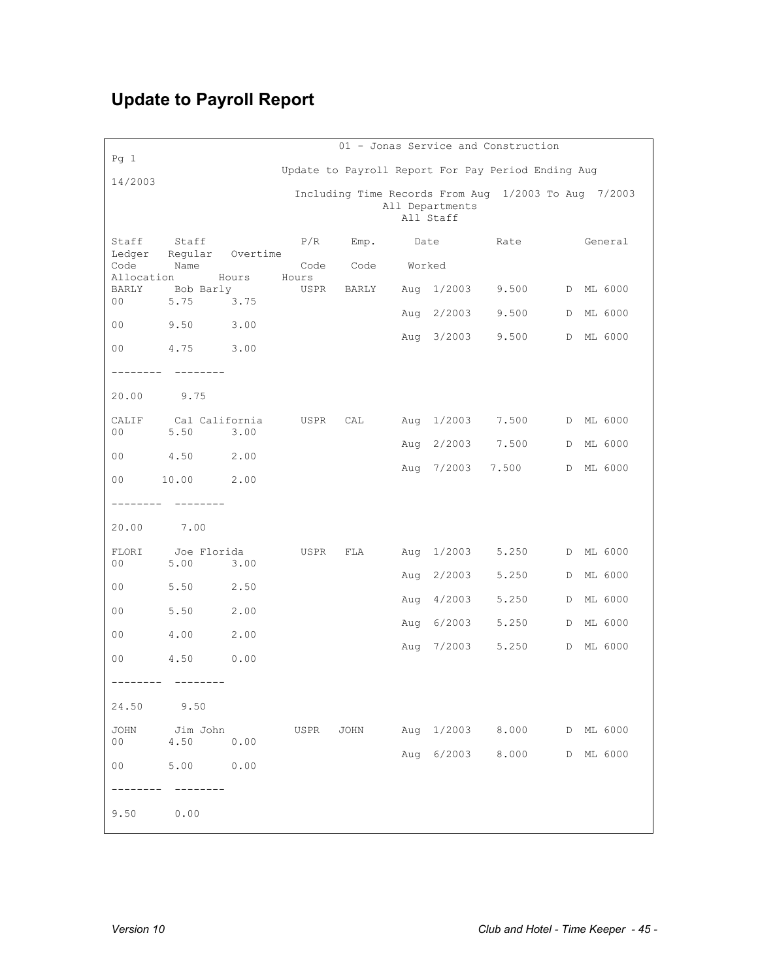## <span id="page-47-0"></span>**Update to Payroll Report**

| Pq 1                    |                        |                  |               |             |      |                              | 01 - Jonas Service and Construction                  |                        |         |
|-------------------------|------------------------|------------------|---------------|-------------|------|------------------------------|------------------------------------------------------|------------------------|---------|
|                         |                        |                  |               |             |      |                              | Update to Payroll Report For Pay Period Ending Aug   |                        |         |
| 14/2003                 |                        |                  |               |             |      | All Departments<br>All Staff | Including Time Records From Aug 1/2003 To Aug 7/2003 |                        |         |
| Staff<br>Ledger         | Staff                  | Regular Overtime | P/R           | Emp.        | Date |                              | Rate                                                 |                        | General |
| Code<br>Allocation      | Name                   | Hours            | Code<br>Hours | Code Worked |      |                              |                                                      |                        |         |
| BARLY<br>00             | Bob Barly<br>5.75      | 3.75             | USPR          |             |      | BARLY Aug 1/2003             | 9.500                                                | D ML 6000              |         |
| 00                      | 9.50                   | 3.00             |               |             |      | Aug 2/2003                   | 9.500                                                | D                      | ML 6000 |
| 00                      | 4.75                   | 3.00             |               |             |      | Aug 3/2003                   | 9.500                                                | D ML 6000              |         |
|                         |                        |                  |               |             |      |                              |                                                      |                        |         |
| 20.00                   | 9.75                   |                  |               |             |      |                              |                                                      |                        |         |
| CALIF<br>00             | Cal California<br>5.50 | 3.00             | USPR          | CAL         | Aug  | 1/2003                       | 7.500                                                | D ML 6000              |         |
| 00 <sub>o</sub>         | 4.50                   | 2.00             |               |             | Aug  | 2/2003                       | 7.500                                                | D                      | ML 6000 |
| 00                      | 10.00                  | 2.00             |               |             | Aug  | 7/2003 7.500                 |                                                      | D ML 6000              |         |
| --------                | ---------              |                  |               |             |      |                              |                                                      |                        |         |
| 20.00                   | 7.00                   |                  |               |             |      |                              |                                                      |                        |         |
| FLORI                   | Joe Florida            |                  | USPR          | FLA         | Aug  | 1/2003                       | 5.250                                                | D                      | ML 6000 |
| 00                      | 5.00                   | 3.00             |               |             | Aug  | 2/2003                       | 5.250                                                | D                      | ML 6000 |
| 00                      | 5.50                   | 2.50             |               |             | Aug  | 4/2003                       | 5.250                                                | D                      | ML 6000 |
| 00                      | 5.50                   | 2.00             |               |             |      | Aug 6/2003                   | 5.250                                                | D                      | ML 6000 |
| 00                      | 4.00                   | 2.00             |               |             | Aug  | 7/2003                       | 5.250                                                | D ML 6000              |         |
| 00                      | 4.50<br>---------      | 0.00             |               |             |      |                              |                                                      |                        |         |
|                         |                        |                  |               |             |      |                              |                                                      |                        |         |
|                         | 24.50 9.50             |                  |               |             |      |                              |                                                      |                        |         |
| JOHN<br>00 <sub>o</sub> | 4.50 0.00              |                  |               |             |      |                              |                                                      | D ML 6000<br>D ML 6000 |         |
| 00                      | 5.00 0.00              |                  |               |             |      |                              | Aug 6/2003 8.000                                     |                        |         |
|                         | ---------              |                  |               |             |      |                              |                                                      |                        |         |
| 9.50                    | 0.00                   |                  |               |             |      |                              |                                                      |                        |         |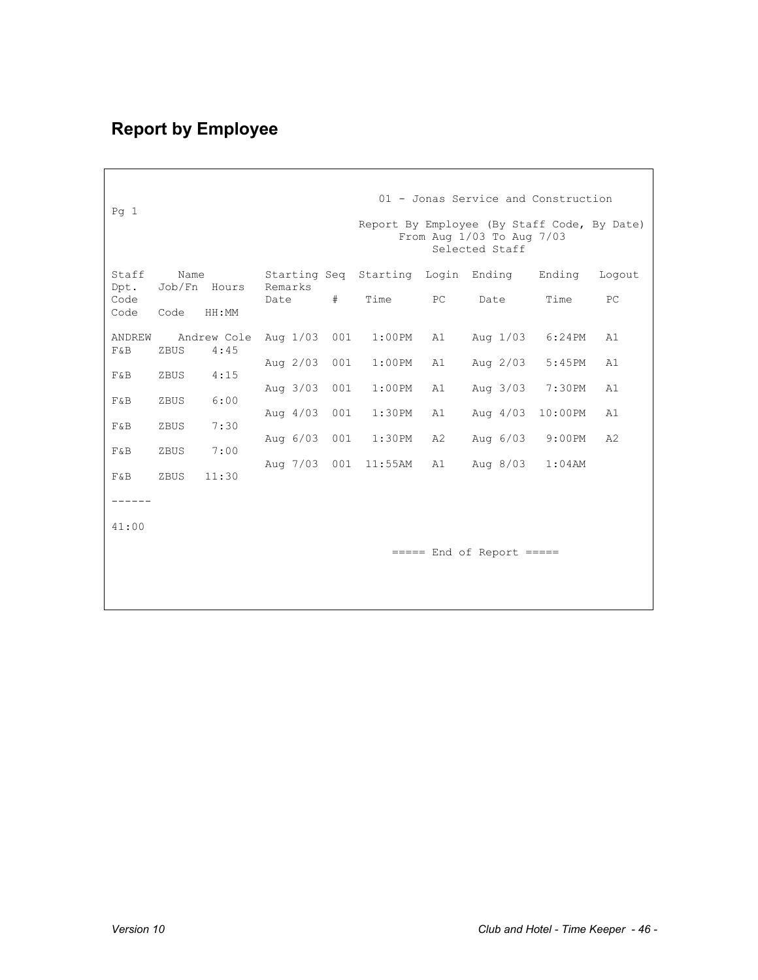## <span id="page-48-0"></span>**Report by Employee**

 $\Gamma$ 

| Pq 1                 | 01 - Jonas Service and Construction<br>Report By Employee (By Staff Code, By Date)<br>From Aug 1/03 To Aug 7/03<br>Selected Staff |                     |                 |     |            |    |                                           |            |        |
|----------------------|-----------------------------------------------------------------------------------------------------------------------------------|---------------------|-----------------|-----|------------|----|-------------------------------------------|------------|--------|
| Staff                | Name                                                                                                                              |                     |                 |     |            |    | Starting Seg Starting Login Ending Ending |            | Loqout |
| Dpt.<br>Code<br>Code | Code HH:MM                                                                                                                        | Job/Fn Hours        | Remarks<br>Date | #   | Time PC    |    | Date                                      | Time       | PC     |
| ANDREW<br>F&B        | ZBUS                                                                                                                              | Andrew Cole<br>4:45 | Aug 1/03 001    |     | $1:00$ PM  | A1 | Aug 1/03                                  | 6:24PM     | A1     |
|                      |                                                                                                                                   |                     | Aug 2/03 001    |     | $1:00$ PM  | A1 | Aug 2/03                                  | 5:45PM     | A1     |
| F&B                  | ZBUS                                                                                                                              | 4:15                | Aug $3/03$      | 001 | $1:00$ PM  | A1 | Aug $3/03$                                | 7:30PM     | A1     |
| $F$ & $B$            | ZBUS                                                                                                                              | 6:00                | Aug $4/03$      | 001 | 1:30PM     | A1 | Aug $4/03$                                | $10:00$ PM | A1     |
| $F$ & $B$            | ZBUS                                                                                                                              | 7:30                | Aug 6/03 001    |     | $1:30$ PM  | A2 | Aug $6/03$                                | 9:00PM     | A2     |
| F&B                  | ZBUS                                                                                                                              | 7:00                |                 |     |            |    |                                           |            |        |
| F&B                  | ZBUS                                                                                                                              | 11:30               | Aug 7/03 001    |     | $11:55$ AM | A1 | Aug $8/03$                                | 1:04AM     |        |
|                      |                                                                                                                                   |                     |                 |     |            |    |                                           |            |        |
| 41:00                |                                                                                                                                   |                     |                 |     |            |    |                                           |            |        |
|                      |                                                                                                                                   |                     |                 |     |            |    | $====$ End of Report $====$               |            |        |
|                      |                                                                                                                                   |                     |                 |     |            |    |                                           |            |        |
|                      |                                                                                                                                   |                     |                 |     |            |    |                                           |            |        |
|                      |                                                                                                                                   |                     |                 |     |            |    |                                           |            |        |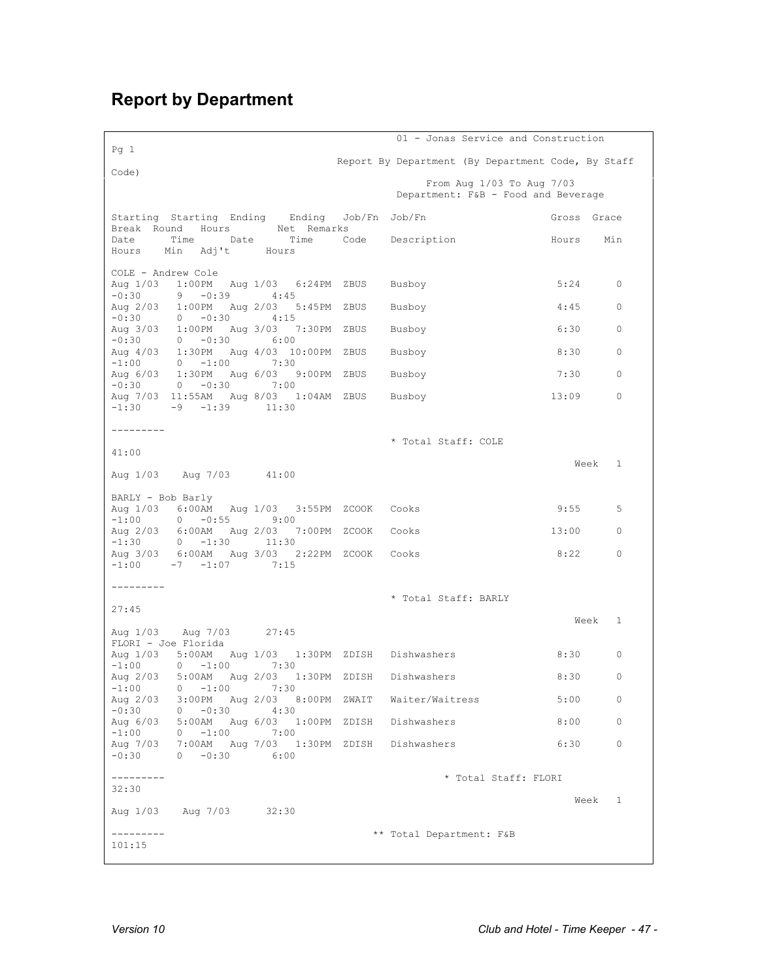#### <span id="page-49-0"></span>**Report by Department**

 01 - Jonas Service and Construction Pg 1 Report By Department (By Department Code, By Staff Code) From Aug 1/03 To Aug 7/03 Department: F&B - Food and Beverage Starting Starting Ending Ending Job/Fn Job/Fn Gross Grace Break Round Hours Net Remarks Date Time Date Time Code Description Hours Min Hours Min Adj't Hours COLE - Andrew Cole Aug 1/03 1:00PM Aug 1/03 6:24PM ZBUS Busboy 5:24 0 -0:30 9 -0:39 4:45 Aug 2/03 1:00PM Aug 2/03 5:45PM ZBUS Busboy 4:45 0 -0:30 0 -0:30 4:15 Aug 3/03 1:00PM Aug 3/03 7:30PM ZBUS Busboy 6:30 6:30 0<br>-0:30 0 -0:30 6:00  $0 -0:30$  6:00 Aug 4/03 1:30PM Aug 4/03 10:00PM ZBUS Busboy 8:30 0<br>
-1:00 0 -1:00 7:30  $0 -1:00$  7:30 Aug 6/03 1:30PM Aug 6/03 9:00PM ZBUS Busboy 7:30 0<br>-0:30 0 -0:30 7:00 -0:30 0 -0:30 7:00 Aug 7/03 11:55AM Aug 8/03 1:04AM ZBUS Busboy 13:09 0 -1:30 -9 -1:39 11:30 --------- \* Total Staff: COLE 41:00 where the contract of the contract of the contract of the contract of the contract of the contract of the contract of the contract of the contract of the contract of the contract of the contract of the contract of the cont Aug 1/03 Aug 7/03 41:00 BARLY - Bob Barly Aug 1/03 6:00AM Aug 1/03 3:55PM ZCOOK Cooks 9:55 9:55 5  $-1:00$  0  $-0:55$  9:00 Aug 2/03 6:00AM Aug 2/03 7:00PM ZCOOK Cooks 13:00 0 -1:30 0 -1:30 11:30 Aug 3/03 6:00AM Aug 3/03 2:22PM ZCOOK Cooks 8:22 0  $-1:00$   $-7$   $-1:07$   $7:15$ --------- \* Total Staff: BARLY 27:45 where the contract of the contract of the contract of the contract of the contract of the contract of the contract of the contract of the contract of the contract of the contract of the contract of the contract of the cont Aug 1/03 Aug 7/03 27:45 FLORI - Joe Florida Aug 1/03 5:00AM Aug 1/03 1:30PM ZDISH Dishwashers 8:30 0<br>-1:00 0 -1:00 7:30 -1:00 0 -1:00 7:30 Aug 2/03 5:00AM Aug 2/03 1:30PM ZDISH Dishwashers 8:30 0 -1:00 0 -1:00 7:30 Aug 2/03 3:00PM Aug 2/03 8:00PM ZWAIT Waiter/Waitress 5:00 0  $-0.30$  0  $-0.30$  4:30 Aug 6/03 5:00AM Aug 6/03 1:00PM ZDISH Dishwashers 8:00 0<br>-1:00 0 -1:00 7:00  $-1:00$  0  $-1:00$  7:00 Aug 7/03 7:00AM Aug 7/03 1:30PM ZDISH Dishwashers 6:30 0  $-0.30$  0  $-0.30$  6:00 --------- \* Total Staff: FLORI 32:30 where the contract of the contract of the contract of the contract of the contract of the contract of the contract of the contract of the contract of the contract of the contract of the contract of the contract of the cont Aug 1/03 Aug 7/03 32:30 \*\* Total Department: F&B 101:15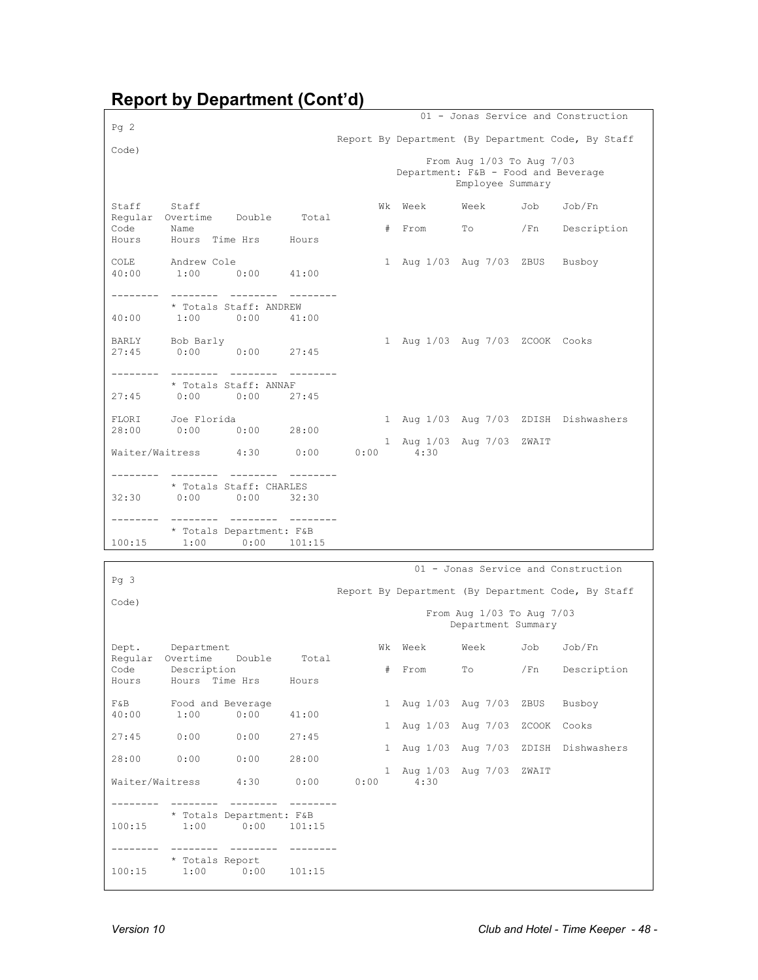#### **Report by Department (Cont'd)**

| Pq2         |                                         |               |        |  |                                     |                                                                                                                                                                                                                                |     | 01 - Jonas Service and Construction                |
|-------------|-----------------------------------------|---------------|--------|--|-------------------------------------|--------------------------------------------------------------------------------------------------------------------------------------------------------------------------------------------------------------------------------|-----|----------------------------------------------------|
|             |                                         |               |        |  |                                     |                                                                                                                                                                                                                                |     | Report By Department (By Department Code, By Staff |
| Code)       |                                         |               |        |  |                                     | From Aug 1/03 To Aug 7/03                                                                                                                                                                                                      |     |                                                    |
|             |                                         |               |        |  | Department: F&B - Food and Beverage |                                                                                                                                                                                                                                |     |                                                    |
|             |                                         |               |        |  |                                     | Employee Summary                                                                                                                                                                                                               |     |                                                    |
| Staff Staff |                                         |               |        |  | Wk Week                             | Week                                                                                                                                                                                                                           | Job | Job/Fn                                             |
| Code Name   | Regular Overtime Double Total           |               |        |  | # From                              | To the contract of the contract of the contract of the contract of the contract of the contract of the contract of the contract of the contract of the contract of the contract of the contract of the contract of the contrac | /Fn | Description                                        |
|             | Hours Hours Time Hrs Hours              |               |        |  |                                     |                                                                                                                                                                                                                                |     |                                                    |
|             | COLE Andrew Cole                        |               |        |  | 1 Aug 1/03 Aug 7/03 ZBUS            |                                                                                                                                                                                                                                |     | Busboy                                             |
|             | $40:00$ $1:00$ $0:00$ $41:00$           |               |        |  |                                     |                                                                                                                                                                                                                                |     |                                                    |
|             | --------- --------                      |               |        |  |                                     |                                                                                                                                                                                                                                |     |                                                    |
|             | * Totals Staff: ANDREW                  |               |        |  |                                     |                                                                                                                                                                                                                                |     |                                                    |
|             | 40:00 1:00 0:00 41:00                   |               |        |  |                                     |                                                                                                                                                                                                                                |     |                                                    |
|             | BARLY Bob Barly                         |               |        |  | 1 Aug 1/03 Aug 7/03 ZCOOK Cooks     |                                                                                                                                                                                                                                |     |                                                    |
|             | 27:45 0:00 0:00 27:45                   |               |        |  |                                     |                                                                                                                                                                                                                                |     |                                                    |
|             |                                         | ---------     |        |  |                                     |                                                                                                                                                                                                                                |     |                                                    |
|             | * Totals Staff: ANNAF                   |               |        |  |                                     |                                                                                                                                                                                                                                |     |                                                    |
|             | $27:45$ 0:00 0:00 27:45                 |               |        |  |                                     |                                                                                                                                                                                                                                |     |                                                    |
|             | FLORI Joe Florida                       |               |        |  |                                     |                                                                                                                                                                                                                                |     | 1 Aug 1/03 Aug 7/03 ZDISH Dishwashers              |
|             | 28:00 0:00 0:00 28:00                   |               |        |  | 1 Aug 1/03 Aug 7/03 ZWAIT           |                                                                                                                                                                                                                                |     |                                                    |
|             | Waiter/Waitress  4:30  0:00  0:00  4:30 |               |        |  |                                     |                                                                                                                                                                                                                                |     |                                                    |
|             | ---------                               | ---------     |        |  |                                     |                                                                                                                                                                                                                                |     |                                                    |
|             | * Totals Staff: CHARLES                 |               |        |  |                                     |                                                                                                                                                                                                                                |     |                                                    |
|             | 32:30   0:00   0:00                     |               | 32:30  |  |                                     |                                                                                                                                                                                                                                |     |                                                    |
|             |                                         | .             |        |  |                                     |                                                                                                                                                                                                                                |     |                                                    |
|             | * Totals Department: F&B                |               |        |  |                                     |                                                                                                                                                                                                                                |     |                                                    |
| 100:15      |                                         | $1:00$ $0:00$ | 101:15 |  |                                     |                                                                                                                                                                                                                                |     |                                                    |

 01 - Jonas Service and Construction Pg 3 Report By Department (By Department Code, By Staff Code) From Aug 1/03 To Aug 7/03 Department Summary Dept. Department **Wheek** Week Week Job Job/Fn Regular Overtime Double Total<br>Code Description Code Description # From To /Fn Description Hours Hours Time Hrs Hours  ${\tt F&B}$  Food and Beverage 1 Aug 1/03 Aug 7/03 ZBUS Busboy 40:00 1:00 0:00 41:00 40:00 1:00 0:00 41:00 1 Aug 1/03 Aug 7/03 ZCOOK Cooks 27:45 0:00 0:00 27:45 1 Aug 1/03 Aug 7/03 ZDISH Dishwashers 28:00 0:00 0:00 28:00 1 Aug 1/03 Aug 7/03 ZWAIT Waiter/Waitress -------- -------- -------- -------- \* Totals Department: F&B<br>100:15 1:00 0:00 101:1 100:15 1:00 0:00 101:15 -------- -------- -------- -------- \* Totals Report<br>100:15 1:00 0:00  $1:00$  0:00 101:15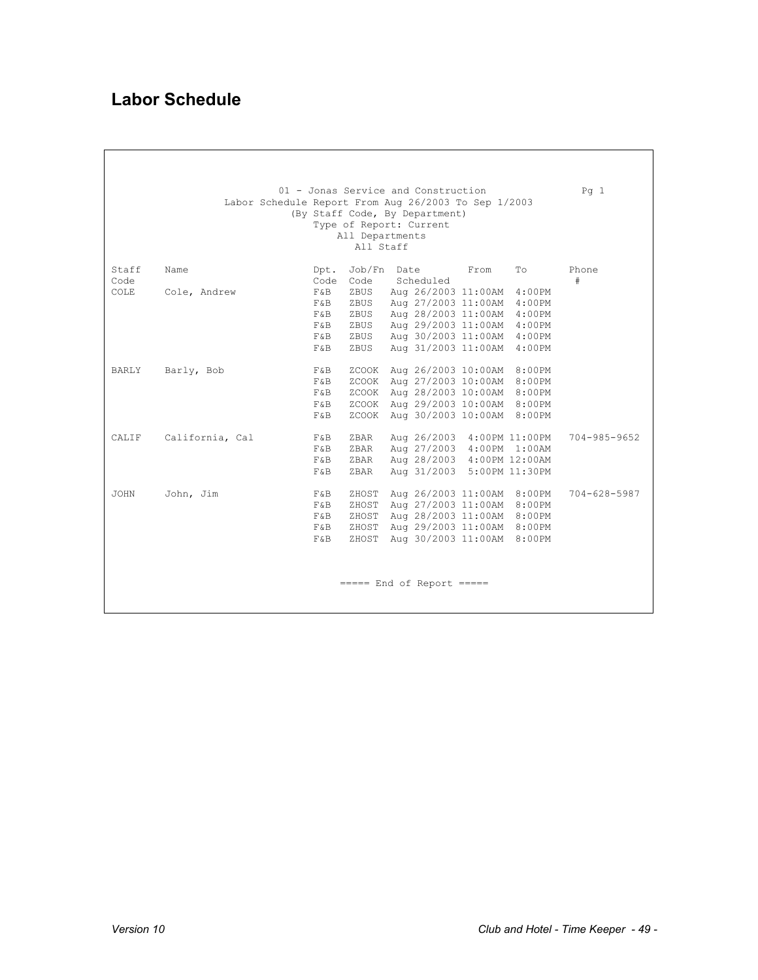## <span id="page-51-0"></span>**Labor Schedule**

|       | Pq 1                  |               |              |                                                          |      |    |              |
|-------|-----------------------|---------------|--------------|----------------------------------------------------------|------|----|--------------|
|       |                       |               | All Staff    |                                                          |      |    |              |
| Staff | Name                  | Dpt.          |              | Job/Fn Date                                              | From | To | Phone        |
| Code  |                       | Code          | Code         | Scheduled                                                |      |    | #            |
| COLE  | Cole, Andrew          | $F\&B$        | ZBUS         | Aug 26/2003 11:00AM 4:00PM                               |      |    |              |
|       |                       | F&B           | ZBUS         | Aug 27/2003 11:00AM 4:00PM                               |      |    |              |
|       |                       | F&B           | ZBUS         | Aug 28/2003 11:00AM 4:00PM                               |      |    |              |
|       |                       | $F\&B$        | ZBUS<br>ZBUS | Aug 29/2003 11:00AM 4:00PM<br>Aug 30/2003 11:00AM 4:00PM |      |    |              |
|       |                       | $F\&B$<br>F&B | ZBUS         | Aug 31/2003 11:00AM 4:00PM                               |      |    |              |
|       |                       |               |              |                                                          |      |    |              |
| BARLY | Barly, Bob            | F&B           |              | ZCOOK Aug 26/2003 10:00AM 8:00PM                         |      |    |              |
|       |                       | F&B           |              | ZCOOK Aug 27/2003 10:00AM 8:00PM                         |      |    |              |
|       |                       | F & B         |              | ZCOOK Aug 28/2003 10:00AM 8:00PM                         |      |    |              |
|       |                       | F & B         |              | ZCOOK Aug 29/2003 10:00AM 8:00PM                         |      |    |              |
|       |                       | F&B           |              | ZCOOK Aug 30/2003 10:00AM 8:00PM                         |      |    |              |
|       | CALIF California, Cal | F&B           | ZBAR         | Aug 26/2003 4:00PM 11:00PM                               |      |    | 704-985-9652 |
|       |                       | F&B           | ZBAR         | Aug 27/2003 4:00PM 1:00AM                                |      |    |              |
|       |                       | F&B           | ZBAR         | Aug 28/2003 4:00PM 12:00AM                               |      |    |              |
|       |                       | F&B           | ZBAR         | Aug 31/2003 5:00PM 11:30PM                               |      |    |              |
| JOHN  | John, Jim             | F&B           |              | ZHOST Aug 26/2003 11:00AM 8:00PM                         |      |    | 704-628-5987 |
|       |                       | F&B           |              | ZHOST Aug 27/2003 11:00AM 8:00PM                         |      |    |              |
|       |                       | F&B           |              | ZHOST Aug 28/2003 11:00AM 8:00PM                         |      |    |              |
|       |                       | $F\&B$        |              | ZHOST Aug 29/2003 11:00AM 8:00PM                         |      |    |              |
|       |                       | $F\&B$        |              | ZHOST Aug 30/2003 11:00AM 8:00PM                         |      |    |              |
|       |                       |               |              |                                                          |      |    |              |
|       |                       |               |              | $====$ End of Report $====$                              |      |    |              |
|       |                       |               |              |                                                          |      |    |              |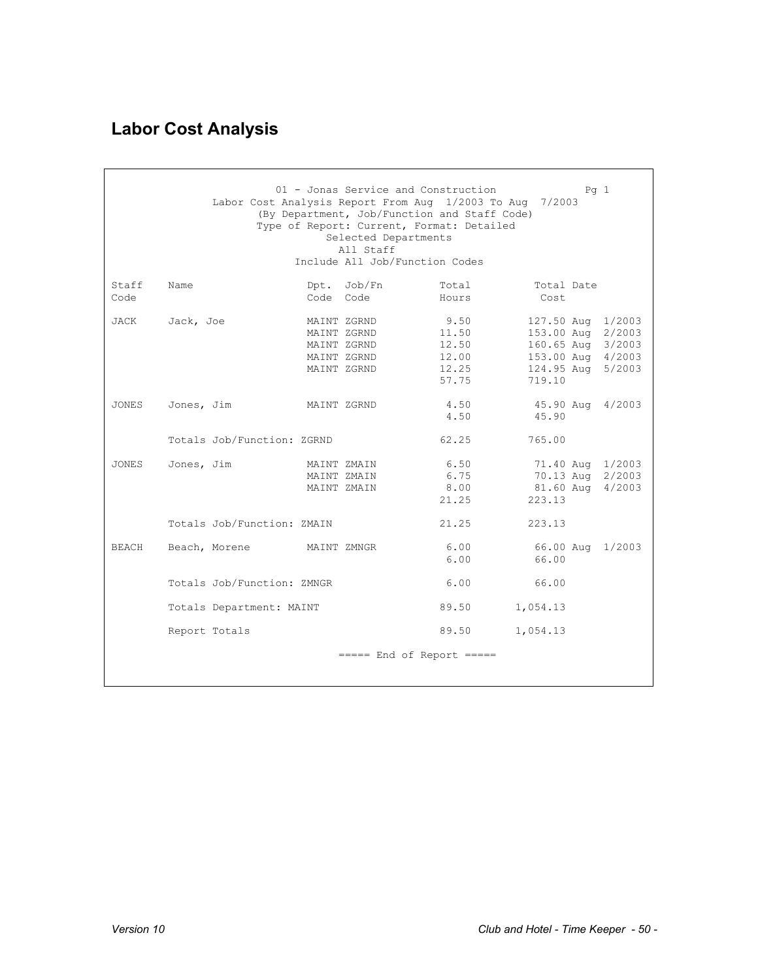## <span id="page-52-0"></span>**Labor Cost Analysis**

| 01 - Jonas Service and Construction<br>Pg 1<br>Labor Cost Analysis Report From Aug 1/2003 To Aug 7/2003<br>(By Department, Job/Function and Staff Code)<br>Type of Report: Current, Format: Detailed<br>Selected Departments<br>All Staff<br>Include All Job/Function Codes |                            |  |                                                                         |                                                   |                                                                                                                 |  |  |  |
|-----------------------------------------------------------------------------------------------------------------------------------------------------------------------------------------------------------------------------------------------------------------------------|----------------------------|--|-------------------------------------------------------------------------|---------------------------------------------------|-----------------------------------------------------------------------------------------------------------------|--|--|--|
| Staff<br>Code                                                                                                                                                                                                                                                               | Name                       |  | Dpt. Job/Fn<br>Code Code                                                | Total<br>Hours                                    | Total Date<br>Cost                                                                                              |  |  |  |
| JACK                                                                                                                                                                                                                                                                        | Jack, Joe                  |  | MAINT ZGRND<br>MAINT ZGRND<br>MAINT ZGRND<br>MAINT ZGRND<br>MAINT ZGRND | 9.50<br>11.50<br>12.50<br>12.00<br>12.25<br>57.75 | 127.50 Aug 1/2003<br>153.00 Aug 2/2003<br>160.65 Aug 3/2003<br>153.00 Aug 4/2003<br>124.95 Aug 5/2003<br>719.10 |  |  |  |
| JONES                                                                                                                                                                                                                                                                       | Jones, Jim                 |  | MAINT ZGRND                                                             | 4.50<br>4.50                                      | 45.90 Aug 4/2003<br>45.90                                                                                       |  |  |  |
|                                                                                                                                                                                                                                                                             | Totals Job/Function: ZGRND |  |                                                                         | 62.25                                             | 765.00                                                                                                          |  |  |  |
| JONES                                                                                                                                                                                                                                                                       | Jones, Jim                 |  | MAINT ZMAIN<br>MAINT ZMAIN<br>MAINT ZMAIN                               | 6.50<br>6.75<br>8.00<br>21.25                     | 71.40 Aug 1/2003<br>70.13 Aug 2/2003<br>81.60 Aug 4/2003<br>223.13                                              |  |  |  |
|                                                                                                                                                                                                                                                                             | Totals Job/Function: ZMAIN |  |                                                                         | 21.25                                             | 223.13                                                                                                          |  |  |  |
| BEACH                                                                                                                                                                                                                                                                       | Beach, Morene              |  | MAINT ZMNGR                                                             | 6.00<br>6.00                                      | 66.00 Aug 1/2003<br>66.00                                                                                       |  |  |  |
|                                                                                                                                                                                                                                                                             | Totals Job/Function: ZMNGR |  |                                                                         | 6.00                                              | 66.00                                                                                                           |  |  |  |
|                                                                                                                                                                                                                                                                             | Totals Department: MAINT   |  |                                                                         | 89.50                                             | 1,054.13                                                                                                        |  |  |  |
|                                                                                                                                                                                                                                                                             | Report Totals              |  |                                                                         | 89.50                                             | 1,054.13                                                                                                        |  |  |  |
| $====$ End of Report $====$                                                                                                                                                                                                                                                 |                            |  |                                                                         |                                                   |                                                                                                                 |  |  |  |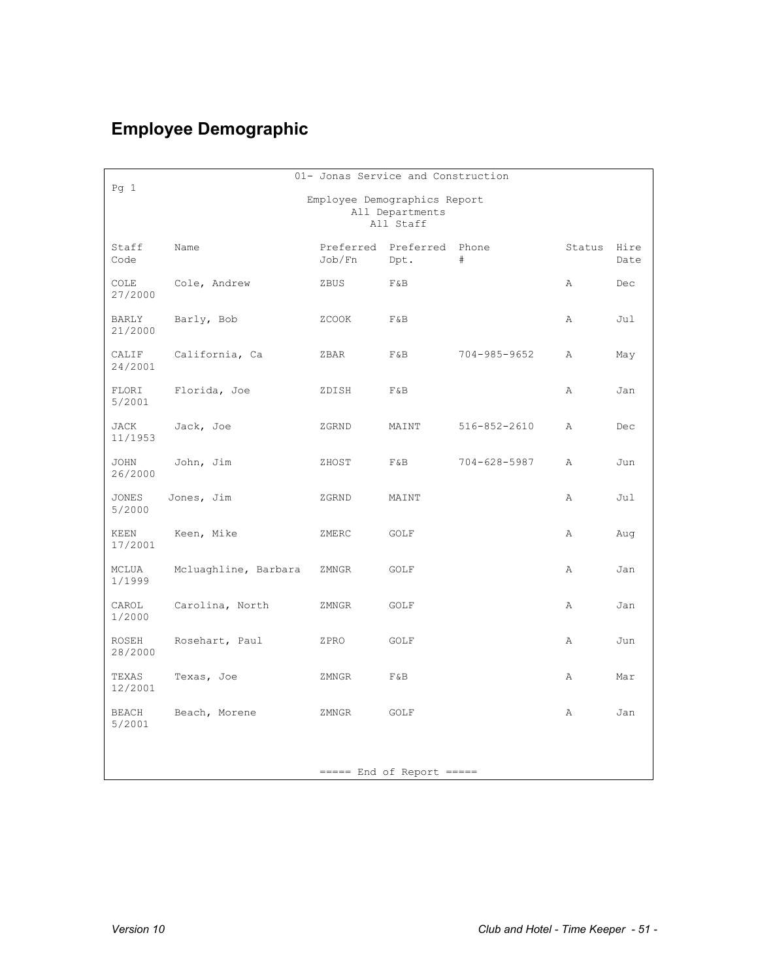## <span id="page-53-0"></span>**Employee Demographic**

| 01- Jonas Service and Construction   |                      |        |                                   |              |               |              |  |  |  |
|--------------------------------------|----------------------|--------|-----------------------------------|--------------|---------------|--------------|--|--|--|
| Pq 1<br>Employee Demographics Report |                      |        |                                   |              |               |              |  |  |  |
| All Departments<br>All Staff         |                      |        |                                   |              |               |              |  |  |  |
| Staff<br>Code                        | Name                 | Job/Fn | Preferred Preferred Phone<br>Dpt. | #            | Status        | Hire<br>Date |  |  |  |
| COLE<br>27/2000                      | Cole, Andrew         | ZBUS   | F&B                               |              | Α             | Dec          |  |  |  |
| <b>BARLY</b><br>21/2000              | Barly, Bob           | ZCOOK  | F&B                               |              | Α             | Jul          |  |  |  |
| CALIF<br>24/2001                     | California, Ca       | ZBAR   | F&B                               | 704-985-9652 | $\mathcal{A}$ | May          |  |  |  |
| FLORI<br>5/2001                      | Florida, Joe         | ZDISH  | F&B                               |              | Α             | Jan          |  |  |  |
| JACK<br>11/1953                      | Jack, Joe            | ZGRND  | MAINT                             | 516-852-2610 | Α             | Dec          |  |  |  |
| JOHN<br>26/2000                      | John, Jim            | ZHOST  | F&B                               | 704-628-5987 | Α             | Jun          |  |  |  |
| <b>JONES</b><br>5/2000               | Jones, Jim           | ZGRND  | MAINT                             |              | Α             | Jul          |  |  |  |
| <b>KEEN</b><br>17/2001               | Keen, Mike           | ZMERC  | GOLF                              |              | Α             | Aug          |  |  |  |
| MCLUA<br>1/1999                      | Mcluaghline, Barbara | ZMNGR  | GOLF                              |              | Α             | Jan          |  |  |  |
| CAROL<br>1/2000                      | Carolina, North      | ZMNGR  | GOLF                              |              | Α             | Jan          |  |  |  |
| ROSEH<br>28/2000                     | Rosehart, Paul       | ZPRO   | GOLF                              |              | Α             | Jun          |  |  |  |
| TEXAS<br>12/2001                     | Texas, Joe           | ZMNGR  | F&B                               |              | $\mathbb{A}$  | Mar          |  |  |  |
| BEACH<br>5/2001                      | Beach, Morene        | ZMNGR  | GOLF                              |              | Α             | Jan          |  |  |  |
|                                      |                      |        |                                   |              |               |              |  |  |  |
|                                      |                      |        | ===== End of Report =====         |              |               |              |  |  |  |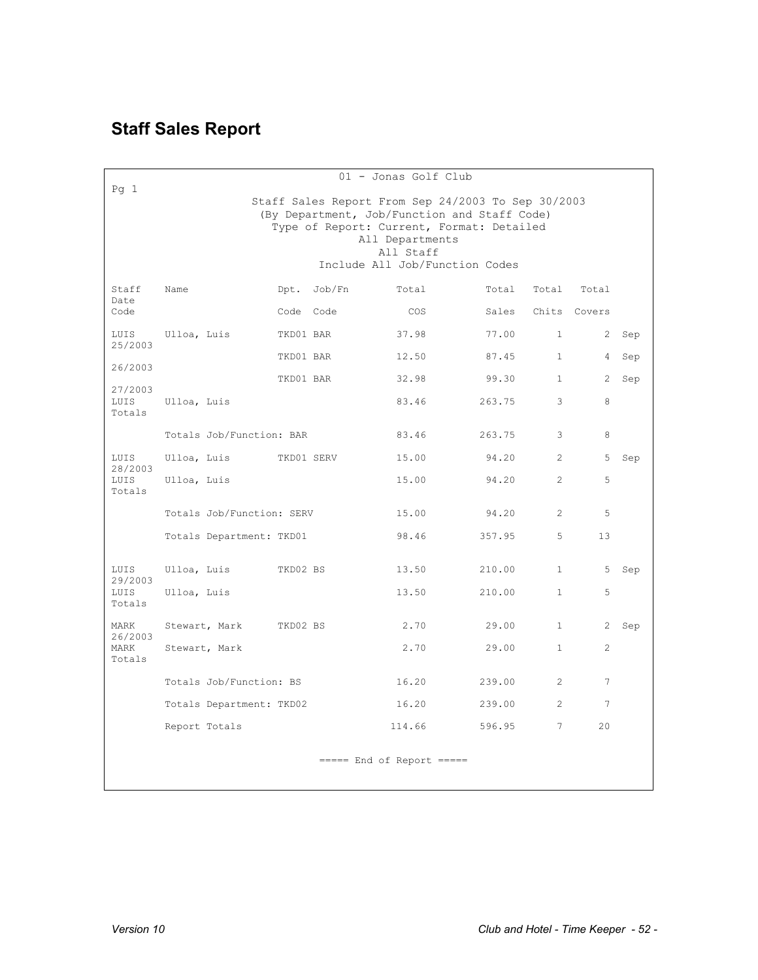## <span id="page-54-0"></span>**Staff Sales Report**

| 01 - Jonas Golf Club                                       |                                                              |            |             |                                |        |                 |                |     |  |
|------------------------------------------------------------|--------------------------------------------------------------|------------|-------------|--------------------------------|--------|-----------------|----------------|-----|--|
| Pq 1<br>Staff Sales Report From Sep 24/2003 To Sep 30/2003 |                                                              |            |             |                                |        |                 |                |     |  |
| (By Department, Job/Function and Staff Code)               |                                                              |            |             |                                |        |                 |                |     |  |
|                                                            | Type of Report: Current, Format: Detailed<br>All Departments |            |             |                                |        |                 |                |     |  |
|                                                            |                                                              |            |             | All Staff                      |        |                 |                |     |  |
|                                                            |                                                              |            |             | Include All Job/Function Codes |        |                 |                |     |  |
| Staff<br>Date                                              | Name                                                         |            | Dpt. Job/Fn | Total                          | Total  | Total           | Total          |     |  |
| Code                                                       |                                                              | Code Code  |             | <b>COS</b>                     | Sales  |                 | Chits Covers   |     |  |
| LUIS<br>25/2003                                            | Ulloa, Luis                                                  | TKD01 BAR  |             | 37.98                          | 77.00  | $\mathbf{1}$    | 2              | Sep |  |
| 26/2003                                                    |                                                              | TKD01 BAR  |             | 12.50                          | 87.45  | $\mathbf{1}$    | 4              | Sep |  |
|                                                            |                                                              | TKD01 BAR  |             | 32.98                          | 99.30  | $\mathbf{1}$    | 2              | Sep |  |
| 27/2003<br>LUIS<br>Totals                                  | Ulloa, Luis                                                  |            |             | 83.46                          | 263.75 | 3               | 8              |     |  |
|                                                            | Totals Job/Function: BAR                                     |            |             | 83.46                          | 263.75 | 3               | 8              |     |  |
| LUIS<br>28/2003                                            | Ulloa, Luis                                                  | TKD01 SERV |             | 15.00                          | 94.20  | $\mathbf{2}$    | 5              | Sep |  |
| LUIS<br>Totals                                             | Ulloa, Luis                                                  |            |             | 15.00                          | 94.20  | $\overline{2}$  | 5              |     |  |
|                                                            | Totals Job/Function: SERV                                    |            |             | 15.00                          | 94.20  | 2               | 5              |     |  |
|                                                            | Totals Department: TKD01                                     |            |             | 98.46                          | 357.95 | 5               | 13             |     |  |
| LUIS<br>29/2003                                            | Ulloa, Luis                                                  | TKD02 BS   |             | 13.50                          | 210.00 | $\mathbf{1}$    | 5              | Sep |  |
| LUIS<br>Totals                                             | Ulloa, Luis                                                  |            |             | 13.50                          | 210.00 | $\mathbf{1}$    | 5              |     |  |
| MARK<br>26/2003                                            | Stewart, Mark                                                | TKD02 BS   |             | 2.70                           | 29.00  | $\mathbf{1}$    | 2              | Sep |  |
| MARK<br>Totals                                             | Stewart, Mark                                                |            |             | 2.70                           | 29.00  | $\mathbf{1}$    | $\overline{c}$ |     |  |
|                                                            | Totals Job/Function: BS                                      |            |             | 16.20                          | 239.00 | $\mathcal{L}$   | 7              |     |  |
|                                                            | Totals Department: TKD02                                     |            |             | 16.20                          | 239.00 | $\overline{2}$  | 7              |     |  |
|                                                            | Report Totals                                                |            |             | 114.66                         | 596.95 | $7\overline{ }$ | 20             |     |  |
| $====$ End of Report $====$                                |                                                              |            |             |                                |        |                 |                |     |  |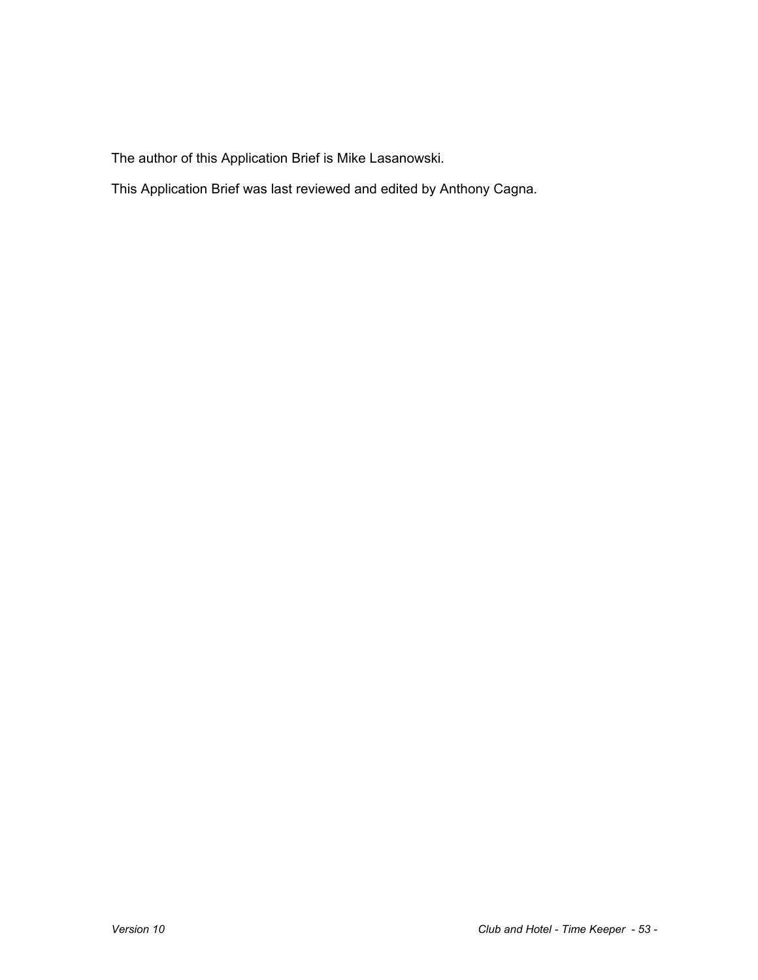The author of this Application Brief is Mike Lasanowski*.* 

This Application Brief was last reviewed and edited by Anthony Cagna*.*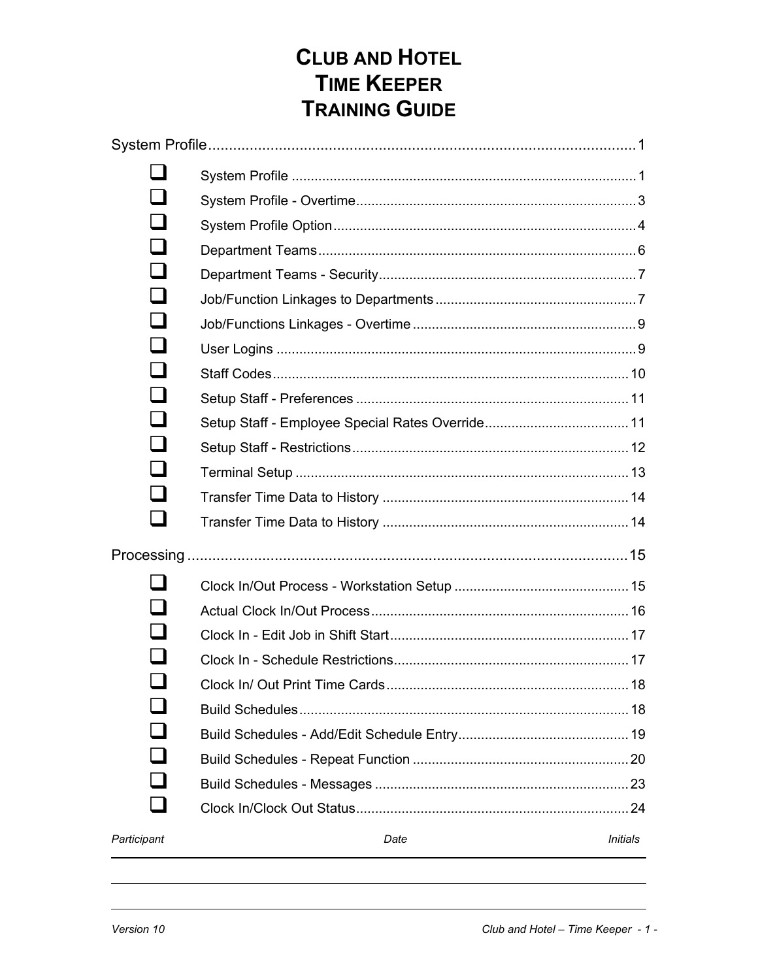## **CLUB AND HOTEL TIME KEEPER TRAINING GUIDE**

| Participant | Date | <b>Initials</b> |
|-------------|------|-----------------|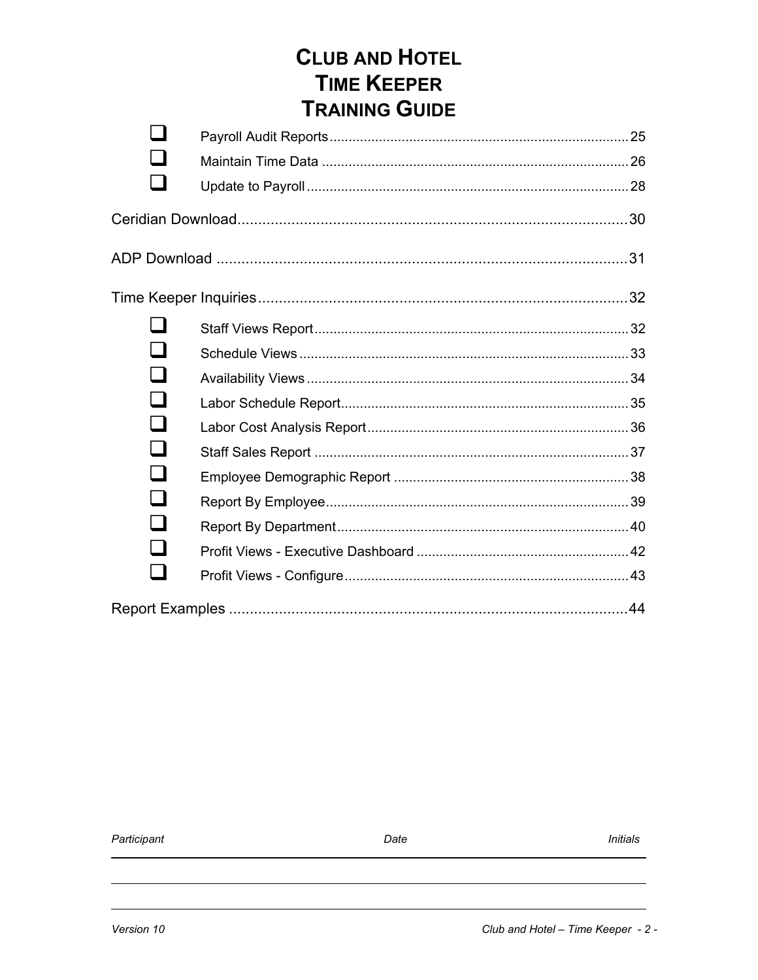## **CLUB AND HOTEL TIME KEEPER TRAINING GUIDE**

Participant Date **Initials**